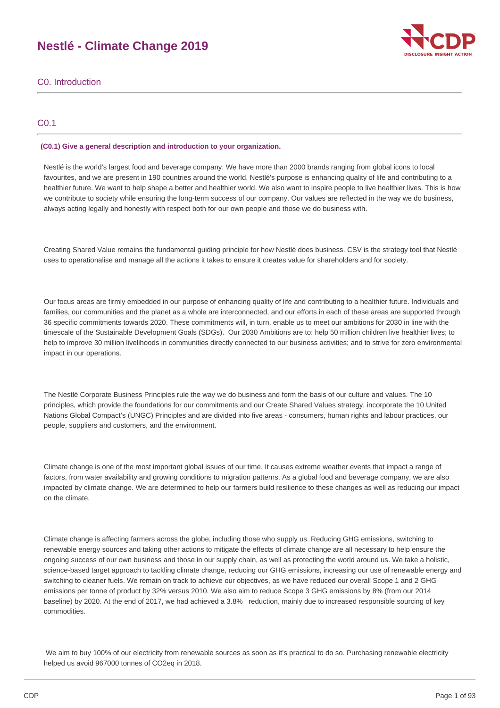# **Nestlé - Climate Change 2019**



# C0. Introduction

# C0.1

# **(C0.1) Give a general description and introduction to your organization.**

Nestlé is the world's largest food and beverage company. We have more than 2000 brands ranging from global icons to local favourites, and we are present in 190 countries around the world. Nestlé's purpose is enhancing quality of life and contributing to a healthier future. We want to help shape a better and healthier world. We also want to inspire people to live healthier lives. This is how we contribute to society while ensuring the long-term success of our company. Our values are reflected in the way we do business, always acting legally and honestly with respect both for our own people and those we do business with.

Creating Shared Value remains the fundamental guiding principle for how Nestlé does business. CSV is the strategy tool that Nestlé uses to operationalise and manage all the actions it takes to ensure it creates value for shareholders and for society.

Our focus areas are firmly embedded in our purpose of enhancing quality of life and contributing to a healthier future. Individuals and families, our communities and the planet as a whole are interconnected, and our efforts in each of these areas are supported through 36 specific commitments towards 2020. These commitments will, in turn, enable us to meet our ambitions for 2030 in line with the timescale of the Sustainable Development Goals (SDGs). Our 2030 Ambitions are to: help 50 million children live healthier lives; to help to improve 30 million livelihoods in communities directly connected to our business activities; and to strive for zero environmental impact in our operations.

The Nestlé Corporate Business Principles rule the way we do business and form the basis of our culture and values. The 10 principles, which provide the foundations for our commitments and our Create Shared Values strategy, incorporate the 10 United Nations Global Compact's (UNGC) Principles and are divided into five areas - consumers, human rights and labour practices, our people, suppliers and customers, and the environment.

Climate change is one of the most important global issues of our time. It causes extreme weather events that impact a range of factors, from water availability and growing conditions to migration patterns. As a global food and beverage company, we are also impacted by climate change. We are determined to help our farmers build resilience to these changes as well as reducing our impact on the climate.

Climate change is affecting farmers across the globe, including those who supply us. Reducing GHG emissions, switching to renewable energy sources and taking other actions to mitigate the effects of climate change are all necessary to help ensure the ongoing success of our own business and those in our supply chain, as well as protecting the world around us. We take a holistic, science-based target approach to tackling climate change, reducing our GHG emissions, increasing our use of renewable energy and switching to cleaner fuels. We remain on track to achieve our objectives, as we have reduced our overall Scope 1 and 2 GHG emissions per tonne of product by 32% versus 2010. We also aim to reduce Scope 3 GHG emissions by 8% (from our 2014 baseline) by 2020. At the end of 2017, we had achieved a 3.8% reduction, mainly due to increased responsible sourcing of key commodities.

We aim to buy 100% of our electricity from renewable sources as soon as it's practical to do so. Purchasing renewable electricity helped us avoid 967000 tonnes of CO2eq in 2018.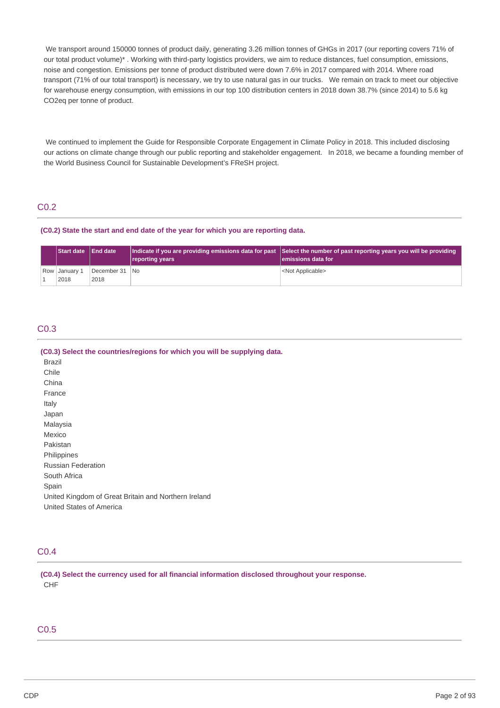We transport around 150000 tonnes of product daily, generating 3.26 million tonnes of GHGs in 2017 (our reporting covers 71% of our total product volume)\* . Working with third-party logistics providers, we aim to reduce distances, fuel consumption, emissions, noise and congestion. Emissions per tonne of product distributed were down 7.6% in 2017 compared with 2014. Where road transport (71% of our total transport) is necessary, we try to use natural gas in our trucks. We remain on track to meet our objective for warehouse energy consumption, with emissions in our top 100 distribution centers in 2018 down 38.7% (since 2014) to 5.6 kg CO2eq per tonne of product.

We continued to implement the Guide for Responsible Corporate Engagement in Climate Policy in 2018. This included disclosing our actions on climate change through our public reporting and stakeholder engagement. In 2018, we became a founding member of the World Business Council for Sustainable Development's FReSH project.

# C0.2

### **(C0.2) State the start and end date of the year for which you are reporting data.**

|  | Start date End date |                | reporting years | Indicate if you are providing emissions data for past   Select the number of past reporting years you will be providing<br>lemissions data for |
|--|---------------------|----------------|-----------------|------------------------------------------------------------------------------------------------------------------------------------------------|
|  | Row January 1       | December 31 No |                 | <not applicable=""></not>                                                                                                                      |
|  | 2018                | 2018           |                 |                                                                                                                                                |

# C0.3

| (C0.3) Select the countries/regions for which you will be supplying data. |
|---------------------------------------------------------------------------|
| Brazil                                                                    |
| Chile                                                                     |
| China                                                                     |
| France                                                                    |
| Italy                                                                     |
| Japan                                                                     |
| Malaysia                                                                  |
| Mexico                                                                    |
| Pakistan                                                                  |
| Philippines                                                               |
| <b>Russian Federation</b>                                                 |
| South Africa                                                              |
| Spain                                                                     |
| United Kingdom of Great Britain and Northern Ireland                      |
| United States of America                                                  |

# C0.4

**(C0.4) Select the currency used for all financial information disclosed throughout your response.** CHF

# C0.5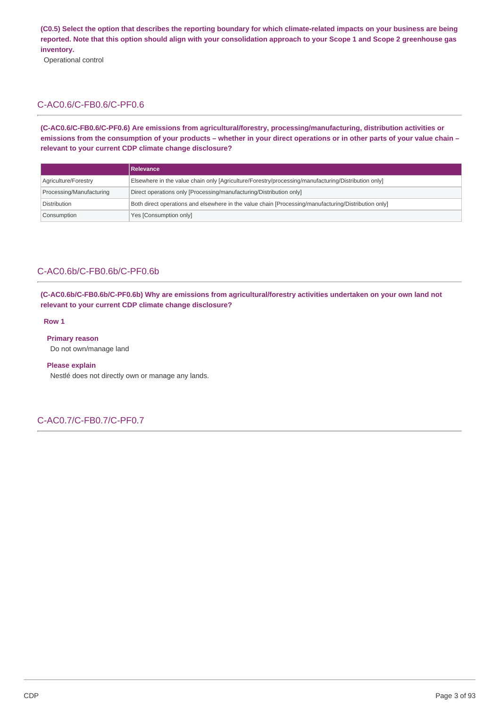(C0.5) Select the option that describes the reporting boundary for which climate-related impacts on your business are being reported. Note that this option should align with your consolidation approach to your Scope 1 and Scope 2 greenhouse gas **inventory.**

Operational control

# C-AC0.6/C-FB0.6/C-PF0.6

**(C-AC0.6/C-FB0.6/C-PF0.6) Are emissions from agricultural/forestry, processing/manufacturing, distribution activities or** emissions from the consumption of your products - whether in your direct operations or in other parts of your value chain **relevant to your current CDP climate change disclosure?**

|                          | <b>Relevance</b>                                                                                     |
|--------------------------|------------------------------------------------------------------------------------------------------|
| Agriculture/Forestry     | Elsewhere in the value chain only [Agriculture/Forestry/processing/manufacturing/Distribution only]  |
| Processing/Manufacturing | Direct operations only [Processing/manufacturing/Distribution only]                                  |
| <b>Distribution</b>      | Both direct operations and elsewhere in the value chain [Processing/manufacturing/Distribution only] |
| Consumption              | Yes [Consumption only]                                                                               |

# C-AC0.6b/C-FB0.6b/C-PF0.6b

**(C-AC0.6b/C-FB0.6b/C-PF0.6b) Why are emissions from agricultural/forestry activities undertaken on your own land not relevant to your current CDP climate change disclosure?**

#### **Row 1**

**Primary reason** Do not own/manage land

#### **Please explain**

Nestlé does not directly own or manage any lands.

C-AC0.7/C-FB0.7/C-PF0.7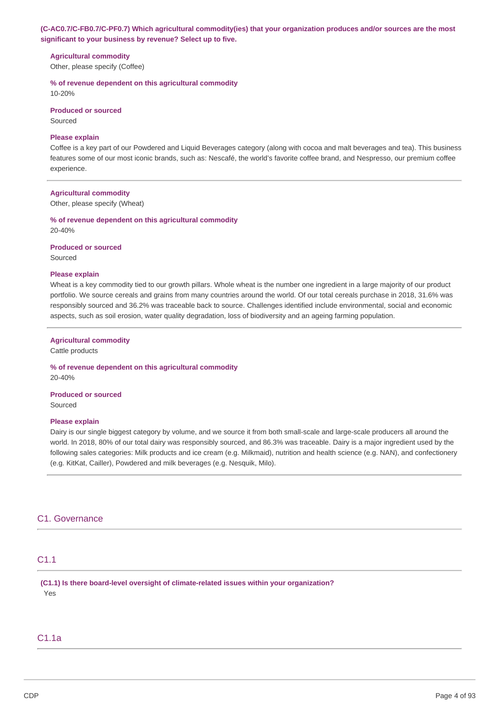**(C-AC0.7/C-FB0.7/C-PF0.7) Which agricultural commodity(ies) that your organization produces and/or sources are the most significant to your business by revenue? Select up to five.**

### **Agricultural commodity**

Other, please specify (Coffee)

**% of revenue dependent on this agricultural commodity** 10-20%

**Produced or sourced**

Sourced

# **Please explain**

Coffee is a key part of our Powdered and Liquid Beverages category (along with cocoa and malt beverages and tea). This business features some of our most iconic brands, such as: Nescafé, the world's favorite coffee brand, and Nespresso, our premium coffee experience.

#### **Agricultural commodity**

Other, please specify (Wheat)

**% of revenue dependent on this agricultural commodity** 20-40%

### **Produced or sourced**

Sourced

### **Please explain**

Wheat is a key commodity tied to our growth pillars. Whole wheat is the number one ingredient in a large majority of our product portfolio. We source cereals and grains from many countries around the world. Of our total cereals purchase in 2018, 31.6% was responsibly sourced and 36.2% was traceable back to source. Challenges identified include environmental, social and economic aspects, such as soil erosion, water quality degradation, loss of biodiversity and an ageing farming population.

# **Agricultural commodity**

Cattle products

**% of revenue dependent on this agricultural commodity** 20-40%

**Produced or sourced** Sourced

#### **Please explain**

Dairy is our single biggest category by volume, and we source it from both small-scale and large-scale producers all around the world. In 2018, 80% of our total dairy was responsibly sourced, and 86.3% was traceable. Dairy is a major ingredient used by the following sales categories: Milk products and ice cream (e.g. Milkmaid), nutrition and health science (e.g. NAN), and confectionery (e.g. KitKat, Cailler), Powdered and milk beverages (e.g. Nesquik, Milo).

# C1. Governance

# C1.1

**(C1.1) Is there board-level oversight of climate-related issues within your organization?** Yes

# C1.1a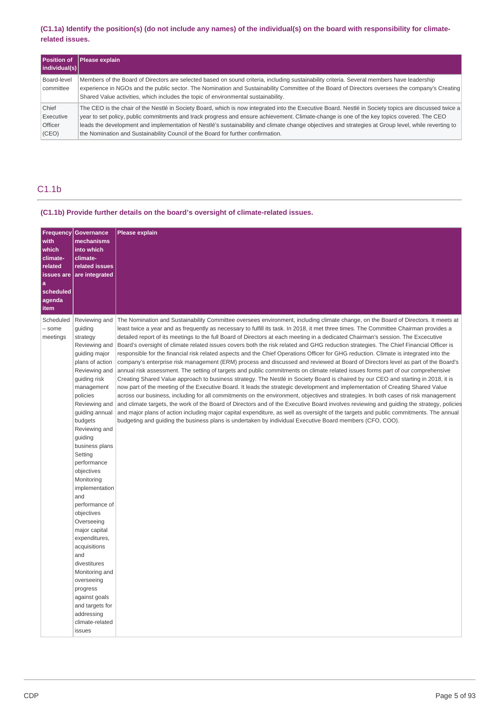# (C1.1a) Identify the position(s) (do not include any names) of the individual(s) on the board with responsibility for climate**related issues.**

| Position of<br>individual(s)           | Please explain                                                                                                                                                                                                                                                                                                                                                                                                                                                                                                                                 |
|----------------------------------------|------------------------------------------------------------------------------------------------------------------------------------------------------------------------------------------------------------------------------------------------------------------------------------------------------------------------------------------------------------------------------------------------------------------------------------------------------------------------------------------------------------------------------------------------|
| Board-level<br>committee               | Members of the Board of Directors are selected based on sound criteria, including sustainability criteria. Several members have leadership<br>experience in NGOs and the public sector. The Nomination and Sustainability Committee of the Board of Directors oversees the company's Creating<br>Shared Value activities, which includes the topic of environmental sustainability.                                                                                                                                                            |
| Chief<br>Executive<br>Officer<br>(CEO) | The CEO is the chair of the Nestlé in Society Board, which is now integrated into the Executive Board. Nestlé in Society topics are discussed twice a<br>year to set policy, public commitments and track progress and ensure achievement. Climate-change is one of the key topics covered. The CEO<br>leads the development and implementation of Nestlé's sustainability and climate change objectives and strategies at Group level, while reverting to<br>the Nomination and Sustainability Council of the Board for further confirmation. |

# C1.1b

# **(C1.1b) Provide further details on the board's oversight of climate-related issues.**

| <b>Frequency</b><br>with<br>which<br>climate-<br>related<br>a<br>scheduled<br>agenda<br>item | <b>Governance</b><br>mechanisms<br>into which<br>climate-<br>related issues<br>issues are are integrated                                                                                                                                                                                                                                                                                                                                                                                                                                                                          | <b>Please explain</b>                                                                                                                                                                                                                                                                                                                                                                                                                                                                                                                                                                                                                                                                                                                                                                                                                                                                                                                                                                                                                                                                                                                                                                                                                                                                                                                                                                                                                                                                                                                                                                                                                                                                                                                                                                   |
|----------------------------------------------------------------------------------------------|-----------------------------------------------------------------------------------------------------------------------------------------------------------------------------------------------------------------------------------------------------------------------------------------------------------------------------------------------------------------------------------------------------------------------------------------------------------------------------------------------------------------------------------------------------------------------------------|-----------------------------------------------------------------------------------------------------------------------------------------------------------------------------------------------------------------------------------------------------------------------------------------------------------------------------------------------------------------------------------------------------------------------------------------------------------------------------------------------------------------------------------------------------------------------------------------------------------------------------------------------------------------------------------------------------------------------------------------------------------------------------------------------------------------------------------------------------------------------------------------------------------------------------------------------------------------------------------------------------------------------------------------------------------------------------------------------------------------------------------------------------------------------------------------------------------------------------------------------------------------------------------------------------------------------------------------------------------------------------------------------------------------------------------------------------------------------------------------------------------------------------------------------------------------------------------------------------------------------------------------------------------------------------------------------------------------------------------------------------------------------------------------|
| Scheduled<br>- some<br>meetings                                                              | Reviewing and<br>guiding<br>strategy<br>Reviewing and<br>guiding major<br>plans of action<br>Reviewing and<br>guiding risk<br>management<br>policies<br>Reviewing and<br>guiding annual<br>budgets<br>Reviewing and<br>quiding<br>business plans<br>Setting<br>performance<br>objectives<br>Monitoring<br>implementation<br>and<br>performance of<br>objectives<br>Overseeing<br>major capital<br>expenditures,<br>acquisitions<br>and<br>divestitures<br>Monitoring and<br>overseeing<br>progress<br>against goals<br>and targets for<br>addressing<br>climate-related<br>issues | The Nomination and Sustainability Committee oversees environment, including climate change, on the Board of Directors. It meets at<br>least twice a year and as frequently as necessary to fulfill its task. In 2018, it met three times. The Committee Chairman provides a<br>detailed report of its meetings to the full Board of Directors at each meeting in a dedicated Chairman's session. The Excecutive<br>Board's oversight of climate related issues covers both the risk related and GHG reduction strategies. The Chief Financial Officer is<br>responsible for the financial risk related aspects and the Chief Operations Officer for GHG reduction. Climate is integrated into the<br>company's enterprise risk management (ERM) process and discussed and reviewed at Board of Directors level as part of the Board's<br>annual risk assessment. The setting of targets and public commitments on climate related issues forms part of our comprehensive<br>Creating Shared Value approach to business strategy. The Nestlé in Society Board is chaired by our CEO and starting in 2018, it is<br>now part of the meeting of the Executive Board. It leads the strategic development and implementation of Creating Shared Value<br>across our business, including for all commitments on the environment, objectives and strategies. In both cases of risk management<br>and climate targets, the work of the Board of Directors and of the Executive Board involves reviewing and guiding the strategy, policies<br>and major plans of action including major capital expenditure, as well as oversight of the targets and public commitments. The annual<br>budgeting and guiding the business plans is undertaken by individual Executive Board members (CFO, COO). |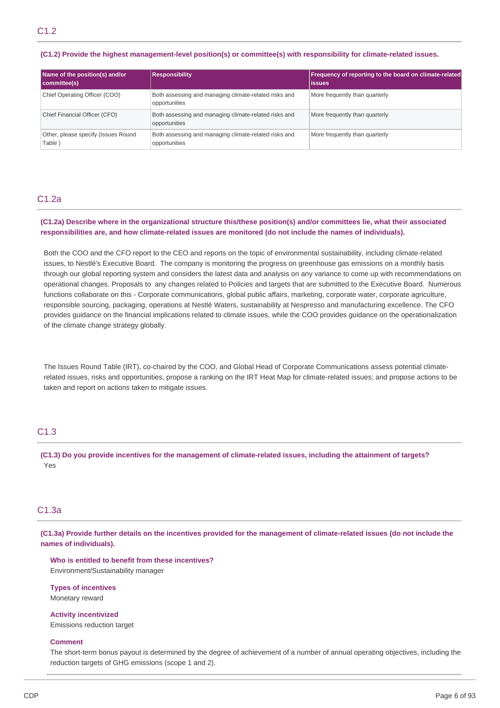### **(C1.2) Provide the highest management-level position(s) or committee(s) with responsibility for climate-related issues.**

| Name of the position(s) and/or<br>committee(s) | <b>Responsibility</b>                                                  | Frequency of reporting to the board on climate-related<br><b>lissues</b> |
|------------------------------------------------|------------------------------------------------------------------------|--------------------------------------------------------------------------|
| Chief Operating Officer (COO)                  | Both assessing and managing climate-related risks and<br>opportunities | More frequently than quarterly                                           |
| Chief Financial Officer (CFO)                  | Both assessing and managing climate-related risks and<br>opportunities | More frequently than quarterly                                           |
| Other, please specify (Issues Round<br>Table)  | Both assessing and managing climate-related risks and<br>opportunities | More frequently than quarterly                                           |

# C1.2a

# (C1.2a) Describe where in the organizational structure this/these position(s) and/or committees lie, what their associated **responsibilities are, and how climate-related issues are monitored (do not include the names of individuals).**

Both the COO and the CFO report to the CEO and reports on the topic of environmental sustainability, including climate-related issues, to Nestlé's Executive Board. The company is monitoring the progress on greenhouse gas emissions on a monthly basis through our global reporting system and considers the latest data and analysis on any variance to come up with recommendations on operational changes. Proposals to any changes related to Policies and targets that are submitted to the Executive Board. Numerous functions collaborate on this - Corporate communications, global public affairs, marketing, corporate water, corporate agriculture, responsible sourcing, packaging, operations at Nestlé Waters, sustainability at Nespresso and manufacturing excellence. The CFO provides guidance on the financial implications related to climate issues, while the COO provides guidance on the operationalization of the climate change strategy globally.

The Issues Round Table (IRT), co-chaired by the COO, and Global Head of Corporate Communications assess potential climaterelated issues, risks and opportunities, propose a ranking on the IRT Heat Map for climate-related issues; and propose actions to be taken and report on actions taken to mitigate issues.

# C1.3

(C1.3) Do you provide incentives for the management of climate-related issues, including the attainment of targets? Yes

# C1.3a

(C1.3a) Provide further details on the incentives provided for the management of climate-related issues (do not include the **names of individuals).**

**Who is entitled to benefit from these incentives?** Environment/Sustainability manager

**Types of incentives** Monetary reward

**Activity incentivized**

Emissions reduction target

# **Comment**

The short-term bonus payout is determined by the degree of achievement of a number of annual operating objectives, including the reduction targets of GHG emissions (scope 1 and 2).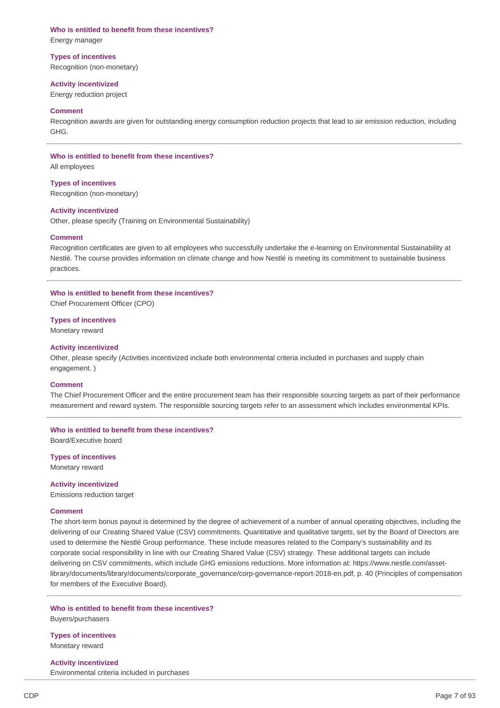# **Who is entitled to benefit from these incentives?** Energy manager

**Types of incentives** Recognition (non-monetary)

**Activity incentivized** Energy reduction project

# **Comment**

Recognition awards are given for outstanding energy consumption reduction projects that lead to air emission reduction, including GHG.

# **Who is entitled to benefit from these incentives?**

All employees

# **Types of incentives**

Recognition (non-monetary)

# **Activity incentivized**

Other, please specify (Training on Environmental Sustainability)

# **Comment**

Recognition certificates are given to all employees who successfully undertake the e-learning on Environmental Sustainability at Nestlé. The course provides information on climate change and how Nestlé is meeting its commitment to sustainable business practices.

# **Who is entitled to benefit from these incentives?**

Chief Procurement Officer (CPO)

**Types of incentives**

# Monetary reward

# **Activity incentivized**

Other, please specify (Activities incentivized include both environmental criteria included in purchases and supply chain engagement. )

## **Comment**

The Chief Procurement Officer and the entire procurement team has their responsible sourcing targets as part of their performance measurement and reward system. The responsible sourcing targets refer to an assessment which includes environmental KPIs.

# **Who is entitled to benefit from these incentives?**

Board/Executive board

**Types of incentives** Monetary reward

**Activity incentivized** Emissions reduction target

### **Comment**

The short-term bonus payout is determined by the degree of achievement of a number of annual operating objectives, including the delivering of our Creating Shared Value (CSV) commitments. Quantitative and qualitative targets, set by the Board of Directors are used to determine the Nestlé Group performance. These include measures related to the Company's sustainability and its corporate social responsibility in line with our Creating Shared Value (CSV) strategy. These additional targets can include delivering on CSV commitments, which include GHG emissions reductions. More information at: https://www.nestle.com/assetlibrary/documents/library/documents/corporate\_governance/corp-governance-report-2018-en.pdf, p. 40 (Principles of compensation for members of the Executive Board).

**Who is entitled to benefit from these incentives?** Buyers/purchasers

**Types of incentives** Monetary reward

**Activity incentivized** Environmental criteria included in purchases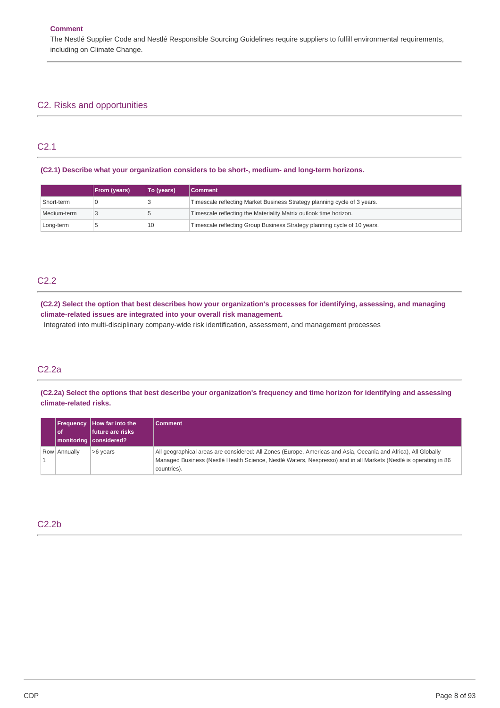The Nestlé Supplier Code and Nestlé Responsible Sourcing Guidelines require suppliers to fulfill environmental requirements, including on Climate Change.

# C2. Risks and opportunities

# C2.1

# **(C2.1) Describe what your organization considers to be short-, medium- and long-term horizons.**

|             | <b>From (years)</b> | To (years) | <b>Comment</b>                                                           |
|-------------|---------------------|------------|--------------------------------------------------------------------------|
| Short-term  |                     |            | Timescale reflecting Market Business Strategy planning cycle of 3 years. |
| Medium-term |                     |            | Timescale reflecting the Materiality Matrix outlook time horizon.        |
| Long-term   |                     | 10         | Timescale reflecting Group Business Strategy planning cycle of 10 years. |

# C2.2

(C2.2) Select the option that best describes how your organization's processes for identifying, assessing, and managing **climate-related issues are integrated into your overall risk management.**

Integrated into multi-disciplinary company-wide risk identification, assessment, and management processes

# C2.2a

(C2.2a) Select the options that best describe your organization's frequency and time horizon for identifying and assessing **climate-related risks.**

| l of:        | Frequency How far into the<br><b>I</b> future are risks<br>  monitoring   considered? 1 | <b>Comment</b>                                                                                                                                                                                                                                    |
|--------------|-----------------------------------------------------------------------------------------|---------------------------------------------------------------------------------------------------------------------------------------------------------------------------------------------------------------------------------------------------|
| Row Annually | >6 years                                                                                | All geographical areas are considered: All Zones (Europe, Americas and Asia, Oceania and Africa), All Globally<br>Managed Business (Nestlé Health Science, Nestlé Waters, Nespresso) and in all Markets (Nestlé is operating in 86<br>countries). |

# C2.2b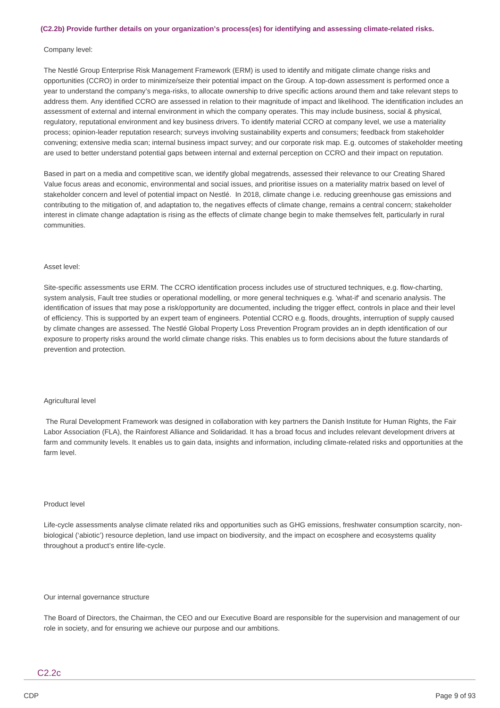#### **(C2.2b) Provide further details on your organization's process(es) for identifying and assessing climate-related risks.**

#### Company level:

The Nestlé Group Enterprise Risk Management Framework (ERM) is used to identify and mitigate climate change risks and opportunities (CCRO) in order to minimize/seize their potential impact on the Group. A top-down assessment is performed once a year to understand the company's mega-risks, to allocate ownership to drive specific actions around them and take relevant steps to address them. Any identified CCRO are assessed in relation to their magnitude of impact and likelihood. The identification includes an assessment of external and internal environment in which the company operates. This may include business, social & physical, regulatory, reputational environment and key business drivers. To identify material CCRO at company level, we use a materiality process; opinion-leader reputation research; surveys involving sustainability experts and consumers; feedback from stakeholder convening; extensive media scan; internal business impact survey; and our corporate risk map. E.g. outcomes of stakeholder meeting are used to better understand potential gaps between internal and external perception on CCRO and their impact on reputation.

Based in part on a media and competitive scan, we identify global megatrends, assessed their relevance to our Creating Shared Value focus areas and economic, environmental and social issues, and prioritise issues on a materiality matrix based on level of stakeholder concern and level of potential impact on Nestlé. In 2018, climate change i.e. reducing greenhouse gas emissions and contributing to the mitigation of, and adaptation to, the negatives effects of climate change, remains a central concern; stakeholder interest in climate change adaptation is rising as the effects of climate change begin to make themselves felt, particularly in rural communities.

#### Asset level:

Site-specific assessments use ERM. The CCRO identification process includes use of structured techniques, e.g. flow-charting, system analysis, Fault tree studies or operational modelling, or more general techniques e.g. 'what-if' and scenario analysis. The identification of issues that may pose a risk/opportunity are documented, including the trigger effect, controls in place and their level of efficiency. This is supported by an expert team of engineers. Potential CCRO e.g. floods, droughts, interruption of supply caused by climate changes are assessed. The Nestlé Global Property Loss Prevention Program provides an in depth identification of our exposure to property risks around the world climate change risks. This enables us to form decisions about the future standards of prevention and protection.

#### Agricultural level

The Rural Development Framework was designed in collaboration with key partners the Danish Institute for Human Rights, the Fair Labor Association (FLA), the Rainforest Alliance and Solidaridad. It has a broad focus and includes relevant development drivers at farm and community levels. It enables us to gain data, insights and information, including climate-related risks and opportunities at the farm level.

#### Product level

Life-cycle assessments analyse climate related riks and opportunities such as GHG emissions, freshwater consumption scarcity, nonbiological ('abiotic') resource depletion, land use impact on biodiversity, and the impact on ecosphere and ecosystems quality throughout a product's entire life-cycle.

#### Our internal governance structure

The Board of Directors, the Chairman, the CEO and our Executive Board are responsible for the supervision and management of our role in society, and for ensuring we achieve our purpose and our ambitions.

#### C2.2c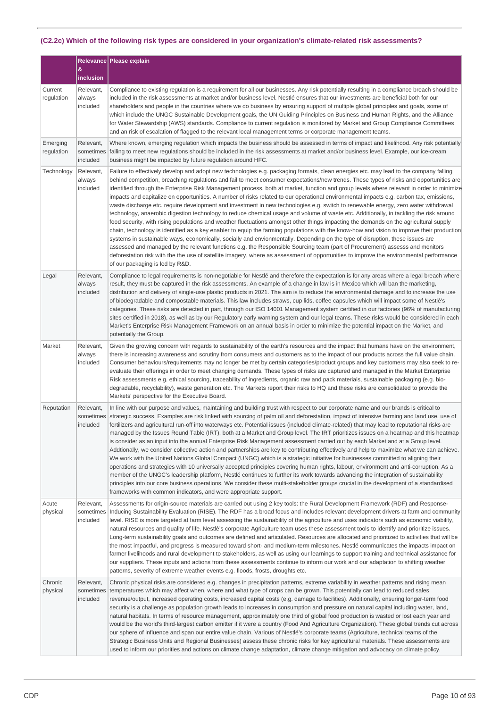# **(C2.2c) Which of the following risk types are considered in your organization's climate-related risk assessments?**

|                        | &                                  | Relevance Please explain                                                                                                                                                                                                                                                                                                                                                                                                                                                                                                                                                                                                                                                                                                                                                                                                                                                                                                                                                                                                                                                                                                                                                                                                                                                                                                                                                                                                                                                                                                                                                                      |
|------------------------|------------------------------------|-----------------------------------------------------------------------------------------------------------------------------------------------------------------------------------------------------------------------------------------------------------------------------------------------------------------------------------------------------------------------------------------------------------------------------------------------------------------------------------------------------------------------------------------------------------------------------------------------------------------------------------------------------------------------------------------------------------------------------------------------------------------------------------------------------------------------------------------------------------------------------------------------------------------------------------------------------------------------------------------------------------------------------------------------------------------------------------------------------------------------------------------------------------------------------------------------------------------------------------------------------------------------------------------------------------------------------------------------------------------------------------------------------------------------------------------------------------------------------------------------------------------------------------------------------------------------------------------------|
|                        | inclusion                          |                                                                                                                                                                                                                                                                                                                                                                                                                                                                                                                                                                                                                                                                                                                                                                                                                                                                                                                                                                                                                                                                                                                                                                                                                                                                                                                                                                                                                                                                                                                                                                                               |
| Current<br>regulation  | Relevant,<br>always<br>included    | Compliance to existing regulation is a requirement for all our businesses. Any risk potentially resulting in a compliance breach should be<br>included in the risk assessments at market and/or business level. Nestlé ensures that our investments are beneficial both for our<br>shareholders and people in the countries where we do business by ensuring support of multiple global principles and goals, some of<br>which include the UNGC Sustainable Development goals, the UN Guiding Principles on Business and Human Rights, and the Alliance<br>for Water Stewardship (AWS) standards. Compliance to current regulation is monitored by Market and Group Compliance Committees<br>and an risk of escalation of flagged to the relevant local management terms or corporate management teams.                                                                                                                                                                                                                                                                                                                                                                                                                                                                                                                                                                                                                                                                                                                                                                                       |
| Emerging<br>regulation | Relevant,<br>sometimes<br>included | Where known, emerging regulation which impacts the business should be assessed in terms of impact and likelihood. Any risk potentially<br>failing to meet new regulations should be included in the risk assessments at market and/or business level. Example, our ice-cream<br>business might be impacted by future regulation around HFC.                                                                                                                                                                                                                                                                                                                                                                                                                                                                                                                                                                                                                                                                                                                                                                                                                                                                                                                                                                                                                                                                                                                                                                                                                                                   |
| Technology             | Relevant,<br>always<br>included    | Failure to effectively develop and adopt new technologies e.g. packaging formats, clean energies etc. may lead to the company falling<br>behind competition, breaching regulations and fail to meet consumer expectations/new trends. These types of risks and opportunities are<br>identified through the Enterprise Risk Management process, both at market, function and group levels where relevant in order to minimize<br>impacts and capitalize on opportunities. A number of risks related to our operational environmental impacts e.g. carbon tax, emissions,<br>waste discharge etc. require development and investment in new technologies e.g. switch to renewable energy, zero water withdrawal<br>technology, anaerobic digestion technology to reduce chemical usage and volume of waste etc. Additionally, in tackling the risk around<br>food security, with rising populations and weather fluctuations amongst other things impacting the demands on the agricultural supply<br>chain, technology is identified as a key enabler to equip the farming populations with the know-how and vision to improve their production<br>systems in sustainable ways, economically, socially and envionmentally. Depending on the type of disruption, these issues are<br>assessed and managed by the relevant functions e.g. the Responsible Sourcing team (part of Procurement) assesss and monitors<br>deforestation risk with the the use of satellite imagery, where as assessment of opportunities to improve the environmental performance<br>of our packaging is led by R&D. |
| Legal                  | Relevant,<br>always<br>included    | Compliance to legal requirements is non-negotiable for Nestlé and therefore the expectation is for any areas where a legal breach where<br>result, they must be captured in the risk assessments. An example of a change in law is in Mexico which will ban the marketing,<br>distribution and delivery of single-use plastic products in 2021. The aim is to reduce the environmental damage and to increase the use<br>of biodegradable and compostable materials. This law includes straws, cup lids, coffee capsules which will impact some of Nestlè's<br>categories. These risks are detected in part, through our ISO 14001 Management system certified in our factories (96% of manufacturing<br>sites certified in 2018), as well as by our Regulatory early warning system and our legal teams. These risks would be considered in each<br>Market's Enterprise Risk Management Framework on an annual basis in order to minimize the potential impact on the Market, and<br>potentially the Group.                                                                                                                                                                                                                                                                                                                                                                                                                                                                                                                                                                                  |
| Market                 | Relevant,<br>always<br>included    | Given the growing concern with regards to sustainability of the earth's resources and the impact that humans have on the environment,<br>there is increasing awareness and scrutiny from consumers and customers as to the impact of our products across the full value chain.<br>Consumer behaviours/requirements may no longer be met by certain categories/product groups and key customers may also seek to re-<br>evaluate their offerings in order to meet changing demands. These types of risks are captured and managed in the Market Enterprise<br>Risk assessments e.g. ethical sourcing, traceability of ingredients, organic raw and pack materials, sustainable packaging (e.g. bio-<br>degradable, recyclability), waste generation etc. The Markets report their risks to HQ and these risks are consolidated to provide the<br>Markets' perspective for the Executive Board.                                                                                                                                                                                                                                                                                                                                                                                                                                                                                                                                                                                                                                                                                                 |
| Reputation             | Relevant,<br>sometimes<br>included | In line with our purpose and values, maintaining and building trust with respect to our corporate name and our brands is critical to<br>strategic success. Examples are risk linked with sourcing of palm oil and deforestation, impact of intensive farming and land use, use of<br>fertilizers and agricultural run-off into waterways etc. Potential issues (included climate-related) that may lead to reputational risks are<br>managed by the Issues Round Table (IRT), both at a Market and Group level. The IRT prioritizes issues on a heatmap and this heatmap<br>is consider as an input into the annual Enterprise Risk Management assessment carried out by each Market and at a Group level.<br>Addtionally, we consider collective action and partnerships are key to contributing effectively and help to maximize what we can achieve.<br>We work with the United Nations Global Compact (UNGC) which is a strategic initiative for businesses committed to aligning their<br>operations and strategies with 10 universally accepted principles covering human rights, labour, environment and anti-corruption. As a<br>member of the UNGC's leadership platform, Nestlé continues to further its work towards advancing the integration of sustainability<br>principles into our core business operations. We consider these multi-stakeholder groups crucial in the development of a standardised<br>frameworks with common indicators, and were appropriate support.                                                                                                      |
| Acute<br>physical      | Relevant,<br>sometimes<br>included | Assessments for origin-source materials are carried out using 2 key tools: the Rural Development Framework (RDF) and Response-<br>Inducing Sustainability Evaluation (RISE). The RDF has a broad focus and includes relevant development drivers at farm and community<br>level. RISE is more targeted at farm level assessing the sustainability of the agriculture and uses indicators such as economic viability,<br>natural resources and quality of life. Nestlè's corporate Agriculture team uses these assessment tools to identify and prioritize issues.<br>Long-term sustainability goals and outcomes are defined and articulated. Resources are allocated and prioritized to activities that will be<br>the most impactful, and progress is measured toward short- and medium-term milestones. Nestlé communicates the impacts impact on<br>farmer livelihoods and rural development to stakeholders, as well as using our learnings to support training and technical assistance for<br>our suppliers. These inputs and actions from these assessments continue to inform our work and our adaptation to shifting weather<br>patterns, severity of extreme weather events e.g. floods, frosts, droughts etc.                                                                                                                                                                                                                                                                                                                                                                     |
| Chronic<br>physical    | Relevant,<br>sometimes<br>included | Chronic physical risks are considered e.g. changes in precipitation patterns, extreme variability in weather patterns and rising mean<br>temperatures which may affect when, where and what type of crops can be grown. This potentially can lead to reduced sales<br>revenue/output, increased operating costs, increased capital costs (e.g. damage to facilities). Additionally, ensuring longer-term food<br>security is a challenge as population growth leads to increases in consumption and pressure on natural capital including water, land,<br>natural habitats. In terms of resource management, approximately one third of global food production is wasted or lost each year and<br>would be the world's third-largest carbon emitter if it were a country (Food And Agriculture Organization). These global trends cut across<br>our sphere of influence and span our entire value chain. Various of Nestlé's corporate teams (Agriculture, technical teams of the<br>Strategic Business Units and Regional Businesses) assess these chronic risks for key agricultural materials. These assessments are<br>used to inform our priorities and actions on climate change adaptation, climate change mitigation and advocacy on climate policy.                                                                                                                                                                                                                                                                                                                                  |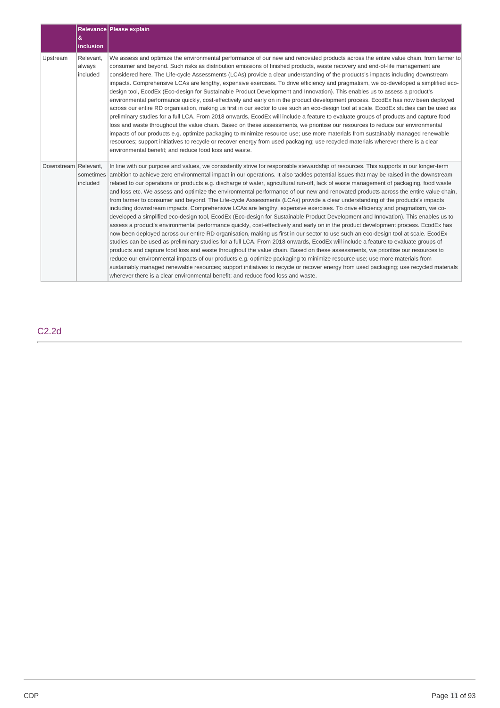|                      | &<br>inclusion                  | Relevance Please explain                                                                                                                                                                                                                                                                                                                                                                                                                                                                                                                                                                                                                                                                                                                                                                                                                                                                                                                                                                                                                                                                                                                                                                                                                                                                                                                                                                                                                                                                                                                                                                                                                                                                                                                                                                                                                                                                           |
|----------------------|---------------------------------|----------------------------------------------------------------------------------------------------------------------------------------------------------------------------------------------------------------------------------------------------------------------------------------------------------------------------------------------------------------------------------------------------------------------------------------------------------------------------------------------------------------------------------------------------------------------------------------------------------------------------------------------------------------------------------------------------------------------------------------------------------------------------------------------------------------------------------------------------------------------------------------------------------------------------------------------------------------------------------------------------------------------------------------------------------------------------------------------------------------------------------------------------------------------------------------------------------------------------------------------------------------------------------------------------------------------------------------------------------------------------------------------------------------------------------------------------------------------------------------------------------------------------------------------------------------------------------------------------------------------------------------------------------------------------------------------------------------------------------------------------------------------------------------------------------------------------------------------------------------------------------------------------|
| Upstream             | Relevant,<br>always<br>included | We assess and optimize the environmental performance of our new and renovated products across the entire value chain, from farmer to<br>consumer and beyond. Such risks as distribution emissions of finished products, waste recovery and end-of-life management are<br>considered here. The Life-cycle Assessments (LCAs) provide a clear understanding of the products's impacts including downstream<br>impacts. Comprehensive LCAs are lengthy, expensive exercises. To drive efficiency and pragmatism, we co-developed a simplified eco-<br>design tool, EcodEx (Eco-design for Sustainable Product Development and Innovation). This enables us to assess a product's<br>environmental performance quickly, cost-effectively and early on in the product development process. EcodEx has now been deployed<br>across our entire RD organisation, making us first in our sector to use such an eco-design tool at scale. EcodEx studies can be used as<br>preliminary studies for a full LCA. From 2018 onwards, EcodEx will include a feature to evaluate groups of products and capture food<br>loss and waste throughout the value chain. Based on these assessments, we prioritise our resources to reduce our environmental<br>impacts of our products e.g. optimize packaging to minimize resource use; use more materials from sustainably managed renewable<br>resources; support initiatives to recycle or recover energy from used packaging; use recycled materials wherever there is a clear<br>environmental benefit; and reduce food loss and waste.                                                                                                                                                                                                                                                                                                                          |
| Downstream Relevant, | included                        | In line with our purpose and values, we consistently strive for responsible stewardship of resources. This supports in our longer-term<br>sometimes ambition to achieve zero environmental impact in our operations. It also tackles potential issues that may be raised in the downstream<br>related to our operations or products e.g. discharge of water, agricultural run-off, lack of waste management of packaging, food waste<br>and loss etc. We assess and optimize the environmental performance of our new and renovated products across the entire value chain,<br>from farmer to consumer and beyond. The Life-cycle Assessments (LCAs) provide a clear understanding of the products's impacts<br>including downstream impacts. Comprehensive LCAs are lengthy, expensive exercises. To drive efficiency and pragmatism, we co-<br>developed a simplified eco-design tool, EcodEx (Eco-design for Sustainable Product Development and Innovation). This enables us to<br>assess a product's environmental performance quickly, cost-effectively and early on in the product development process. EcodEx has<br>now been deployed across our entire RD organisation, making us first in our sector to use such an eco-design tool at scale. EcodEx<br>studies can be used as preliminary studies for a full LCA. From 2018 onwards, EcodEx will include a feature to evaluate groups of<br>products and capture food loss and waste throughout the value chain. Based on these assessments, we prioritise our resources to<br>reduce our environmental impacts of our products e.g. optimize packaging to minimize resource use; use more materials from<br>sustainably managed renewable resources; support initiatives to recycle or recover energy from used packaging; use recycled materials<br>wherever there is a clear environmental benefit; and reduce food loss and waste. |

# C2.2d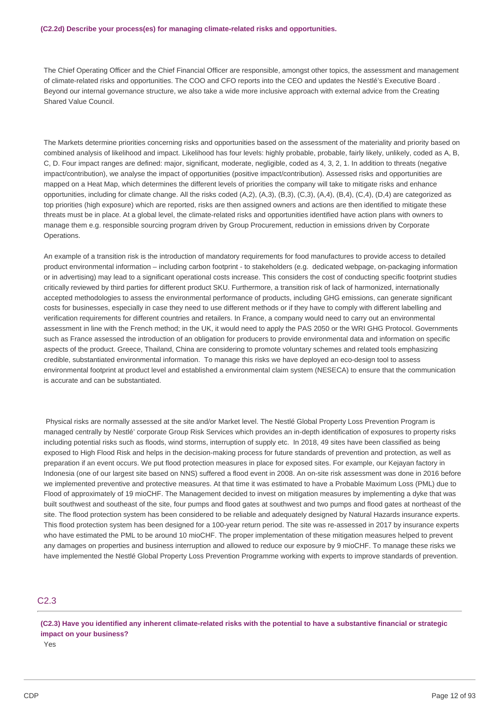The Chief Operating Officer and the Chief Financial Officer are responsible, amongst other topics, the assessment and management of climate-related risks and opportunities. The COO and CFO reports into the CEO and updates the Nestlé's Executive Board . Beyond our internal governance structure, we also take a wide more inclusive approach with external advice from the Creating Shared Value Council.

The Markets determine priorities concerning risks and opportunities based on the assessment of the materiality and priority based on combined analysis of likelihood and impact. Likelihood has four levels: highly probable, probable, fairly likely, unlikely, coded as A, B, C, D. Four impact ranges are defined: major, significant, moderate, negligible, coded as 4, 3, 2, 1. In addition to threats (negative impact/contribution), we analyse the impact of opportunities (positive impact/contribution). Assessed risks and opportunities are mapped on a Heat Map, which determines the different levels of priorities the company will take to mitigate risks and enhance opportunities, including for climate change. All the risks coded (A,2), (A,3), (B,3), (C,3), (A,4), (B,4), (C,4), (D,4) are categorized as top priorities (high exposure) which are reported, risks are then assigned owners and actions are then identified to mitigate these threats must be in place. At a global level, the climate-related risks and opportunities identified have action plans with owners to manage them e.g. responsible sourcing program driven by Group Procurement, reduction in emissions driven by Corporate Operations.

An example of a transition risk is the introduction of mandatory requirements for food manufactures to provide access to detailed product environmental information – including carbon footprint - to stakeholders (e.g. dedicated webpage, on-packaging information or in advertising) may lead to a significant operational costs increase. This considers the cost of conducting specific footprint studies critically reviewed by third parties for different product SKU. Furthermore, a transition risk of lack of harmonized, internationally accepted methodologies to assess the environmental performance of products, including GHG emissions, can generate significant costs for businesses, especially in case they need to use different methods or if they have to comply with different labelling and verification requirements for different countries and retailers. In France, a company would need to carry out an environmental assessment in line with the French method; in the UK, it would need to apply the PAS 2050 or the WRI GHG Protocol. Governments such as France assessed the introduction of an obligation for producers to provide environmental data and information on specific aspects of the product. Greece, Thailand, China are considering to promote voluntary schemes and related tools emphasizing credible, substantiated environmental information. To manage this risks we have deployed an eco-design tool to assess environmental footprint at product level and established a environmental claim system (NESECA) to ensure that the communication is accurate and can be substantiated.

Physical risks are normally assessed at the site and/or Market level. The Nestlé Global Property Loss Prevention Program is managed centrally by Nestlé' corporate Group Risk Services which provides an in-depth identification of exposures to property risks including potential risks such as floods, wind storms, interruption of supply etc. In 2018, 49 sites have been classified as being exposed to High Flood Risk and helps in the decision-making process for future standards of prevention and protection, as well as preparation if an event occurs. We put flood protection measures in place for exposed sites. For example, our Kejayan factory in Indonesia (one of our largest site based on NNS) suffered a flood event in 2008. An on-site risk assessment was done in 2016 before we implemented preventive and protective measures. At that time it was estimated to have a Probable Maximum Loss (PML) due to Flood of approximately of 19 mioCHF. The Management decided to invest on mitigation measures by implementing a dyke that was built southwest and southeast of the site, four pumps and flood gates at southwest and two pumps and flood gates at northeast of the site. The flood protection system has been considered to be reliable and adequately designed by Natural Hazards insurance experts. This flood protection system has been designed for a 100-year return period. The site was re-assessed in 2017 by insurance experts who have estimated the PML to be around 10 mioCHF. The proper implementation of these mitigation measures helped to prevent any damages on properties and business interruption and allowed to reduce our exposure by 9 mioCHF. To manage these risks we have implemented the Nestlé Global Property Loss Prevention Programme working with experts to improve standards of prevention.

# C2.3

(C2.3) Have you identified any inherent climate-related risks with the potential to have a substantive financial or strategic **impact on your business?**

Yes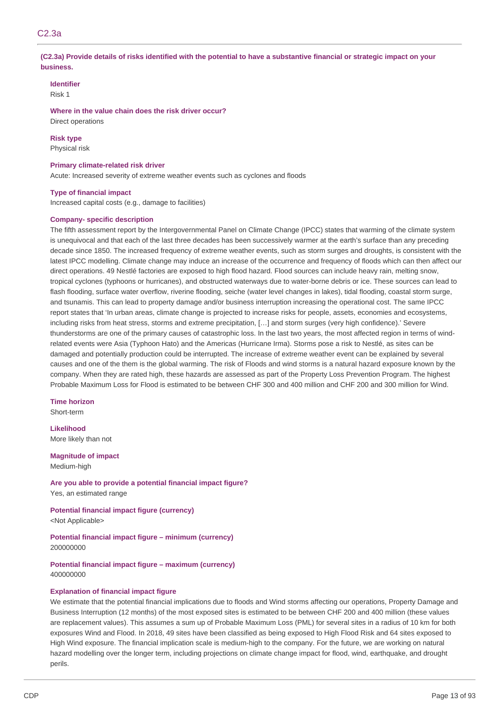# (C2.3a) Provide details of risks identified with the potential to have a substantive financial or strategic impact on your **business.**

### **Identifier**

Risk 1

# **Where in the value chain does the risk driver occur?**

Direct operations

### **Risk type**

Physical risk

#### **Primary climate-related risk driver**

Acute: Increased severity of extreme weather events such as cyclones and floods

#### **Type of financial impact**

Increased capital costs (e.g., damage to facilities)

### **Company- specific description**

The fifth assessment report by the Intergovernmental Panel on Climate Change (IPCC) states that warming of the climate system is unequivocal and that each of the last three decades has been successively warmer at the earth's surface than any preceding decade since 1850. The increased frequency of extreme weather events, such as storm surges and droughts, is consistent with the latest IPCC modelling. Climate change may induce an increase of the occurrence and frequency of floods which can then affect our direct operations. 49 Nestlé factories are exposed to high flood hazard. Flood sources can include heavy rain, melting snow, tropical cyclones (typhoons or hurricanes), and obstructed waterways due to water-borne debris or ice. These sources can lead to flash flooding, surface water overflow, riverine flooding, seiche (water level changes in lakes), tidal flooding, coastal storm surge, and tsunamis. This can lead to property damage and/or business interruption increasing the operational cost. The same IPCC report states that 'In urban areas, climate change is projected to increase risks for people, assets, economies and ecosystems, including risks from heat stress, storms and extreme precipitation, […] and storm surges (very high confidence).' Severe thunderstorms are one of the primary causes of catastrophic loss. In the last two years, the most affected region in terms of windrelated events were Asia (Typhoon Hato) and the Americas (Hurricane Irma). Storms pose a risk to Nestlé, as sites can be damaged and potentially production could be interrupted. The increase of extreme weather event can be explained by several causes and one of the them is the global warming. The risk of Floods and wind storms is a natural hazard exposure known by the company. When they are rated high, these hazards are assessed as part of the Property Loss Prevention Program. The highest Probable Maximum Loss for Flood is estimated to be between CHF 300 and 400 million and CHF 200 and 300 million for Wind.

### **Time horizon**

Short-term

# **Likelihood** More likely than not

### **Magnitude of impact**

Medium-high

# **Are you able to provide a potential financial impact figure?** Yes, an estimated range

# **Potential financial impact figure (currency)**

<Not Applicable>

## **Potential financial impact figure – minimum (currency)** 200000000

# **Potential financial impact figure – maximum (currency)** 400000000

### **Explanation of financial impact figure**

We estimate that the potential financial implications due to floods and Wind storms affecting our operations, Property Damage and Business Interruption (12 months) of the most exposed sites is estimated to be between CHF 200 and 400 million (these values are replacement values). This assumes a sum up of Probable Maximum Loss (PML) for several sites in a radius of 10 km for both exposures Wind and Flood. In 2018, 49 sites have been classified as being exposed to High Flood Risk and 64 sites exposed to High Wind exposure. The financial implication scale is medium-high to the company. For the future, we are working on natural hazard modelling over the longer term, including projections on climate change impact for flood, wind, earthquake, and drought perils.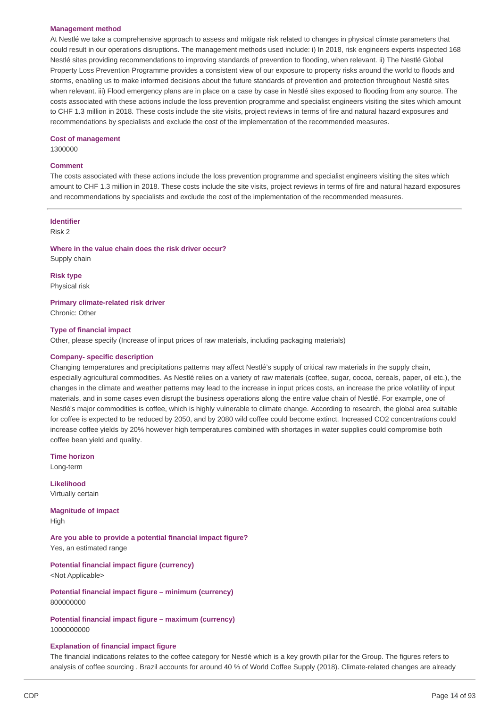#### **Management method**

At Nestlé we take a comprehensive approach to assess and mitigate risk related to changes in physical climate parameters that could result in our operations disruptions. The management methods used include: i) In 2018, risk engineers experts inspected 168 Nestlé sites providing recommendations to improving standards of prevention to flooding, when relevant. ii) The Nestlé Global Property Loss Prevention Programme provides a consistent view of our exposure to property risks around the world to floods and storms, enabling us to make informed decisions about the future standards of prevention and protection throughout Nestlé sites when relevant. iii) Flood emergency plans are in place on a case by case in Nestlé sites exposed to flooding from any source. The costs associated with these actions include the loss prevention programme and specialist engineers visiting the sites which amount to CHF 1.3 million in 2018. These costs include the site visits, project reviews in terms of fire and natural hazard exposures and recommendations by specialists and exclude the cost of the implementation of the recommended measures.

#### **Cost of management**

1300000

#### **Comment**

The costs associated with these actions include the loss prevention programme and specialist engineers visiting the sites which amount to CHF 1.3 million in 2018. These costs include the site visits, project reviews in terms of fire and natural hazard exposures and recommendations by specialists and exclude the cost of the implementation of the recommended measures.

#### **Identifier**

Risk 2

#### **Where in the value chain does the risk driver occur?**

Supply chain

**Risk type** Physical risk

**Primary climate-related risk driver**

Chronic: Other

#### **Type of financial impact**

Other, please specify (Increase of input prices of raw materials, including packaging materials)

## **Company- specific description**

Changing temperatures and precipitations patterns may affect Nestlé's supply of critical raw materials in the supply chain, especially agricultural commodities. As Nestlé relies on a variety of raw materials (coffee, sugar, cocoa, cereals, paper, oil etc.), the changes in the climate and weather patterns may lead to the increase in input prices costs, an increase the price volatility of input materials, and in some cases even disrupt the business operations along the entire value chain of Nestlé. For example, one of Nestlé's major commodities is coffee, which is highly vulnerable to climate change. According to research, the global area suitable for coffee is expected to be reduced by 2050, and by 2080 wild coffee could become extinct. Increased CO2 concentrations could increase coffee yields by 20% however high temperatures combined with shortages in water supplies could compromise both coffee bean yield and quality.

**Time horizon** Long-term

**Likelihood** Virtually certain

**Magnitude of impact High** 

**Are you able to provide a potential financial impact figure?** Yes, an estimated range

**Potential financial impact figure (currency)** <Not Applicable>

**Potential financial impact figure – minimum (currency)** 800000000

**Potential financial impact figure – maximum (currency)** 1000000000

### **Explanation of financial impact figure**

The financial indications relates to the coffee category for Nestlé which is a key growth pillar for the Group. The figures refers to analysis of coffee sourcing . Brazil accounts for around 40 % of World Coffee Supply (2018). Climate-related changes are already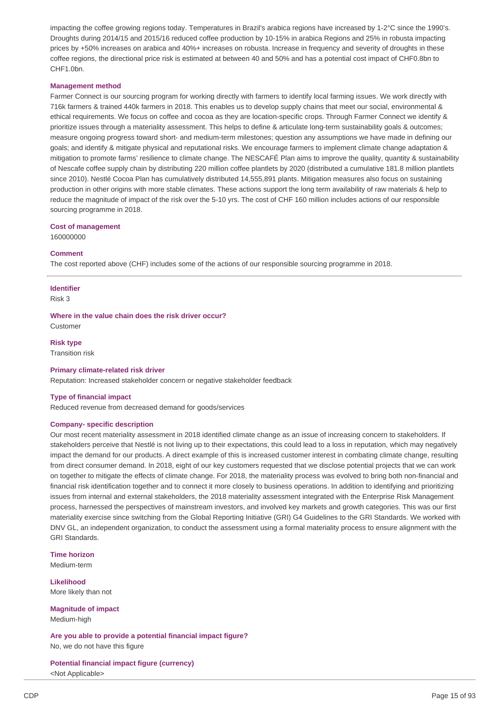impacting the coffee growing regions today. Temperatures in Brazil's arabica regions have increased by 1-2°C since the 1990's. Droughts during 2014/15 and 2015/16 reduced coffee production by 10-15% in arabica Regions and 25% in robusta impacting prices by +50% increases on arabica and 40%+ increases on robusta. Increase in frequency and severity of droughts in these coffee regions, the directional price risk is estimated at between 40 and 50% and has a potential cost impact of CHF0.8bn to CHF1.0bn.

### **Management method**

Farmer Connect is our sourcing program for working directly with farmers to identify local farming issues. We work directly with 716k farmers & trained 440k farmers in 2018. This enables us to develop supply chains that meet our social, environmental & ethical requirements. We focus on coffee and cocoa as they are location-specific crops. Through Farmer Connect we identify & prioritize issues through a materiality assessment. This helps to define & articulate long-term sustainability goals & outcomes; measure ongoing progress toward short- and medium-term milestones; question any assumptions we have made in defining our goals; and identify & mitigate physical and reputational risks. We encourage farmers to implement climate change adaptation & mitigation to promote farms' resilience to climate change. The NESCAFÉ Plan aims to improve the quality, quantity & sustainability of Nescafe coffee supply chain by distributing 220 million coffee plantlets by 2020 (distributed a cumulative 181.8 million plantlets since 2010). Nestlé Cocoa Plan has cumulatively distributed 14,555,891 plants. Mitigation measures also focus on sustaining production in other origins with more stable climates. These actions support the long term availability of raw materials & help to reduce the magnitude of impact of the risk over the 5-10 yrs. The cost of CHF 160 million includes actions of our responsible sourcing programme in 2018.

#### **Cost of management**

160000000

#### **Comment**

The cost reported above (CHF) includes some of the actions of our responsible sourcing programme in 2018.

#### **Identifier**

Risk 3

**Where in the value chain does the risk driver occur?** Customer

**Risk type** Transition risk

## **Primary climate-related risk driver**

Reputation: Increased stakeholder concern or negative stakeholder feedback

#### **Type of financial impact**

Reduced revenue from decreased demand for goods/services

#### **Company- specific description**

Our most recent materiality assessment in 2018 identified climate change as an issue of increasing concern to stakeholders. If stakeholders perceive that Nestlé is not living up to their expectations, this could lead to a loss in reputation, which may negatively impact the demand for our products. A direct example of this is increased customer interest in combating climate change, resulting from direct consumer demand. In 2018, eight of our key customers requested that we disclose potential projects that we can work on together to mitigate the effects of climate change. For 2018, the materiality process was evolved to bring both non-financial and financial risk identification together and to connect it more closely to business operations. In addition to identifying and prioritizing issues from internal and external stakeholders, the 2018 materiality assessment integrated with the Enterprise Risk Management process, harnessed the perspectives of mainstream investors, and involved key markets and growth categories. This was our first materiality exercise since switching from the Global Reporting Initiative (GRI) G4 Guidelines to the GRI Standards. We worked with DNV GL, an independent organization, to conduct the assessment using a formal materiality process to ensure alignment with the GRI Standards.

**Time horizon** Medium-term

**Likelihood** More likely than not

**Magnitude of impact** Medium-high

**Are you able to provide a potential financial impact figure?** No, we do not have this figure

**Potential financial impact figure (currency)** <Not Applicable>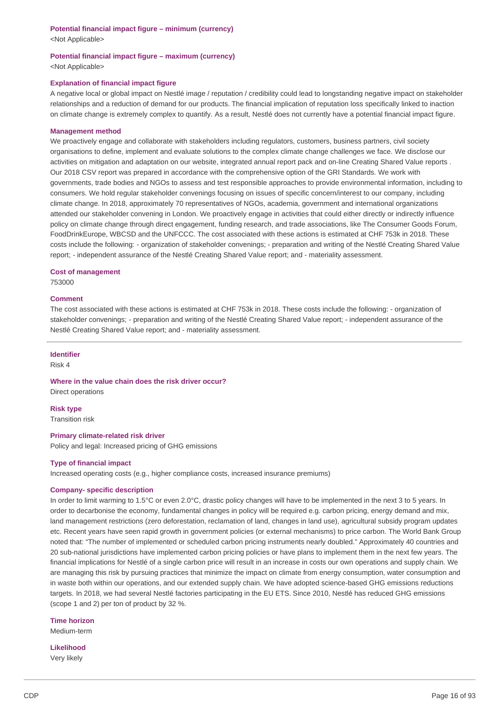# **Potential financial impact figure – minimum (currency)**

<Not Applicable>

# **Potential financial impact figure – maximum (currency)**

<Not Applicable>

### **Explanation of financial impact figure**

A negative local or global impact on Nestlé image / reputation / credibility could lead to longstanding negative impact on stakeholder relationships and a reduction of demand for our products. The financial implication of reputation loss specifically linked to inaction on climate change is extremely complex to quantify. As a result, Nestlé does not currently have a potential financial impact figure.

#### **Management method**

We proactively engage and collaborate with stakeholders including regulators, customers, business partners, civil society organisations to define, implement and evaluate solutions to the complex climate change challenges we face. We disclose our activities on mitigation and adaptation on our website, integrated annual report pack and on-line Creating Shared Value reports . Our 2018 CSV report was prepared in accordance with the comprehensive option of the GRI Standards. We work with governments, trade bodies and NGOs to assess and test responsible approaches to provide environmental information, including to consumers. We hold regular stakeholder convenings focusing on issues of specific concern/interest to our company, including climate change. In 2018, approximately 70 representatives of NGOs, academia, government and international organizations attended our stakeholder convening in London. We proactively engage in activities that could either directly or indirectly influence policy on climate change through direct engagement, funding research, and trade associations, like The Consumer Goods Forum, FoodDrinkEurope, WBCSD and the UNFCCC. The cost associated with these actions is estimated at CHF 753k in 2018. These costs include the following: - organization of stakeholder convenings; - preparation and writing of the Nestlé Creating Shared Value report; - independent assurance of the Nestlé Creating Shared Value report; and - materiality assessment.

#### **Cost of management**

753000

#### **Comment**

The cost associated with these actions is estimated at CHF 753k in 2018. These costs include the following: - organization of stakeholder convenings; - preparation and writing of the Nestlé Creating Shared Value report; - independent assurance of the Nestlé Creating Shared Value report; and - materiality assessment.

# **Identifier**

Risk 4

## **Where in the value chain does the risk driver occur?** Direct operations

**Risk type** Transition risk

### **Primary climate-related risk driver**

Policy and legal: Increased pricing of GHG emissions

### **Type of financial impact**

Increased operating costs (e.g., higher compliance costs, increased insurance premiums)

### **Company- specific description**

In order to limit warming to 1.5°C or even 2.0°C, drastic policy changes will have to be implemented in the next 3 to 5 years. In order to decarbonise the economy, fundamental changes in policy will be required e.g. carbon pricing, energy demand and mix, land management restrictions (zero deforestation, reclamation of land, changes in land use), agricultural subsidy program updates etc. Recent years have seen rapid growth in government policies (or external mechanisms) to price carbon. The World Bank Group noted that: "The number of implemented or scheduled carbon pricing instruments nearly doubled." Approximately 40 countries and 20 sub-national jurisdictions have implemented carbon pricing policies or have plans to implement them in the next few years. The financial implications for Nestlé of a single carbon price will result in an increase in costs our own operations and supply chain. We are managing this risk by pursuing practices that minimize the impact on climate from energy consumption, water consumption and in waste both within our operations, and our extended supply chain. We have adopted science-based GHG emissions reductions targets. In 2018, we had several Nestlé factories participating in the EU ETS. Since 2010, Nestlé has reduced GHG emissions (scope 1 and 2) per ton of product by 32 %.

**Time horizon** Medium-term

**Likelihood** Very likely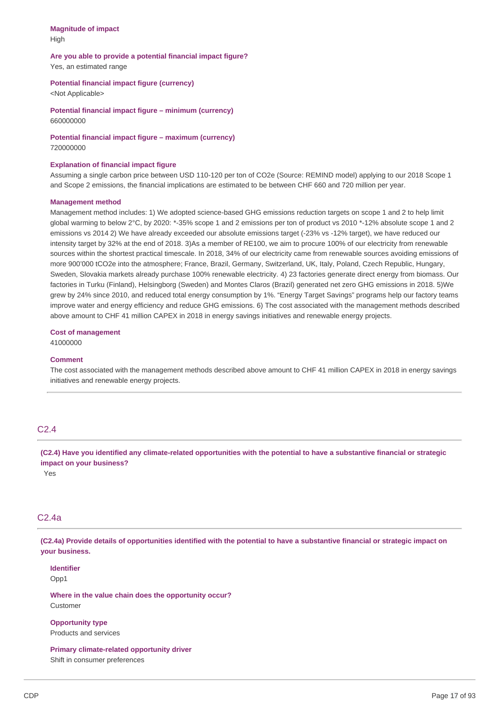**Magnitude of impact** High

**Are you able to provide a potential financial impact figure?** Yes, an estimated range

**Potential financial impact figure (currency)**

<Not Applicable>

**Potential financial impact figure – minimum (currency)** 660000000

**Potential financial impact figure – maximum (currency)** 720000000

#### **Explanation of financial impact figure**

Assuming a single carbon price between USD 110-120 per ton of CO2e (Source: REMIND model) applying to our 2018 Scope 1 and Scope 2 emissions, the financial implications are estimated to be between CHF 660 and 720 million per year.

#### **Management method**

Management method includes: 1) We adopted science-based GHG emissions reduction targets on scope 1 and 2 to help limit global warming to below 2°C, by 2020: \*-35% scope 1 and 2 emissions per ton of product vs 2010 \*-12% absolute scope 1 and 2 emissions vs 2014 2) We have already exceeded our absolute emissions target (-23% vs -12% target), we have reduced our intensity target by 32% at the end of 2018. 3)As a member of RE100, we aim to procure 100% of our electricity from renewable sources within the shortest practical timescale. In 2018, 34% of our electricity came from renewable sources avoiding emissions of more 900'000 tCO2e into the atmosphere; France, Brazil, Germany, Switzerland, UK, Italy, Poland, Czech Republic, Hungary, Sweden, Slovakia markets already purchase 100% renewable electricity. 4) 23 factories generate direct energy from biomass. Our factories in Turku (Finland), Helsingborg (Sweden) and Montes Claros (Brazil) generated net zero GHG emissions in 2018. 5)We grew by 24% since 2010, and reduced total energy consumption by 1%. "Energy Target Savings" programs help our factory teams improve water and energy efficiency and reduce GHG emissions. 6) The cost associated with the management methods described above amount to CHF 41 million CAPEX in 2018 in energy savings initiatives and renewable energy projects.

#### **Cost of management**

41000000

#### **Comment**

The cost associated with the management methods described above amount to CHF 41 million CAPEX in 2018 in energy savings initiatives and renewable energy projects.

# C2.4

(C2.4) Have you identified any climate-related opportunities with the potential to have a substantive financial or strategic **impact on your business?**

Yes

# $C<sub>2</sub>$   $4a$

(C2.4a) Provide details of opportunities identified with the potential to have a substantive financial or strategic impact on **your business.**

**Identifier**

Opp1

**Where in the value chain does the opportunity occur?** Customer

# **Opportunity type**

Products and services

## **Primary climate-related opportunity driver**

Shift in consumer preferences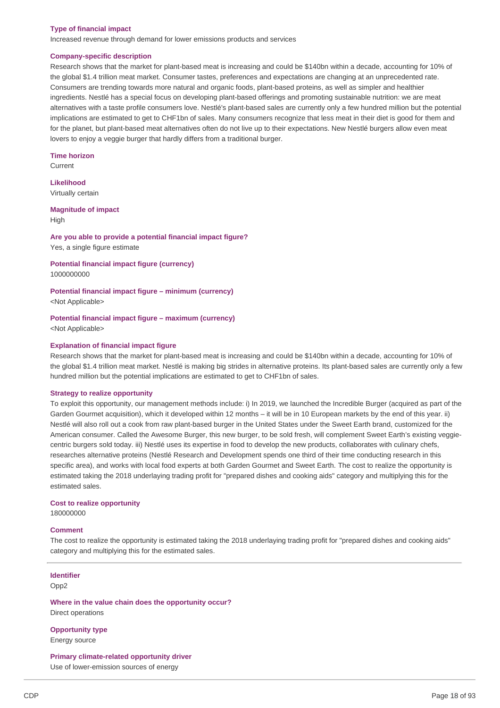#### **Type of financial impact**

Increased revenue through demand for lower emissions products and services

#### **Company-specific description**

Research shows that the market for plant-based meat is increasing and could be \$140bn within a decade, accounting for 10% of the global \$1.4 trillion meat market. Consumer tastes, preferences and expectations are changing at an unprecedented rate. Consumers are trending towards more natural and organic foods, plant-based proteins, as well as simpler and healthier ingredients. Nestlé has a special focus on developing plant-based offerings and promoting sustainable nutrition: we are meat alternatives with a taste profile consumers love. Nestlé's plant-based sales are currently only a few hundred million but the potential implications are estimated to get to CHF1bn of sales. Many consumers recognize that less meat in their diet is good for them and for the planet, but plant-based meat alternatives often do not live up to their expectations. New Nestlé burgers allow even meat lovers to enjoy a veggie burger that hardly differs from a traditional burger.

**Time horizon**

Current

**Likelihood** Virtually certain

#### **Magnitude of impact**

High

# **Are you able to provide a potential financial impact figure?** Yes, a single figure estimate

# **Potential financial impact figure (currency)**

1000000000

**Potential financial impact figure – minimum (currency)** <Not Applicable>

### **Potential financial impact figure – maximum (currency)**

<Not Applicable>

### **Explanation of financial impact figure**

Research shows that the market for plant-based meat is increasing and could be \$140bn within a decade, accounting for 10% of the global \$1.4 trillion meat market. Nestlé is making big strides in alternative proteins. Its plant-based sales are currently only a few hundred million but the potential implications are estimated to get to CHF1bn of sales.

#### **Strategy to realize opportunity**

To exploit this opportunity, our management methods include: i) In 2019, we launched the Incredible Burger (acquired as part of the Garden Gourmet acquisition), which it developed within 12 months – it will be in 10 European markets by the end of this year. ii) Nestlé will also roll out a cook from raw plant-based burger in the United States under the Sweet Earth brand, customized for the American consumer. Called the Awesome Burger, this new burger, to be sold fresh, will complement Sweet Earth's existing veggiecentric burgers sold today. iii) Nestlé uses its expertise in food to develop the new products, collaborates with culinary chefs, researches alternative proteins (Nestlé Research and Development spends one third of their time conducting research in this specific area), and works with local food experts at both Garden Gourmet and Sweet Earth. The cost to realize the opportunity is estimated taking the 2018 underlaying trading profit for "prepared dishes and cooking aids" category and multiplying this for the estimated sales.

#### **Cost to realize opportunity** 180000000

# **Comment**

The cost to realize the opportunity is estimated taking the 2018 underlaying trading profit for "prepared dishes and cooking aids" category and multiplying this for the estimated sales.

### **Identifier** Opp2

**Where in the value chain does the opportunity occur?** Direct operations

**Opportunity type** Energy source

**Primary climate-related opportunity driver** Use of lower-emission sources of energy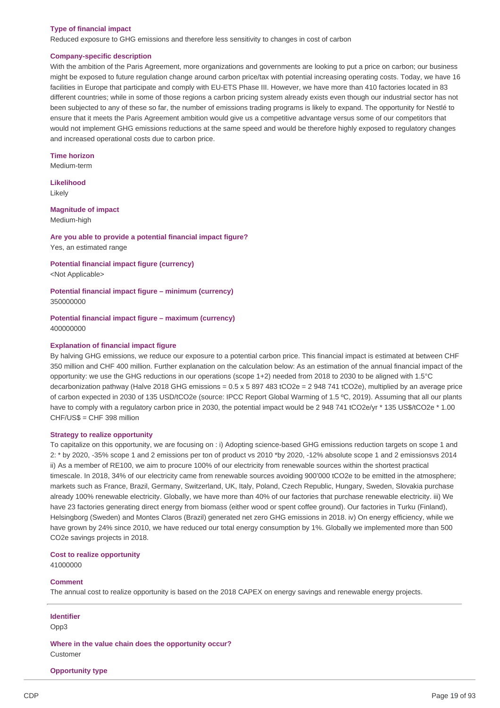#### **Type of financial impact**

Reduced exposure to GHG emissions and therefore less sensitivity to changes in cost of carbon

#### **Company-specific description**

With the ambition of the Paris Agreement, more organizations and governments are looking to put a price on carbon; our business might be exposed to future regulation change around carbon price/tax with potential increasing operating costs. Today, we have 16 facilities in Europe that participate and comply with EU-ETS Phase III. However, we have more than 410 factories located in 83 different countries; while in some of those regions a carbon pricing system already exists even though our industrial sector has not been subjected to any of these so far, the number of emissions trading programs is likely to expand. The opportunity for Nestlé to ensure that it meets the Paris Agreement ambition would give us a competitive advantage versus some of our competitors that would not implement GHG emissions reductions at the same speed and would be therefore highly exposed to regulatory changes and increased operational costs due to carbon price.

#### **Time horizon**

Medium-term

**Likelihood** Likely

## **Magnitude of impact**

Medium-high

#### **Are you able to provide a potential financial impact figure?** Yes, an estimated range

### **Potential financial impact figure (currency)**

<Not Applicable>

**Potential financial impact figure – minimum (currency)** 350000000

**Potential financial impact figure – maximum (currency)** 400000000

### **Explanation of financial impact figure**

By halving GHG emissions, we reduce our exposure to a potential carbon price. This financial impact is estimated at between CHF 350 million and CHF 400 million. Further explanation on the calculation below: As an estimation of the annual financial impact of the opportunity: we use the GHG reductions in our operations (scope 1+2) needed from 2018 to 2030 to be aligned with 1.5°C decarbonization pathway (Halve 2018 GHG emissions =  $0.5 \times 5897483$  tCO2e = 2 948 741 tCO2e), multiplied by an average price of carbon expected in 2030 of 135 USD/tCO2e (source: IPCC Report Global Warming of 1.5 ºC, 2019). Assuming that all our plants have to comply with a regulatory carbon price in 2030, the potential impact would be 2 948 741 tCO2e/yr \* 135 US\$/tCO2e \* 1.00 CHF/US\$ = CHF 398 million

#### **Strategy to realize opportunity**

To capitalize on this opportunity, we are focusing on : i) Adopting science-based GHG emissions reduction targets on scope 1 and 2: \* by 2020, -35% scope 1 and 2 emissions per ton of product vs 2010 \*by 2020, -12% absolute scope 1 and 2 emissionsvs 2014 ii) As a member of RE100, we aim to procure 100% of our electricity from renewable sources within the shortest practical timescale. In 2018, 34% of our electricity came from renewable sources avoiding 900'000 tCO2e to be emitted in the atmosphere; markets such as France, Brazil, Germany, Switzerland, UK, Italy, Poland, Czech Republic, Hungary, Sweden, Slovakia purchase already 100% renewable electricity. Globally, we have more than 40% of our factories that purchase renewable electricity. iii) We have 23 factories generating direct energy from biomass (either wood or spent coffee ground). Our factories in Turku (Finland), Helsingborg (Sweden) and Montes Claros (Brazil) generated net zero GHG emissions in 2018. iv) On energy efficiency, while we have grown by 24% since 2010, we have reduced our total energy consumption by 1%. Globally we implemented more than 500 CO2e savings projects in 2018.

#### **Cost to realize opportunity**

41000000

#### **Comment**

The annual cost to realize opportunity is based on the 2018 CAPEX on energy savings and renewable energy projects.

### **Identifier**

Opp3

**Where in the value chain does the opportunity occur?** Customer

#### **Opportunity type**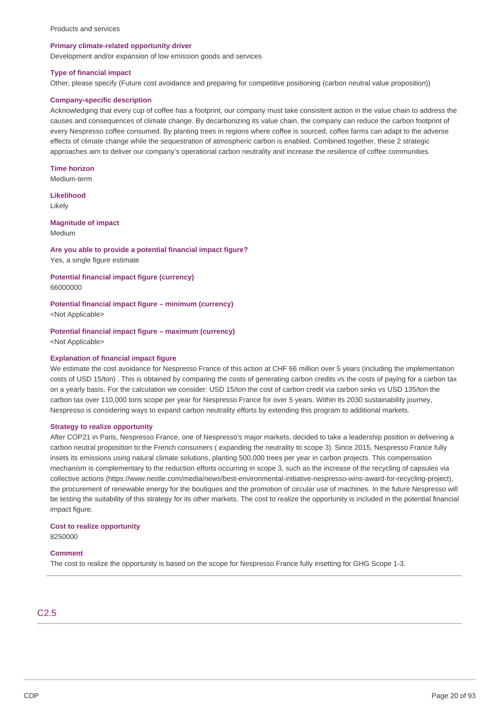#### **Primary climate-related opportunity driver**

Development and/or expansion of low emission goods and services

#### **Type of financial impact**

Other, please specify (Future cost avoidance and preparing for competitive positioning (carbon neutral value proposition))

#### **Company-specific description**

Acknowledging that every cup of coffee has a footprint, our company must take consistent action in the value chain to address the causes and consequences of climate change. By decarbonizing its value chain, the company can reduce the carbon footprint of every Nespresso coffee consumed. By planting trees in regions where coffee is sourced, coffee farms can adapt to the adverse effects of climate change while the sequestration of atmospheric carbon is enabled. Combined together, these 2 strategic approaches aim to deliver our company's operational carbon neutrality and increase the resilience of coffee communities.

#### **Time horizon**

Medium-term

# **Likelihood**

Likely

# **Magnitude of impact**

Medium

**Are you able to provide a potential financial impact figure?** Yes, a single figure estimate

## **Potential financial impact figure (currency)** 66000000

**Potential financial impact figure – minimum (currency)**

<Not Applicable>

# **Potential financial impact figure – maximum (currency)**

<Not Applicable>

#### **Explanation of financial impact figure**

We estimate the cost avoidance for Nespresso France of this action at CHF 66 million over 5 years (including the implementation costs of USD 15/ton) . This is obtained by comparing the costs of generating carbon credits vs the costs of paying for a carbon tax on a yearly basis. For the calculation we consider: USD 15/ton the cost of carbon credit via carbon sinks vs USD 135/ton the carbon tax over 110,000 tons scope per year for Nespresso France for over 5 years. Within its 2030 sustainability journey, Nespresso is considering ways to expand carbon neutrality efforts by extending this program to additional markets.

# **Strategy to realize opportunity**

After COP21 in Paris, Nespresso France, one of Nespresso's major markets, decided to take a leadership position in delivering a carbon neutral proposition to the French consumers ( expanding the neutrality to scope 3). Since 2015, Nespresso France fully insets its emissions using natural climate solutions, planting 500,000 trees per year in carbon projects. This compensation mechanism is complementary to the reduction efforts occurring in scope 3, such as the increase of the recycling of capsules via collective actions (https://www.nestle.com/media/news/best-environmental-initiative-nespresso-wins-award-for-recycling-project), the procurement of renewable energy for the boutiques and the promotion of circular use of machines. In the future Nespresso will be testing the suitability of this strategy for its other markets. The cost to realize the opportunity is included in the potential financial impact figure.

#### **Cost to realize opportunity** 8250000

### **Comment**

The cost to realize the opportunity is based on the scope for Nespresso France fully insetting for GHG Scope 1-3.

# C2.5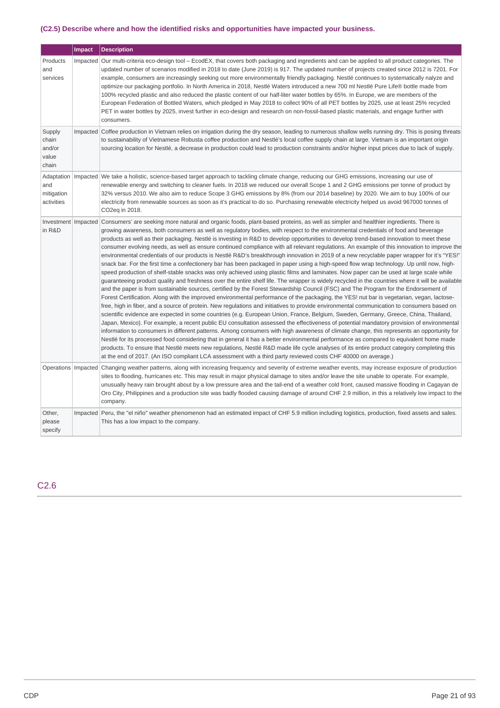# **(C2.5) Describe where and how the identified risks and opportunities have impacted your business.**

|                                             | <b>Impact</b> | <b>Description</b>                                                                                                                                                                                                                                                                                                                                                                                                                                                                                                                                                                                                                                                                                                                                                                                                                                                                                                                                                                                                                                                                                                                                                                                                                                                                                                                                                                                                                                                                                                                                                                                                                                                                                                                                                                                                                                                                                                                                                                                                                                                                                                                                                                                                                                                                                                                                                                                                                           |
|---------------------------------------------|---------------|----------------------------------------------------------------------------------------------------------------------------------------------------------------------------------------------------------------------------------------------------------------------------------------------------------------------------------------------------------------------------------------------------------------------------------------------------------------------------------------------------------------------------------------------------------------------------------------------------------------------------------------------------------------------------------------------------------------------------------------------------------------------------------------------------------------------------------------------------------------------------------------------------------------------------------------------------------------------------------------------------------------------------------------------------------------------------------------------------------------------------------------------------------------------------------------------------------------------------------------------------------------------------------------------------------------------------------------------------------------------------------------------------------------------------------------------------------------------------------------------------------------------------------------------------------------------------------------------------------------------------------------------------------------------------------------------------------------------------------------------------------------------------------------------------------------------------------------------------------------------------------------------------------------------------------------------------------------------------------------------------------------------------------------------------------------------------------------------------------------------------------------------------------------------------------------------------------------------------------------------------------------------------------------------------------------------------------------------------------------------------------------------------------------------------------------------|
| Products<br>and<br>services                 | Impacted      | Our multi-criteria eco-design tool - EcodEX, that covers both packaging and ingredients and can be applied to all product categories. The<br>updated number of scenarios modified in 2018 to date (June 2019) is 917. The updated number of projects created since 2012 is 7201. For<br>example, consumers are increasingly seeking out more environmentally friendly packaging. Nestlé continues to systematically nalyze and<br>optimize our packaging portfolio. In North America in 2018, Nestlé Waters introduced a new 700 ml Nestlé Pure Life® bottle made from<br>100% recycled plastic and also reduced the plastic content of our half-liter water bottles by 65%. In Europe, we are members of the<br>European Federation of Bottled Waters, which pledged in May 2018 to collect 90% of all PET bottles by 2025, use at least 25% recycled<br>PET in water bottles by 2025, invest further in eco-design and research on non-fossil-based plastic materials, and engage further with<br>consumers.                                                                                                                                                                                                                                                                                                                                                                                                                                                                                                                                                                                                                                                                                                                                                                                                                                                                                                                                                                                                                                                                                                                                                                                                                                                                                                                                                                                                                               |
| Supply<br>chain<br>and/or<br>value<br>chain |               | Impacted Coffee production in Vietnam relies on irrigation during the dry season, leading to numerous shallow wells running dry. This is posing threats<br>to sustainability of Vietnamese Robusta coffee production and Nestlé's local coffee supply chain at large. Vietnam is an important origin<br>sourcing location for Nestlé, a decrease in production could lead to production constraints and/or higher input prices due to lack of supply.                                                                                                                                                                                                                                                                                                                                                                                                                                                                                                                                                                                                                                                                                                                                                                                                                                                                                                                                                                                                                                                                                                                                                                                                                                                                                                                                                                                                                                                                                                                                                                                                                                                                                                                                                                                                                                                                                                                                                                                        |
| and<br>mitigation<br>activities             |               | Adaptation  Impacted   We take a holistic, science-based target approach to tackling climate change, reducing our GHG emissions, increasing our use of<br>renewable energy and switching to cleaner fuels. In 2018 we reduced our overall Scope 1 and 2 GHG emissions per tonne of product by<br>32% versus 2010. We also aim to reduce Scope 3 GHG emissions by 8% (from our 2014 baseline) by 2020. We aim to buy 100% of our<br>electricity from renewable sources as soon as it's practical to do so. Purchasing renewable electricity helped us avoid 967000 tonnes of<br>CO2eq in 2018.                                                                                                                                                                                                                                                                                                                                                                                                                                                                                                                                                                                                                                                                                                                                                                                                                                                                                                                                                                                                                                                                                                                                                                                                                                                                                                                                                                                                                                                                                                                                                                                                                                                                                                                                                                                                                                                |
| Investment   Impacted<br>in R&D             |               | Consumers' are seeking more natural and organic foods, plant-based proteins, as well as simpler and healthier ingredients. There is<br>growing awareness, both consumers as well as regulatory bodies, with respect to the environmental credentials of food and beverage<br>products as well as their packaging. Nestlé is investing in R&D to develop opportunities to develop trend-based innovation to meet these<br>consumer evolving needs, as well as ensure continued compliance with all relevant regulations. An example of this innovation to improve the<br>environmental credentials of our products is Nestlé R&D's breakthrough innovation in 2019 of a new recyclable paper wrapper for it's "YES!"<br>snack bar. For the first time a confectionery bar has been packaged in paper using a high-speed flow wrap technology. Up until now, high-<br>speed production of shelf-stable snacks was only achieved using plastic films and laminates. Now paper can be used at large scale while<br>guaranteeing product quality and freshness over the entire shelf life. The wrapper is widely recycled in the countries where it will be available<br>and the paper is from sustainable sources, certified by the Forest Stewardship Council (FSC) and The Program for the Endorsement of<br>Forest Certification. Along with the improved environmental performance of the packaging, the YES! nut bar is vegetarian, vegan, lactose-<br>free, high in fiber, and a source of protein. New regulations and initiatives to provide environmental communication to consumers based on<br>scientific evidence are expected in some countries (e.g. European Union, France, Belgium, Sweden, Germany, Greece, China, Thailand,<br>Japan, Mexico). For example, a recent public EU consultation assessed the effectiveness of potential mandatory provision of environmental<br>information to consumers in different patterns. Among consumers with high awareness of climate change, this represents an opportunity for<br>Nestlé for its processed food considering that in general it has a better environmental performance as compared to equivalent home made<br>products. To ensure that Nestlé meets new regulations, Nestlé R&D made life cycle analyses of its entire product category completing this<br>at the end of 2017. (An ISO compliant LCA assessment with a third party reviewed costs CHF 40000 on average.) |
|                                             |               | Operations Impacted Changing weather patterns, along with increasing frequency and severity of extreme weather events, may increase exposure of production<br>sites to flooding, hurricanes etc. This may result in major physical damage to sites and/or leave the site unable to operate. For example,<br>unusually heavy rain brought about by a low pressure area and the tail-end of a weather cold front, caused massive flooding in Cagayan de<br>Oro City, Philippines and a production site was badly flooded causing damage of around CHF 2.9 million, in this a relatively low impact to the<br>company.                                                                                                                                                                                                                                                                                                                                                                                                                                                                                                                                                                                                                                                                                                                                                                                                                                                                                                                                                                                                                                                                                                                                                                                                                                                                                                                                                                                                                                                                                                                                                                                                                                                                                                                                                                                                                          |
| Other,<br>please<br>specify                 |               | Impacted Peru, the "el niño" weather phenomenon had an estimated impact of CHF 5.9 million including logistics, production, fixed assets and sales.<br>This has a low impact to the company.                                                                                                                                                                                                                                                                                                                                                                                                                                                                                                                                                                                                                                                                                                                                                                                                                                                                                                                                                                                                                                                                                                                                                                                                                                                                                                                                                                                                                                                                                                                                                                                                                                                                                                                                                                                                                                                                                                                                                                                                                                                                                                                                                                                                                                                 |

# C2.6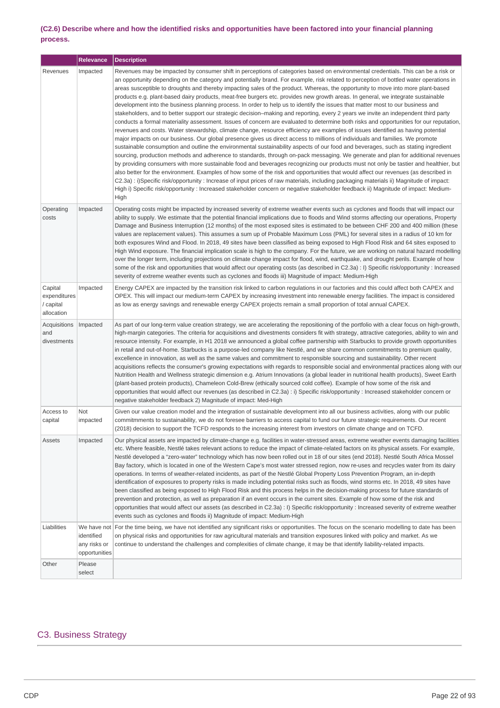# (C2.6) Describe where and how the identified risks and opportunities have been factored into your financial planning **process.**

|                                                    | Relevance                                   | <b>Description</b>                                                                                                                                                                                                                                                                                                                                                                                                                                                                                                                                                                                                                                                                                                                                                                                                                                                                                                                                                                                                                                                                                                                                                                                                                                                                                                                                                                                                                                                                                                                                                                                                                                                                                                                                                                                                                                                                                                                                                                                                                                                                                |
|----------------------------------------------------|---------------------------------------------|---------------------------------------------------------------------------------------------------------------------------------------------------------------------------------------------------------------------------------------------------------------------------------------------------------------------------------------------------------------------------------------------------------------------------------------------------------------------------------------------------------------------------------------------------------------------------------------------------------------------------------------------------------------------------------------------------------------------------------------------------------------------------------------------------------------------------------------------------------------------------------------------------------------------------------------------------------------------------------------------------------------------------------------------------------------------------------------------------------------------------------------------------------------------------------------------------------------------------------------------------------------------------------------------------------------------------------------------------------------------------------------------------------------------------------------------------------------------------------------------------------------------------------------------------------------------------------------------------------------------------------------------------------------------------------------------------------------------------------------------------------------------------------------------------------------------------------------------------------------------------------------------------------------------------------------------------------------------------------------------------------------------------------------------------------------------------------------------------|
| Revenues                                           | Impacted                                    | Revenues may be impacted by consumer shift in perceptions of categories based on environmental credentials. This can be a risk or<br>an opportunity depending on the category and potentially brand. For example, risk related to perception of bottled water operations in<br>areas susceptible to droughts and thereby impacting sales of the product. Whereas, the opportunity to move into more plant-based<br>products e.g. plant-based dairy products, meat-free burgers etc. provides new growth areas. In general, we integrate sustainable<br>development into the business planning process. In order to help us to identify the issues that matter most to our business and<br>stakeholders, and to better support our strategic decision–making and reporting, every 2 years we invite an independent third party<br>conducts a formal materiality assessment. Issues of concern are evaluated to determine both risks and opportunities for our reputation,<br>revenues and costs. Water stewardship, climate change, resource efficiency are examples of issues identified as having potential<br>major impacts on our business. Our global presence gives us direct access to millions of individuals and families. We promote<br>sustainable consumption and outline the environmental sustainability aspects of our food and beverages, such as stating ingredient<br>sourcing, production methods and adherence to standards, through on-pack messaging. We generate and plan for additional revenues<br>by providing consumers with more sustainable food and beverages recognizing our products must not only be tastier and healthier, but<br>also better for the environment. Examples of how some of the risk and opportunities that would affect our revenues (as described in<br>C2.3a) : i)Specific risk/opportunity : Increase of input prices of raw materials, including packaging materials ii) Magnitude of impact:<br>High i) Specific risk/opportunity : Increased stakeholder concern or negative stakeholder feedback ii) Magnitude of impact: Medium-<br>High |
| Operating<br>costs                                 | Impacted                                    | Operating costs might be impacted by increased severity of extreme weather events such as cyclones and floods that will impact our<br>ability to supply. We estimate that the potential financial implications due to floods and Wind storms affecting our operations, Property<br>Damage and Business Interruption (12 months) of the most exposed sites is estimated to be between CHF 200 and 400 million (these<br>values are replacement values). This assumes a sum up of Probable Maximum Loss (PML) for several sites in a radius of 10 km for<br>both exposures Wind and Flood. In 2018, 49 sites have been classified as being exposed to High Flood Risk and 64 sites exposed to<br>High Wind exposure. The financial implication scale is high to the company. For the future, we are working on natural hazard modelling<br>over the longer term, including projections on climate change impact for flood, wind, earthquake, and drought perils. Example of how<br>some of the risk and opportunities that would affect our operating costs (as described in C2.3a) : I) Specific risk/opportunity : Increased<br>severity of extreme weather events such as cyclones and floods iii) Magnitude of impact: Medium-High                                                                                                                                                                                                                                                                                                                                                                                                                                                                                                                                                                                                                                                                                                                                                                                                                                                              |
| Capital<br>expenditures<br>/ capital<br>allocation | Impacted                                    | Energy CAPEX are impacted by the transition risk linked to carbon regulations in our factories and this could affect both CAPEX and<br>OPEX. This will impact our medium-term CAPEX by increasing investment into renewable energy facilities. The impact is considered<br>as low as energy savings and renewable energy CAPEX projects remain a small proportion of total annual CAPEX.                                                                                                                                                                                                                                                                                                                                                                                                                                                                                                                                                                                                                                                                                                                                                                                                                                                                                                                                                                                                                                                                                                                                                                                                                                                                                                                                                                                                                                                                                                                                                                                                                                                                                                          |
| Acquisitions<br>and<br>divestments                 | Impacted                                    | As part of our long-term value creation strategy, we are accelerating the repositioning of the portfolio with a clear focus on high-growth,<br>high-margin categories. The criteria for acquisitions and divestments considers fit with strategy, attractive categories, ability to win and<br>resource intensity. For example, in H1 2018 we announced a global coffee partnership with Starbucks to provide growth opportunities<br>in retail and out-of-home. Starbucks is a purpose-led company like Nestlé, and we share common commitments to premium quality,<br>excellence in innovation, as well as the same values and commitment to responsible sourcing and sustainability. Other recent<br>acquisitions reflects the consumer's growing expectations with regards to responsible social and environmental practices along with our<br>Nutrition Health and Wellness strategic dimension e.g. Atrium Innovations (a global leader in nutritional health products), Sweet Earth<br>(plant-based protein products), Chameleon Cold-Brew (ethically sourced cold coffee). Example of how some of the risk and<br>opportunities that would affect our revenues (as described in C2.3a) : i) Specific risk/opportunity : Increased stakeholder concern or<br>negative stakeholder feedback 2) Magnitude of impact: Med-High                                                                                                                                                                                                                                                                                                                                                                                                                                                                                                                                                                                                                                                                                                                                                                |
| Access to<br>capital                               | Not<br>impacted                             | Given our value creation model and the integration of sustainable development into all our business activities, along with our public<br>commitmments to sustainability, we do not foresee barriers to access capital to fund our future strategic requirements. Our recent<br>(2018) decision to support the TCFD responds to the increasing interest from investors on climate change and on TCFD.                                                                                                                                                                                                                                                                                                                                                                                                                                                                                                                                                                                                                                                                                                                                                                                                                                                                                                                                                                                                                                                                                                                                                                                                                                                                                                                                                                                                                                                                                                                                                                                                                                                                                              |
| Assets                                             | Impacted                                    | Our physical assets are impacted by climate-change e.g. facilities in water-stressed areas, extreme weather events damaging facilities<br>etc. Where feasible, Nestlé takes relevant actions to reduce the impact of climate-related factors on its physical assets. For example,<br>Nestlé developed a "zero-water" technology which has now been rolled out in 18 of our sites (end 2018). Nestlé South Africa Mossel<br>Bay factory, which is located in one of the Western Cape's most water stressed region, now re-uses and recycles water from its dairy<br>operations. In terms of weather-related incidents, as part of the Nestlé Global Property Loss Prevention Program, an in-depth<br>identification of exposures to property risks is made including potential risks such as floods, wind storms etc. In 2018, 49 sites have<br>been classified as being exposed to High Flood Risk and this process helps in the decision-making process for future standards of<br>prevention and protection, as well as preparation if an event occurs in the current sites. Example of how some of the risk and<br>opportunities that would affect our assets (as described in C2.3a) : I) Specific risk/opportunity : Increased severity of extreme weather<br>events such as cyclones and floods ii) Magnitude of impact: Medium-High                                                                                                                                                                                                                                                                                                                                                                                                                                                                                                                                                                                                                                                                                                                                                        |
| Liabilities                                        | identified<br>any risks or<br>opportunities | We have not For the time being, we have not identified any significant risks or opportunities. The focus on the scenario modelling to date has been<br>on physical risks and opportunities for raw agricultural materials and transition exposures linked with policy and market. As we<br>continue to understand the challenges and complexities of climate change, it may be that identify liability-related impacts.                                                                                                                                                                                                                                                                                                                                                                                                                                                                                                                                                                                                                                                                                                                                                                                                                                                                                                                                                                                                                                                                                                                                                                                                                                                                                                                                                                                                                                                                                                                                                                                                                                                                           |
| Other                                              | Please<br>select                            |                                                                                                                                                                                                                                                                                                                                                                                                                                                                                                                                                                                                                                                                                                                                                                                                                                                                                                                                                                                                                                                                                                                                                                                                                                                                                                                                                                                                                                                                                                                                                                                                                                                                                                                                                                                                                                                                                                                                                                                                                                                                                                   |

# C3. Business Strategy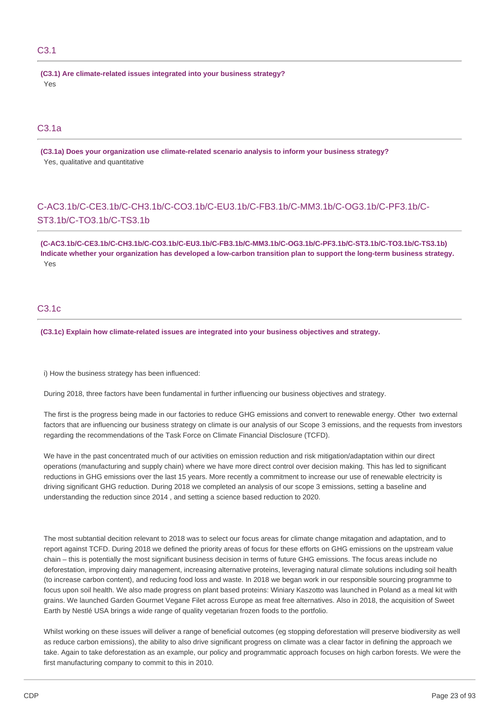# C3.1

**(C3.1) Are climate-related issues integrated into your business strategy?** Yes

# C3.1a

**(C3.1a) Does your organization use climate-related scenario analysis to inform your business strategy?** Yes, qualitative and quantitative

# C-AC3.1b/C-CE3.1b/C-CH3.1b/C-CO3.1b/C-EU3.1b/C-FB3.1b/C-MM3.1b/C-OG3.1b/C-PF3.1b/C-ST3.1b/C-TO3.1b/C-TS3.1b

**(C-AC3.1b/C-CE3.1b/C-CH3.1b/C-CO3.1b/C-EU3.1b/C-FB3.1b/C-MM3.1b/C-OG3.1b/C-PF3.1b/C-ST3.1b/C-TO3.1b/C-TS3.1b)** Indicate whether your organization has developed a low-carbon transition plan to support the long-term business strategy. Yes

# C3.1c

**(C3.1c) Explain how climate-related issues are integrated into your business objectives and strategy.**

i) How the business strategy has been influenced:

During 2018, three factors have been fundamental in further influencing our business objectives and strategy.

The first is the progress being made in our factories to reduce GHG emissions and convert to renewable energy. Other two external factors that are influencing our business strategy on climate is our analysis of our Scope 3 emissions, and the requests from investors regarding the recommendations of the Task Force on Climate Financial Disclosure (TCFD).

We have in the past concentrated much of our activities on emission reduction and risk mitigation/adaptation within our direct operations (manufacturing and supply chain) where we have more direct control over decision making. This has led to significant reductions in GHG emissions over the last 15 years. More recently a commitment to increase our use of renewable electricity is driving significant GHG reduction. During 2018 we completed an analysis of our scope 3 emissions, setting a baseline and understanding the reduction since 2014 , and setting a science based reduction to 2020.

The most subtantial decition relevant to 2018 was to select our focus areas for climate change mitagation and adaptation, and to report against TCFD. During 2018 we defined the priority areas of focus for these efforts on GHG emissions on the upstream value chain – this is potentially the most significant business decision in terms of future GHG emissions. The focus areas include no deforestation, improving dairy management, increasing alternative proteins, leveraging natural climate solutions including soil health (to increase carbon content), and reducing food loss and waste. In 2018 we began work in our responsible sourcing programme to focus upon soil health. We also made progress on plant based proteins: Winiary Kaszotto was launched in Poland as a meal kit with grains. We launched Garden Gourmet Vegane Filet across Europe as meat free alternatives. Also in 2018, the acquisition of Sweet Earth by Nestlé USA brings a wide range of quality vegetarian frozen foods to the portfolio.

Whilst working on these issues will deliver a range of beneficial outcomes (eg stopping deforestation will preserve biodiversity as well as reduce carbon emissions), the ability to also drive significant progress on climate was a clear factor in defining the approach we take. Again to take deforestation as an example, our policy and programmatic approach focuses on high carbon forests. We were the first manufacturing company to commit to this in 2010.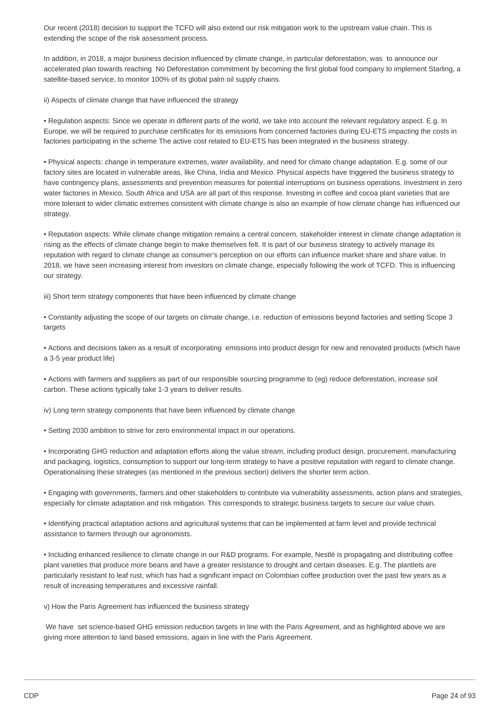Our recent (2018) decision to support the TCFD will also extend our risk mitigation work to the upstream value chain. This is extending the scope of the risk assessment process.

In addition, in 2018, a major business decision influenced by climate change, in particular deforestation, was to announce our accelerated plan towards reaching No Deforestation commitment by becoming the first global food company to implement Starling, a satellite-based service, to monitor 100% of its global palm oil supply chains.

ii) Aspects of climate change that have influenced the strategy

• Regulation aspects: Since we operate in different parts of the world, we take into account the relevant regulatory aspect. E.g. In Europe, we will be required to purchase certificates for its emissions from concerned factories during EU-ETS impacting the costs in factories participating in the scheme The active cost related to EU-ETS has been integrated in the business strategy.

• Physical aspects: change in temperature extremes, water availability, and need for climate change adaptation. E.g. some of our factory sites are located in vulnerable areas, like China, India and Mexico. Physical aspects have triggered the business strategy to have contingency plans, assessments and prevention measures for potential interruptions on business operations. Investment in zero water factories in Mexico, South Africa and USA are all part of this response. Investing in coffee and cocoa plant varieties that are more tolerant to wider climatic extremes consistent with climate change is also an example of how climate change has influenced our strategy.

• Reputation aspects: While climate change mitigation remains a central concern, stakeholder interest in climate change adaptation is rising as the effects of climate change begin to make themselves felt. It is part of our business strategy to actively manage its reputation with regard to climate change as consumer's perception on our efforts can influence market share and share value. In 2018, we have seen increasing interest from investors on climate change, especially following the work of TCFD. This is influencing our strategy.

iii) Short term strategy components that have been influenced by climate change

• Constantly adjusting the scope of our targets on climate change, i.e. reduction of emissions beyond factories and setting Scope 3 targets

• Actions and decisions taken as a result of incorporating emissions into product design for new and renovated products (which have a 3-5 year product life)

• Actions with farmers and suppliers as part of our responsible sourcing programme to (eg) reduce deforestation, increase soil carbon. These actions typically take 1-3 years to deliver results.

iv) Long term strategy components that have been influenced by climate change

• Setting 2030 ambition to strive for zero environmental impact in our operations.

• Incorporating GHG reduction and adaptation efforts along the value stream, including product design, procurement, manufacturing and packaging, logistics, consumption to support our long-term strategy to have a positive reputation with regard to climate change. Operationalising these strategies (as mentioned in the previous section) delivers the shorter term action.

• Engaging with governments, farmers and other stakeholders to contribute via vulnerability assessments, action plans and strategies, especially for climate adaptation and risk mitigation. This corresponds to strategic business targets to secure our value chain.

• Identifying practical adaptation actions and agricultural systems that can be implemented at farm level and provide technical assistance to farmers through our agronomists.

• Including enhanced resilience to climate change in our R&D programs. For example, Nestlé is propagating and distributing coffee plant varieties that produce more beans and have a greater resistance to drought and certain diseases. E.g. The plantlets are particularly resistant to leaf rust, which has had a significant impact on Colombian coffee production over the past few years as a result of increasing temperatures and excessive rainfall.

v) How the Paris Agreement has influenced the business strategy

We have set science-based GHG emission reduction targets in line with the Paris Agreement, and as highlighted above we are giving more attention to land based emissions, again in line with the Paris Agreement.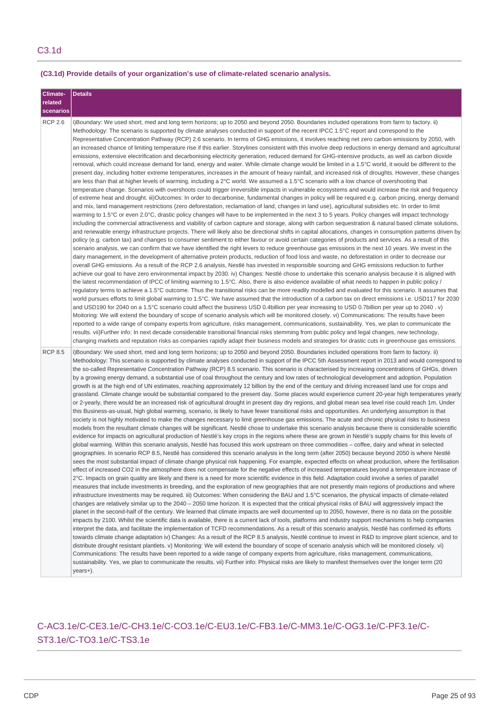**(C3.1d) Provide details of your organization's use of climate-related scenario analysis.**

| Climate-<br>related<br>scenarios | <b>Details</b>                                                                                                                                                                                                                                                                                                                                                                                                                                                                                                                                                                                                                                                                                                                                                                                                                                                                                                                                                                                                                                                                                                                                                                                                                                                                                                                                                                                                                                                                                                                                                                                                                                                                                                                                                                                                                                                                                                                                                                                                                                                                                                                                                                                                                                                                                                                                                                                                                                                                                                                                                                                                                                                                                                                                                                                                                                                                                                                                                                                                                                                                                                                                                                                                                                                                                                                                                                                                                                                                                                                                                                                                                                                                                                                                                                                                                                                                                                                                                                                                                                                                                                                                                                                                       |
|----------------------------------|----------------------------------------------------------------------------------------------------------------------------------------------------------------------------------------------------------------------------------------------------------------------------------------------------------------------------------------------------------------------------------------------------------------------------------------------------------------------------------------------------------------------------------------------------------------------------------------------------------------------------------------------------------------------------------------------------------------------------------------------------------------------------------------------------------------------------------------------------------------------------------------------------------------------------------------------------------------------------------------------------------------------------------------------------------------------------------------------------------------------------------------------------------------------------------------------------------------------------------------------------------------------------------------------------------------------------------------------------------------------------------------------------------------------------------------------------------------------------------------------------------------------------------------------------------------------------------------------------------------------------------------------------------------------------------------------------------------------------------------------------------------------------------------------------------------------------------------------------------------------------------------------------------------------------------------------------------------------------------------------------------------------------------------------------------------------------------------------------------------------------------------------------------------------------------------------------------------------------------------------------------------------------------------------------------------------------------------------------------------------------------------------------------------------------------------------------------------------------------------------------------------------------------------------------------------------------------------------------------------------------------------------------------------------------------------------------------------------------------------------------------------------------------------------------------------------------------------------------------------------------------------------------------------------------------------------------------------------------------------------------------------------------------------------------------------------------------------------------------------------------------------------------------------------------------------------------------------------------------------------------------------------------------------------------------------------------------------------------------------------------------------------------------------------------------------------------------------------------------------------------------------------------------------------------------------------------------------------------------------------------------------------------------------------------------------------------------------------------------------------------------------------------------------------------------------------------------------------------------------------------------------------------------------------------------------------------------------------------------------------------------------------------------------------------------------------------------------------------------------------------------------------------------------------------------------------------------------------|
| <b>RCP 2.6</b>                   | i)Boundary: We used short, med and long term horizons; up to 2050 and beyond 2050. Boundaries included operations from farm to factory. ii)<br>Methodology: The scenario is supported by climate analyses conducted in support of the recent IPCC 1.5°C report and correspond to the<br>Representative Concentration Pathway (RCP) 2.6 scenario. In terms of GHG emissions, it involves reaching net zero carbon emissions by 2050, with<br>an increased chance of limiting temperature rise if this earlier. Storylines consistent with this involve deep reductions in energy demand and agricultural<br>emissions, extensive electrification and decarbonising electricity generation, reduced demand for GHG-intensive products, as well as carbon dioxide<br>removal, which could increase demand for land, energy and water. While climate change would be limited in a 1.5°C world, it would be different to the<br>present day, including hotter extreme temperatures, increases in the amount of heavy rainfall, and increased risk of droughts. However, these changes<br>are less than that at higher levels of warming, including a 2°C world. We assumed a 1.5°C scenario with a low chance of overshooting that<br>temperature change. Scenarios with overshoots could trigger irreversible impacts in vulnerable ecosystems and would increase the risk and frequency<br>of extreme heat and drought, iii)Outcomes: In order to decarbonise, fundamental changes in policy will be required e.g. carbon pricing, energy demand<br>and mix, land management restrictions (zero deforestation, reclamation of land, changes in land use), agricultural subsidies etc. In order to limit<br>warming to 1.5°C or even 2.0°C, drastic policy changes will have to be implemented in the next 3 to 5 years. Policy changes will impact technology<br>including the commercial attractiveness and viability of carbon capture and storage, along with carbon sequestration & natural based climate solutions,<br>and renewable energy infrastructure projects. There will likely also be directional shifts in capital allocations, changes in consumption patterns driven by<br>policy (e.g. carbon tax) and changes to consumer sentiment to either favour or avoid certain categories of products and services. As a result of this<br>scenario analysis, we can confirm that we have identified the right levers to reduce greenhouse gas emissions in the next 10 years. We invest in the<br>dairy management, in the development of alternative protein products, reduction of food loss and waste, no deforestation in order to decrease our<br>overall GHG emissions. As a result of the RCP 2.6 analysis, Nestlé has invested in responsible sourcing and GHG emissions reduction to further<br>achieve our goal to have zero environmental impact by 2030. iv) Changes: Nestlé chose to undertake this scenario analysis because it is aligned with<br>the latest recommendation of IPCC of limiting warming to 1.5°C. Also, there is also evidence available of what needs to happen in public policy /<br>regulatory terms to achieve a 1.5°C outcome. Thus the transitional risks can be more readily modelled and evaluated for this scenario. It assumes that<br>world pursues efforts to limit global warming to 1.5°C. We have assumed that the introduction of a carbon tax on direct emissions i.e. USD117 for 2030<br>and USD190 for 2040 on a 1.5°C scenario could affect the business USD 0.4billion per year increasing to USD 0.7billion per year up to 2040 . v)<br>Moitoring: We will extend the boundary of scope of scenario analysis which will be monitored closely. vi) Communications: The results have been<br>reported to a wide range of company experts from agriculture, risks management, communications, sustainability. Yes, we plan to communicate the<br>results. vii)Further info: In next decade considerable transitional financial risks stemming from public policy and legal changes, new technology,<br>changing markets and reputation risks as companies rapidly adapt their business models and strategies for drastic cuts in greenhouse gas emissions. |
| <b>RCP 8.5</b>                   | i)Boundary: We used short, med and long term horizons; up to 2050 and beyond 2050. Boundaries included operations from farm to factory. ii)<br>Methodology: This scenario is supported by climate analyses conducted in support of the IPCC 5th Assessment report in 2013 and would correspond to<br>the so-called Representative Concentration Pathway (RCP) 8.5 scenario. This scenario is characterised by increasing concentrations of GHGs, driven<br>by a growing energy demand, a substantial use of coal throughout the century and low rates of technological development and adoption. Population<br>growth is at the high end of UN estimates, reaching approximately 12 billion by the end of the century and driving increased land use for crops and<br>grassland. Climate change would be substantial compared to the present day. Some places would experience current 20-year high temperatures yearly<br>or 2-yearly, there would be an increased risk of agricultural drought in present day dry regions, and global mean sea level rise could reach 1m. Under<br>this Business-as-usual, high global warming, scenario, is likely to have fewer transitional risks and opportunities. An underlying assumption is that<br>society is not highly motivated to make the changes necessary to limit greenhouse gas emissions. The acute and chronic physical risks to business<br>models from the resultant climate changes will be significant. Nestlé chose to undertake this scenario analysis because there is considerable scientific<br>evidence for impacts on agricultural production of Nestlé's key crops in the regions where these are grown in Nestlé's supply chains for this levels of<br>global warming. Within this scenario analysis, Nestlé has focused this work upstream on three commodities - coffee, dairy and wheat in selected<br>geographies. In scenario RCP 8.5, Nestlé has considered this scenario analysis in the long term (after 2050) because beyond 2050 is where Nestlé<br>sees the most substantial impact of climate change physical risk happening. For example, expected effects on wheat production, where the fertilisation<br>effect of increased CO2 in the atmosphere does not compensate for the negative effects of increased temperatures beyond a temperature increase of<br>2°C. Impacts on grain quality are likely and there is a need for more scientific evidence in this field. Adaptation could involve a series of parallel<br>measures that include investments in breeding, and the exploration of new geographies that are not presently main regions of productions and where<br>infrastructure investments may be required. iii) Outcomes: When considering the BAU and 1.5°C scenarios, the physical impacts of climate-related<br>changes are relatively similar up to the 2040 – 2050 time horizon. It is expected that the critical physical risks of BAU will aggressively impact the<br>planet in the second-half of the century. We learned that climate impacts are well documented up to 2050, however, there is no data on the possible<br>impacts by 2100. Whilst the scientific data is available, there is a current lack of tools, platforms and industry support mechanisms to help companies<br>interpret the data, and facilitate the implementation of TCFD recommendations. As a result of this scenario analysis, Nestlé has confirmed its efforts<br>towards climate change adaptation iv) Changes: As a result of the RCP 8.5 analysis, Nestlé continue to invest in R&D to improve plant science, and to<br>distribute drought resistant plantlets. v) Monitoring: We will extend the boundary of scope of scenario analysis which will be monitored closely. vi)<br>Communications: The results have been reported to a wide range of company experts from agriculture, risks management, communications,<br>sustainability. Yes, we plan to communicate the results. vii) Further info: Physical risks are likely to manifest themselves over the longer term (20<br>years+).                                                                                                                               |

# C-AC3.1e/C-CE3.1e/C-CH3.1e/C-CO3.1e/C-EU3.1e/C-FB3.1e/C-MM3.1e/C-OG3.1e/C-PF3.1e/C-ST3.1e/C-TO3.1e/C-TS3.1e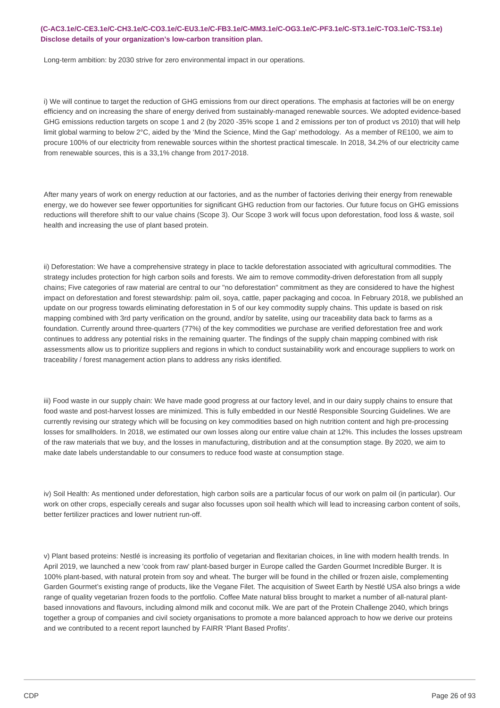# **(C-AC3.1e/C-CE3.1e/C-CH3.1e/C-CO3.1e/C-EU3.1e/C-FB3.1e/C-MM3.1e/C-OG3.1e/C-PF3.1e/C-ST3.1e/C-TO3.1e/C-TS3.1e) Disclose details of your organization's low-carbon transition plan.**

Long-term ambition: by 2030 strive for zero environmental impact in our operations.

i) We will continue to target the reduction of GHG emissions from our direct operations. The emphasis at factories will be on energy efficiency and on increasing the share of energy derived from sustainably-managed renewable sources. We adopted evidence-based GHG emissions reduction targets on scope 1 and 2 (by 2020 -35% scope 1 and 2 emissions per ton of product vs 2010) that will help limit global warming to below 2°C, aided by the 'Mind the Science, Mind the Gap' methodology. As a member of RE100, we aim to procure 100% of our electricity from renewable sources within the shortest practical timescale. In 2018, 34.2% of our electricity came from renewable sources, this is a 33,1% change from 2017-2018.

After many years of work on energy reduction at our factories, and as the number of factories deriving their energy from renewable energy, we do however see fewer opportunities for significant GHG reduction from our factories. Our future focus on GHG emissions reductions will therefore shift to our value chains (Scope 3). Our Scope 3 work will focus upon deforestation, food loss & waste, soil health and increasing the use of plant based protein.

ii) Deforestation: We have a comprehensive strategy in place to tackle deforestation associated with agricultural commodities. The strategy includes protection for high carbon soils and forests. We aim to remove commodity-driven deforestation from all supply chains; Five categories of raw material are central to our "no deforestation" commitment as they are considered to have the highest impact on deforestation and forest stewardship: palm oil, soya, cattle, paper packaging and cocoa. In February 2018, we published an update on our progress towards eliminating deforestation in 5 of our key commodity supply chains. This update is based on risk mapping combined with 3rd party verification on the ground, and/or by satelite, using our traceability data back to farms as a foundation. Currently around three-quarters (77%) of the key commodities we purchase are verified deforestation free and work continues to address any potential risks in the remaining quarter. The findings of the supply chain mapping combined with risk assessments allow us to prioritize suppliers and regions in which to conduct sustainability work and encourage suppliers to work on traceability / forest management action plans to address any risks identified.

iii) Food waste in our supply chain: We have made good progress at our factory level, and in our dairy supply chains to ensure that food waste and post-harvest losses are minimized. This is fully embedded in our Nestlé Responsible Sourcing Guidelines. We are currently revising our strategy which will be focusing on key commodities based on high nutrition content and high pre-processing losses for smallholders. In 2018, we estimated our own losses along our entire value chain at 12%. This includes the losses upstream of the raw materials that we buy, and the losses in manufacturing, distribution and at the consumption stage. By 2020, we aim to make date labels understandable to our consumers to reduce food waste at consumption stage.

iv) Soil Health: As mentioned under deforestation, high carbon soils are a particular focus of our work on palm oil (in particular). Our work on other crops, especially cereals and sugar also focusses upon soil health which will lead to increasing carbon content of soils, better fertilizer practices and lower nutrient run-off.

v) Plant based proteins: Nestlé is increasing its portfolio of vegetarian and flexitarian choices, in line with modern health trends. In April 2019, we launched a new 'cook from raw' plant-based burger in Europe called the Garden Gourmet Incredible Burger. It is 100% plant-based, with natural protein from soy and wheat. The burger will be found in the chilled or frozen aisle, complementing Garden Gourmet's existing range of products, like the Vegane Filet. The acquisition of Sweet Earth by Nestlé USA also brings a wide range of quality vegetarian frozen foods to the portfolio. Coffee Mate natural bliss brought to market a number of all-natural plantbased innovations and flavours, including almond milk and coconut milk. We are part of the Protein Challenge 2040, which brings together a group of companies and civil society organisations to promote a more balanced approach to how we derive our proteins and we contributed to a recent report launched by FAIRR 'Plant Based Profits'.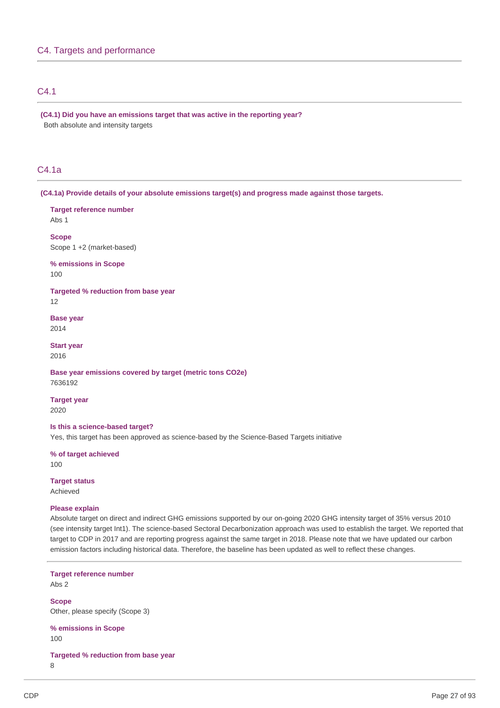# C4. Targets and performance

# C4.1

**(C4.1) Did you have an emissions target that was active in the reporting year?** Both absolute and intensity targets

# C4.1a

**(C4.1a) Provide details of your absolute emissions target(s) and progress made against those targets.**

**Target reference number** Abs 1

**Scope** Scope 1 +2 (market-based)

**% emissions in Scope** 100

**Targeted % reduction from base year** 12

**Base year** 2014

**Start year** 2016

**Base year emissions covered by target (metric tons CO2e)** 7636192

**Target year** 2020

**Is this a science-based target?**

Yes, this target has been approved as science-based by the Science-Based Targets initiative

**% of target achieved** 100

**Target status** Achieved

### **Please explain**

Absolute target on direct and indirect GHG emissions supported by our on-going 2020 GHG intensity target of 35% versus 2010 (see intensity target Int1). The science-based Sectoral Decarbonization approach was used to establish the target. We reported that target to CDP in 2017 and are reporting progress against the same target in 2018. Please note that we have updated our carbon emission factors including historical data. Therefore, the baseline has been updated as well to reflect these changes.

**Target reference number** Abs 2

**Scope** Other, please specify (Scope 3)

**% emissions in Scope** 100

**Targeted % reduction from base year** 8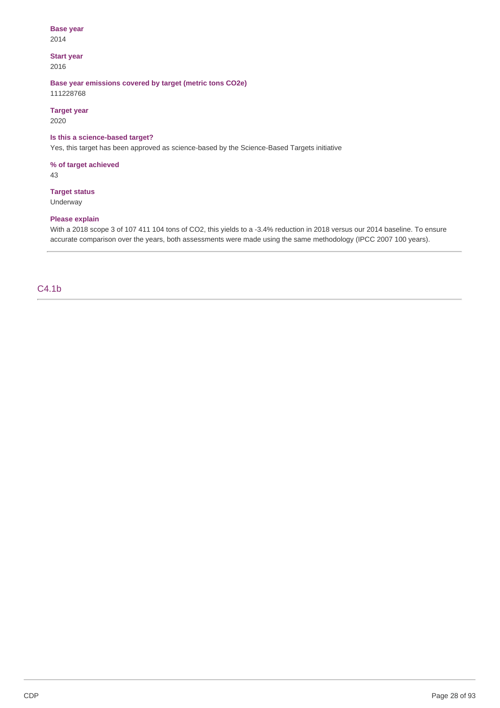# **Base year** 2014

**Start year**

2016

# **Base year emissions covered by target (metric tons CO2e)**

111228768

**Target year** 2020

# **Is this a science-based target?**

Yes, this target has been approved as science-based by the Science-Based Targets initiative

# **% of target achieved**

43

# **Target status**

Underway

# **Please explain**

With a 2018 scope 3 of 107 411 104 tons of CO2, this yields to a -3.4% reduction in 2018 versus our 2014 baseline. To ensure accurate comparison over the years, both assessments were made using the same methodology (IPCC 2007 100 years).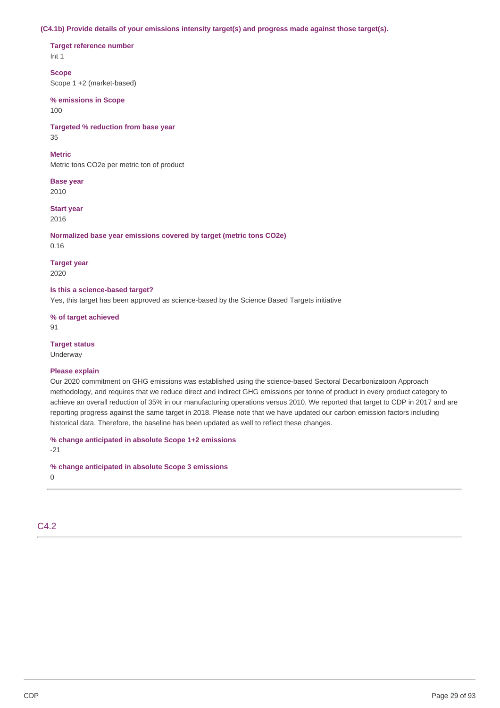#### **(C4.1b) Provide details of your emissions intensity target(s) and progress made against those target(s).**

**Target reference number** Int 1

**Scope** Scope 1 +2 (market-based)

**% emissions in Scope** 100

**Targeted % reduction from base year** 35

**Metric**

Metric tons CO2e per metric ton of product

**Base year** 2010

**Start year** 2016

**Normalized base year emissions covered by target (metric tons CO2e)** 0.16

**Target year**

2020

### **Is this a science-based target?**

Yes, this target has been approved as science-based by the Science Based Targets initiative

**% of target achieved** 91

**Target status**

Underway

#### **Please explain**

Our 2020 commitment on GHG emissions was established using the science-based Sectoral Decarbonizatoon Approach methodology, and requires that we reduce direct and indirect GHG emissions per tonne of product in every product category to achieve an overall reduction of 35% in our manufacturing operations versus 2010. We reported that target to CDP in 2017 and are reporting progress against the same target in 2018. Please note that we have updated our carbon emission factors including historical data. Therefore, the baseline has been updated as well to reflect these changes.

**% change anticipated in absolute Scope 1+2 emissions**

-21

**% change anticipated in absolute Scope 3 emissions**

0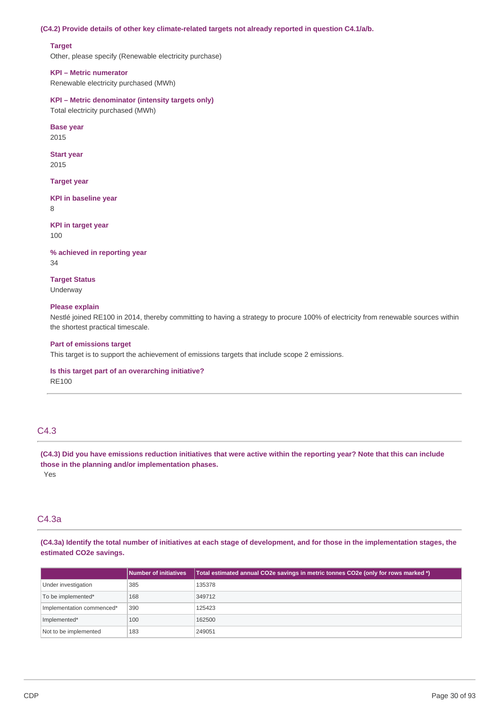#### **(C4.2) Provide details of other key climate-related targets not already reported in question C4.1/a/b.**

### **Target**

Other, please specify (Renewable electricity purchase)

# **KPI – Metric numerator**

Renewable electricity purchased (MWh)

# **KPI – Metric denominator (intensity targets only)**

Total electricity purchased (MWh)

#### **Base year** 2015

**Start year**

2015

# **Target year**

**KPI in baseline year**

8

# **KPI in target year**

100

# **% achieved in reporting year** 34

# **Target Status** Underway

### **Please explain**

Nestlé joined RE100 in 2014, thereby committing to having a strategy to procure 100% of electricity from renewable sources within the shortest practical timescale.

### **Part of emissions target**

This target is to support the achievement of emissions targets that include scope 2 emissions.

### **Is this target part of an overarching initiative?** RE100

# C4.3

(C4.3) Did you have emissions reduction initiatives that were active within the reporting year? Note that this can include **those in the planning and/or implementation phases.**

Yes

# C4.3a

(C4.3a) Identify the total number of initiatives at each stage of development, and for those in the implementation stages, the **estimated CO2e savings.**

|                           | <b>Number of initiatives</b> | Total estimated annual CO2e savings in metric tonnes CO2e (only for rows marked *) |
|---------------------------|------------------------------|------------------------------------------------------------------------------------|
| Under investigation       | 385                          | 135378                                                                             |
| To be implemented*        | 168                          | 349712                                                                             |
| Implementation commenced* | 390                          | 125423                                                                             |
| Implemented*              | 100                          | 162500                                                                             |
| Not to be implemented     | 183                          | 249051                                                                             |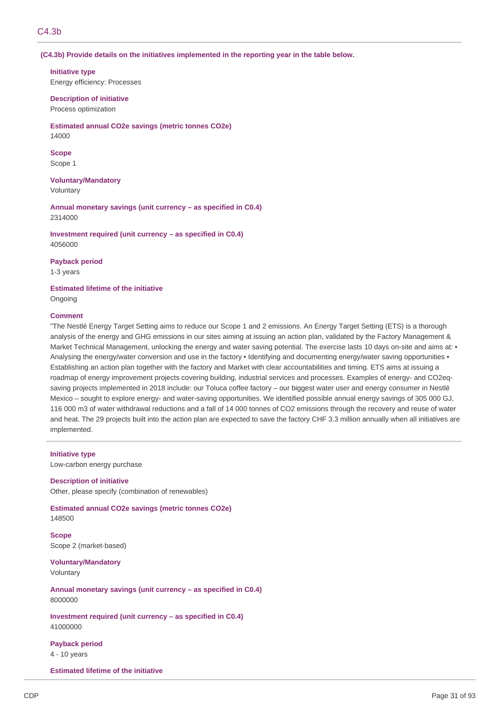### **(C4.3b) Provide details on the initiatives implemented in the reporting year in the table below.**

### **Initiative type**

Energy efficiency: Processes

### **Description of initiative** Process optimization

**Estimated annual CO2e savings (metric tonnes CO2e)** 14000

# **Scope**

Scope 1

# **Voluntary/Mandatory**

Voluntary

**Annual monetary savings (unit currency – as specified in C0.4)** 2314000

**Investment required (unit currency – as specified in C0.4)** 4056000

#### **Payback period**

1-3 years

# **Estimated lifetime of the initiative** Ongoing

#### **Comment**

"The Nestlé Energy Target Setting aims to reduce our Scope 1 and 2 emissions. An Energy Target Setting (ETS) is a thorough analysis of the energy and GHG emissions in our sites aiming at issuing an action plan, validated by the Factory Management & Market Technical Management, unlocking the energy and water saving potential. The exercise lasts 10 days on-site and aims at: • Analysing the energy/water conversion and use in the factory • Identifying and documenting energy/water saying opportunities • Establishing an action plan together with the factory and Market with clear accountabilities and timing. ETS aims at issuing a roadmap of energy improvement projects covering building, industrial services and processes. Examples of energy- and CO2eqsaving projects implemented in 2018 include: our Toluca coffee factory – our biggest water user and energy consumer in Nestlé Mexico – sought to explore energy- and water-saving opportunities. We identified possible annual energy savings of 305 000 GJ, 116 000 m3 of water withdrawal reductions and a fall of 14 000 tonnes of CO2 emissions through the recovery and reuse of water and heat. The 29 projects built into the action plan are expected to save the factory CHF 3.3 million annually when all initiatives are implemented.

#### **Initiative type**

Low-carbon energy purchase

**Description of initiative** Other, please specify (combination of renewables)

**Estimated annual CO2e savings (metric tonnes CO2e)** 148500

**Scope** Scope 2 (market-based)

# **Voluntary/Mandatory**

Voluntary

**Annual monetary savings (unit currency – as specified in C0.4)** 8000000

**Investment required (unit currency – as specified in C0.4)** 41000000

### **Payback period**

4 - 10 years

**Estimated lifetime of the initiative**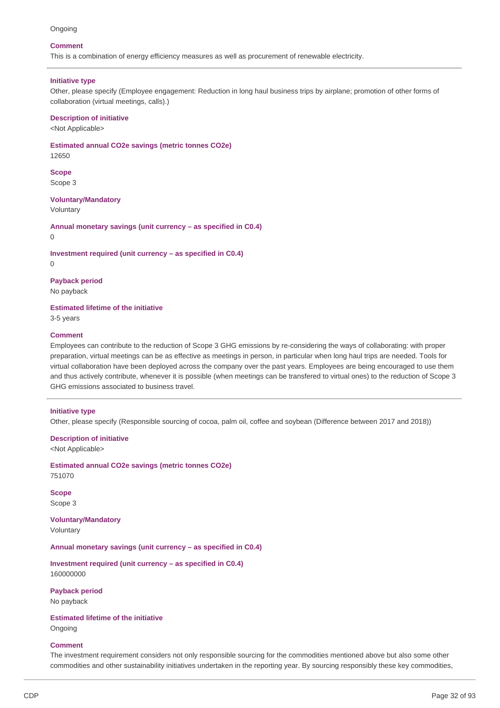#### Ongoing

### **Comment**

This is a combination of energy efficiency measures as well as procurement of renewable electricity.

### **Initiative type**

Other, please specify (Employee engagement: Reduction in long haul business trips by airplane; promotion of other forms of collaboration (virtual meetings, calls).)

#### **Description of initiative**

<Not Applicable>

## **Estimated annual CO2e savings (metric tonnes CO2e)**

12650

**Scope**

Scope 3

### **Voluntary/Mandatory**

Voluntary

**Annual monetary savings (unit currency – as specified in C0.4)**

 $\Omega$ 

### **Investment required (unit currency – as specified in C0.4)**

 $\Omega$ 

### **Payback period** No payback

**Estimated lifetime of the initiative**

3-5 years

## **Comment**

Employees can contribute to the reduction of Scope 3 GHG emissions by re-considering the ways of collaborating: with proper preparation, virtual meetings can be as effective as meetings in person, in particular when long haul trips are needed. Tools for virtual collaboration have been deployed across the company over the past years. Employees are being encouraged to use them and thus actively contribute, whenever it is possible (when meetings can be transfered to virtual ones) to the reduction of Scope 3 GHG emissions associated to business travel.

## **Initiative type**

Other, please specify (Responsible sourcing of cocoa, palm oil, coffee and soybean (Difference between 2017 and 2018))

# **Description of initiative**

<Not Applicable>

**Estimated annual CO2e savings (metric tonnes CO2e)** 751070

**Scope** Scope 3

**Voluntary/Mandatory** Voluntary

**Annual monetary savings (unit currency – as specified in C0.4)**

**Investment required (unit currency – as specified in C0.4)** 160000000

**Payback period** No payback

**Estimated lifetime of the initiative**

Ongoing

# **Comment**

The investment requirement considers not only responsible sourcing for the commodities mentioned above but also some other commodities and other sustainability initiatives undertaken in the reporting year. By sourcing responsibly these key commodities,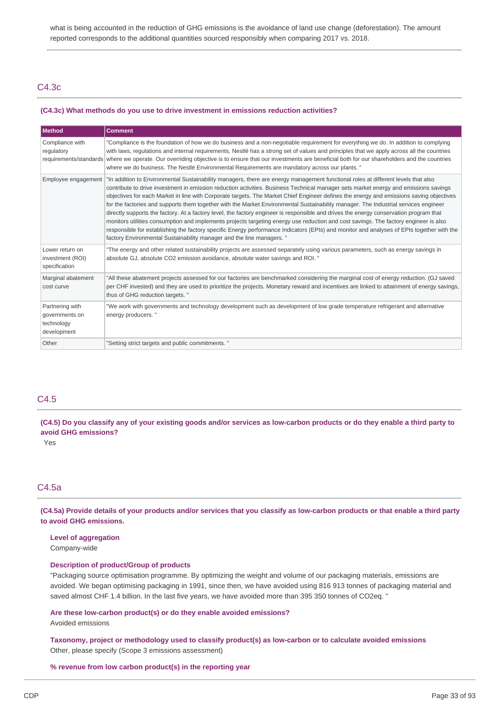# C4.3c

#### **(C4.3c) What methods do you use to drive investment in emissions reduction activities?**

| <b>Method</b>                                                  | <b>Comment</b>                                                                                                                                                                                                                                                                                                                                                                                                                                                                                                                                                                                                                                                                                                                                                                                                                                                                                                                                                                                                                                                                          |
|----------------------------------------------------------------|-----------------------------------------------------------------------------------------------------------------------------------------------------------------------------------------------------------------------------------------------------------------------------------------------------------------------------------------------------------------------------------------------------------------------------------------------------------------------------------------------------------------------------------------------------------------------------------------------------------------------------------------------------------------------------------------------------------------------------------------------------------------------------------------------------------------------------------------------------------------------------------------------------------------------------------------------------------------------------------------------------------------------------------------------------------------------------------------|
| Compliance with<br>regulatory                                  | "Compliance is the foundation of how we do business and a non-negotiable requirement for everything we do. In addition to complying<br>with laws, regulations and internal requirements, Nestlé has a strong set of values and principles that we apply across all the countries<br>requirements/standards where we operate. Our overriding objective is to ensure that our investments are beneficial both for our shareholders and the countries<br>where we do business. The Nestlé Environmental Requirements are mandatory across our plants. "                                                                                                                                                                                                                                                                                                                                                                                                                                                                                                                                    |
|                                                                | Employee engagement  "In addition to Environmental Sustainability managers, there are energy management functional roles at different levels that also<br>contribute to drive investment in emission reduction activities. Business Technical manager sets market energy and emissions savings<br>objectives for each Market in line with Corporate targets. The Market Chief Engineer defines the energy and emissions saving objectives<br>for the factories and supports them together with the Market Environmental Sustainability manager. The Industrial services engineer<br>directly supports the factory. At a factory level, the factory engineer is responsible and drives the energy conservation program that<br>monitors utilities consumption and implements projects targeting energy use reduction and cost savings. The factory engineer is also<br>responsible for establishing the factory specific Energy performance Indicators (EPIs) and monitor and analyses of EPIs together with the<br>factory Environmental Sustainability manager and the line managers." |
| Lower return on<br>investment (ROI)<br>specification           | "The energy and other related sustainability projects are assessed separately using various parameters, such as energy savings in<br>absolute GJ, absolute CO2 emission avoidance, absolute water savings and ROI. "                                                                                                                                                                                                                                                                                                                                                                                                                                                                                                                                                                                                                                                                                                                                                                                                                                                                    |
| Marginal abatement<br>cost curve                               | "All these abatement projects assessed for our factories are benchmarked considering the marginal cost of energy reduction. (GJ saved<br>per CHF invested) and they are used to prioritize the projects. Monetary reward and incentives are linked to attainment of energy savings,<br>thus of GHG reduction targets."                                                                                                                                                                                                                                                                                                                                                                                                                                                                                                                                                                                                                                                                                                                                                                  |
| Partnering with<br>governments on<br>technology<br>development | "We work with governments and technology development such as development of low grade temperature refrigerant and alternative<br>energy producers."                                                                                                                                                                                                                                                                                                                                                                                                                                                                                                                                                                                                                                                                                                                                                                                                                                                                                                                                     |
| Other                                                          | "Setting strict targets and public commitments."                                                                                                                                                                                                                                                                                                                                                                                                                                                                                                                                                                                                                                                                                                                                                                                                                                                                                                                                                                                                                                        |

# C4.5

(C4.5) Do you classify any of your existing goods and/or services as low-carbon products or do they enable a third party to **avoid GHG emissions?**

Yes

# C4.5a

(C4.5a) Provide details of your products and/or services that you classify as low-carbon products or that enable a third party **to avoid GHG emissions.**

#### **Level of aggregation**

Company-wide

### **Description of product/Group of products**

"Packaging source optimisation programme. By optimizing the weight and volume of our packaging materials, emissions are avoided. We began optimising packaging in 1991, since then, we have avoided using 816 913 tonnes of packaging material and saved almost CHF 1.4 billion. In the last five years, we have avoided more than 395 350 tonnes of CO2eq. "

### **Are these low-carbon product(s) or do they enable avoided emissions?**

Avoided emissions

**Taxonomy, project or methodology used to classify product(s) as low-carbon or to calculate avoided emissions** Other, please specify (Scope 3 emissions assessment)

#### **% revenue from low carbon product(s) in the reporting year**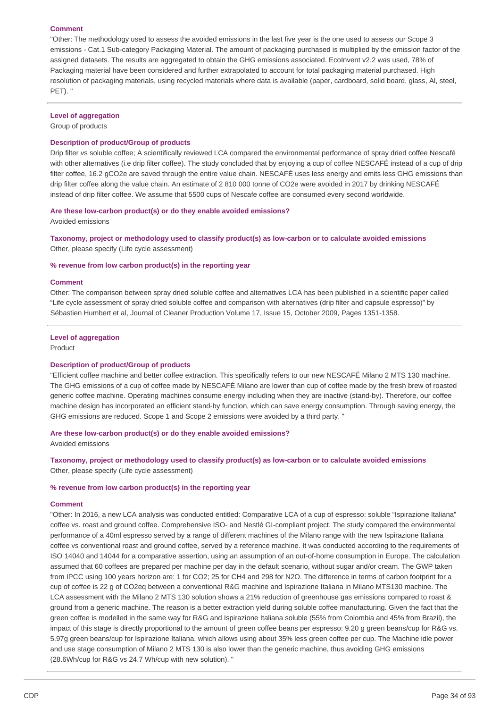#### **Comment**

"Other: The methodology used to assess the avoided emissions in the last five year is the one used to assess our Scope 3 emissions - Cat.1 Sub-category Packaging Material. The amount of packaging purchased is multiplied by the emission factor of the assigned datasets. The results are aggregated to obtain the GHG emissions associated. EcoInvent v2.2 was used, 78% of Packaging material have been considered and further extrapolated to account for total packaging material purchased. High resolution of packaging materials, using recycled materials where data is available (paper, cardboard, solid board, glass, Al, steel, PET). "

### **Level of aggregation**

Group of products

### **Description of product/Group of products**

Drip filter vs soluble coffee; A scientifically reviewed LCA compared the environmental performance of spray dried coffee Nescafé with other alternatives (i.e drip filter coffee). The study concluded that by enjoying a cup of coffee NESCAFÉ instead of a cup of drip filter coffee, 16.2 gCO2e are saved through the entire value chain. NESCAFÉ uses less energy and emits less GHG emissions than drip filter coffee along the value chain. An estimate of 2 810 000 tonne of CO2e were avoided in 2017 by drinking NESCAFÉ instead of drip filter coffee. We assume that 5500 cups of Nescafe coffee are consumed every second worldwide.

**Are these low-carbon product(s) or do they enable avoided emissions?** Avoided emissions

**Taxonomy, project or methodology used to classify product(s) as low-carbon or to calculate avoided emissions** Other, please specify (Life cycle assessment)

#### **% revenue from low carbon product(s) in the reporting year**

#### **Comment**

Other: The comparison between spray dried soluble coffee and alternatives LCA has been published in a scientific paper called "Life cycle assessment of spray dried soluble coffee and comparison with alternatives (drip filter and capsule espresso)" by Sébastien Humbert et al, Journal of Cleaner Production Volume 17, Issue 15, October 2009, Pages 1351-1358.

### **Level of aggregation**

Product

#### **Description of product/Group of products**

"Efficient coffee machine and better coffee extraction. This specifically refers to our new NESCAFÉ Milano 2 MTS 130 machine. The GHG emissions of a cup of coffee made by NESCAFÉ Milano are lower than cup of coffee made by the fresh brew of roasted generic coffee machine. Operating machines consume energy including when they are inactive (stand-by). Therefore, our coffee machine design has incorporated an efficient stand-by function, which can save energy consumption. Through saving energy, the GHG emissions are reduced. Scope 1 and Scope 2 emissions were avoided by a third party. "

#### **Are these low-carbon product(s) or do they enable avoided emissions?**

Avoided emissions

**Taxonomy, project or methodology used to classify product(s) as low-carbon or to calculate avoided emissions** Other, please specify (Life cycle assessment)

#### **% revenue from low carbon product(s) in the reporting year**

#### **Comment**

"Other: In 2016, a new LCA analysis was conducted entitled: Comparative LCA of a cup of espresso: soluble "Ispirazione Italiana" coffee vs. roast and ground coffee. Comprehensive ISO- and Nestlé GI-compliant project. The study compared the environmental performance of a 40ml espresso served by a range of different machines of the Milano range with the new Ispirazione Italiana coffee vs conventional roast and ground coffee, served by a reference machine. It was conducted according to the requirements of ISO 14040 and 14044 for a comparative assertion, using an assumption of an out-of-home consumption in Europe. The calculation assumed that 60 coffees are prepared per machine per day in the default scenario, without sugar and/or cream. The GWP taken from IPCC using 100 years horizon are: 1 for CO2; 25 for CH4 and 298 for N2O. The difference in terms of carbon footprint for a cup of coffee is 22 g of CO2eq between a conventional R&G machine and Ispirazione Italiana in Milano MTS130 machine. The LCA assessment with the Milano 2 MTS 130 solution shows a 21% reduction of greenhouse gas emissions compared to roast & ground from a generic machine. The reason is a better extraction yield during soluble coffee manufacturing. Given the fact that the green coffee is modelled in the same way for R&G and Ispirazione Italiana soluble (55% from Colombia and 45% from Brazil), the impact of this stage is directly proportional to the amount of green coffee beans per espresso: 9.20 g green beans/cup for R&G vs. 5.97g green beans/cup for Ispirazione Italiana, which allows using about 35% less green coffee per cup. The Machine idle power and use stage consumption of Milano 2 MTS 130 is also lower than the generic machine, thus avoiding GHG emissions (28.6Wh/cup for R&G vs 24.7 Wh/cup with new solution). "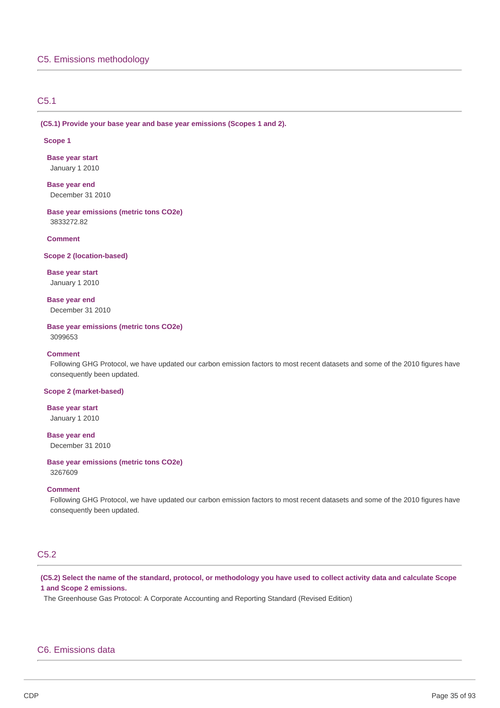# C5.1

**(C5.1) Provide your base year and base year emissions (Scopes 1 and 2).**

#### **Scope 1**

**Base year start** January 1 2010

**Base year end** December 31 2010

**Base year emissions (metric tons CO2e)** 3833272.82

**Comment**

**Scope 2 (location-based)**

**Base year start** January 1 2010

**Base year end** December 31 2010

# **Base year emissions (metric tons CO2e)**

# 3099653

### **Comment**

Following GHG Protocol, we have updated our carbon emission factors to most recent datasets and some of the 2010 figures have consequently been updated.

### **Scope 2 (market-based)**

**Base year start** January 1 2010

**Base year end** December 31 2010

### **Base year emissions (metric tons CO2e)**

3267609

### **Comment**

Following GHG Protocol, we have updated our carbon emission factors to most recent datasets and some of the 2010 figures have consequently been updated.

# C5.2

# (C5.2) Select the name of the standard, protocol, or methodology you have used to collect activity data and calculate Scope **1 and Scope 2 emissions.**

The Greenhouse Gas Protocol: A Corporate Accounting and Reporting Standard (Revised Edition)

# C6. Emissions data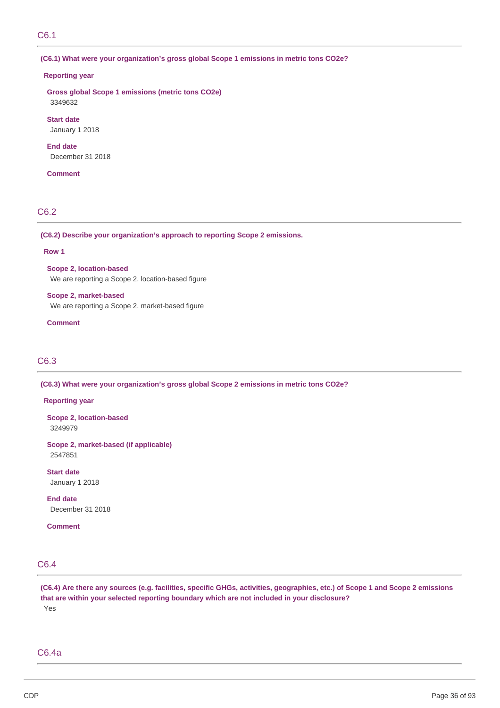## C6.1

**(C6.1) What were your organization's gross global Scope 1 emissions in metric tons CO2e?**

# **Reporting year**

**Gross global Scope 1 emissions (metric tons CO2e)** 3349632

**Start date** January 1 2018

**End date** December 31 2018

### **Comment**

# C6.2

**(C6.2) Describe your organization's approach to reporting Scope 2 emissions.**

#### **Row 1**

**Scope 2, location-based** We are reporting a Scope 2, location-based figure

**Scope 2, market-based** We are reporting a Scope 2, market-based figure

#### **Comment**

# C6.3

**(C6.3) What were your organization's gross global Scope 2 emissions in metric tons CO2e?**

### **Reporting year**

**Scope 2, location-based** 3249979

**Scope 2, market-based (if applicable)** 2547851

**Start date** January 1 2018

**End date** December 31 2018

**Comment**

# C6.4

(C6.4) Are there any sources (e.g. facilities, specific GHGs, activities, geographies, etc.) of Scope 1 and Scope 2 emissions **that are within your selected reporting boundary which are not included in your disclosure?** Yes

### C6.4a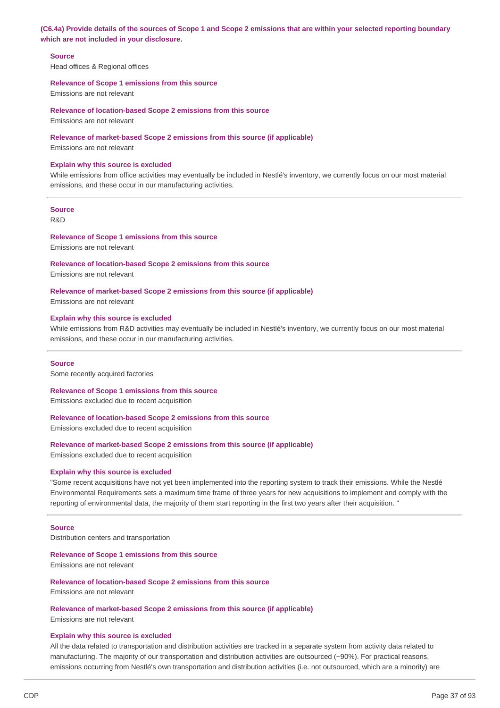(C6.4a) Provide details of the sources of Scope 1 and Scope 2 emissions that are within your selected reporting boundary **which are not included in your disclosure.**

### **Source**

Head offices & Regional offices

#### **Relevance of Scope 1 emissions from this source**

Emissions are not relevant

#### **Relevance of location-based Scope 2 emissions from this source**

Emissions are not relevant

### **Relevance of market-based Scope 2 emissions from this source (if applicable)**

Emissions are not relevant

### **Explain why this source is excluded**

While emissions from office activities may eventually be included in Nestlé's inventory, we currently focus on our most material emissions, and these occur in our manufacturing activities.

### **Source**

R&D

### **Relevance of Scope 1 emissions from this source**

Emissions are not relevant

### **Relevance of location-based Scope 2 emissions from this source**

Emissions are not relevant

### **Relevance of market-based Scope 2 emissions from this source (if applicable)**

Emissions are not relevant

### **Explain why this source is excluded**

While emissions from R&D activities may eventually be included in Nestlé's inventory, we currently focus on our most material emissions, and these occur in our manufacturing activities.

### **Source**

Some recently acquired factories

**Relevance of Scope 1 emissions from this source** Emissions excluded due to recent acquisition

#### **Relevance of location-based Scope 2 emissions from this source**

Emissions excluded due to recent acquisition

### **Relevance of market-based Scope 2 emissions from this source (if applicable)**

Emissions excluded due to recent acquisition

### **Explain why this source is excluded**

"Some recent acquisitions have not yet been implemented into the reporting system to track their emissions. While the Nestlé Environmental Requirements sets a maximum time frame of three years for new acquisitions to implement and comply with the reporting of environmental data, the majority of them start reporting in the first two years after their acquisition. "

#### **Source**

Distribution centers and transportation

#### **Relevance of Scope 1 emissions from this source**

Emissions are not relevant

# **Relevance of location-based Scope 2 emissions from this source**

Emissions are not relevant

**Relevance of market-based Scope 2 emissions from this source (if applicable)** Emissions are not relevant

#### **Explain why this source is excluded**

All the data related to transportation and distribution activities are tracked in a separate system from activity data related to manufacturing. The majority of our transportation and distribution activities are outsourced (~90%). For practical reasons, emissions occurring from Nestlé's own transportation and distribution activities (i.e. not outsourced, which are a minority) are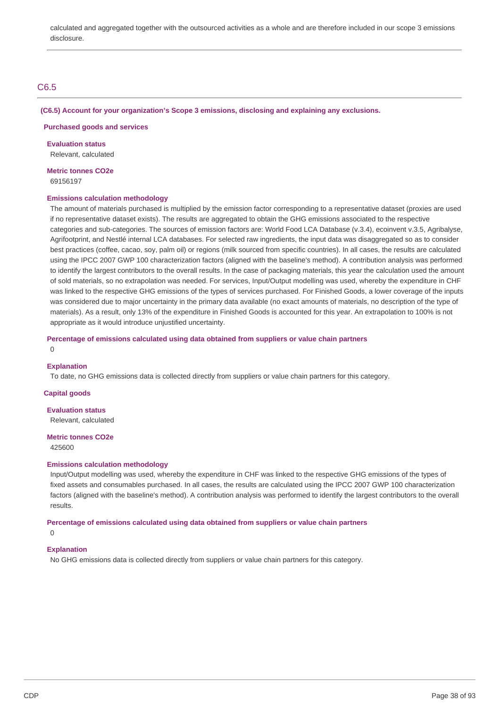calculated and aggregated together with the outsourced activities as a whole and are therefore included in our scope 3 emissions disclosure.

# C6.5

### **(C6.5) Account for your organization's Scope 3 emissions, disclosing and explaining any exclusions.**

### **Purchased goods and services**

**Evaluation status** Relevant, calculated

**Metric tonnes CO2e** 69156197

### **Emissions calculation methodology**

The amount of materials purchased is multiplied by the emission factor corresponding to a representative dataset (proxies are used if no representative dataset exists). The results are aggregated to obtain the GHG emissions associated to the respective categories and sub-categories. The sources of emission factors are: World Food LCA Database (v.3.4), ecoinvent v.3.5, Agribalyse, Agrifootprint, and Nestlé internal LCA databases. For selected raw ingredients, the input data was disaggregated so as to consider best practices (coffee, cacao, soy, palm oil) or regions (milk sourced from specific countries). In all cases, the results are calculated using the IPCC 2007 GWP 100 characterization factors (aligned with the baseline's method). A contribution analysis was performed to identify the largest contributors to the overall results. In the case of packaging materials, this year the calculation used the amount of sold materials, so no extrapolation was needed. For services, Input/Output modelling was used, whereby the expenditure in CHF was linked to the respective GHG emissions of the types of services purchased. For Finished Goods, a lower coverage of the inputs was considered due to major uncertainty in the primary data available (no exact amounts of materials, no description of the type of materials). As a result, only 13% of the expenditure in Finished Goods is accounted for this year. An extrapolation to 100% is not appropriate as it would introduce unjustified uncertainty.

**Percentage of emissions calculated using data obtained from suppliers or value chain partners**  $\Omega$ 

### **Explanation**

To date, no GHG emissions data is collected directly from suppliers or value chain partners for this category.

### **Capital goods**

**Evaluation status**

Relevant, calculated

### **Metric tonnes CO2e**

425600

#### **Emissions calculation methodology**

Input/Output modelling was used, whereby the expenditure in CHF was linked to the respective GHG emissions of the types of fixed assets and consumables purchased. In all cases, the results are calculated using the IPCC 2007 GWP 100 characterization factors (aligned with the baseline's method). A contribution analysis was performed to identify the largest contributors to the overall results.

### **Percentage of emissions calculated using data obtained from suppliers or value chain partners**

0

# **Explanation**

No GHG emissions data is collected directly from suppliers or value chain partners for this category.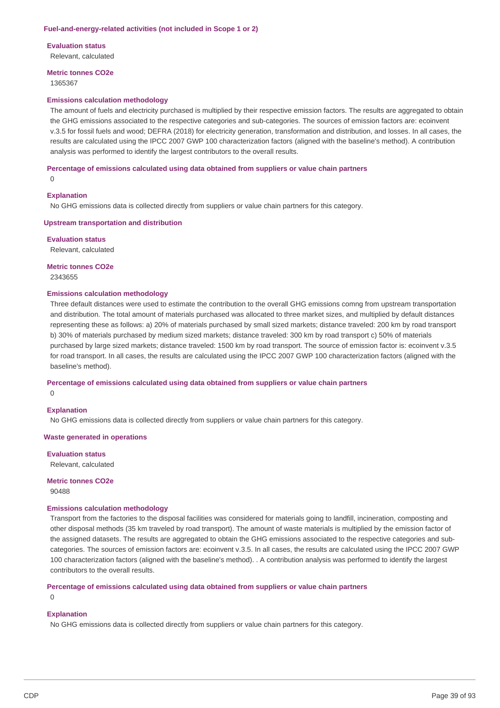#### **Fuel-and-energy-related activities (not included in Scope 1 or 2)**

**Evaluation status**

Relevant, calculated

# **Metric tonnes CO2e**

1365367

### **Emissions calculation methodology**

The amount of fuels and electricity purchased is multiplied by their respective emission factors. The results are aggregated to obtain the GHG emissions associated to the respective categories and sub-categories. The sources of emission factors are: ecoinvent v.3.5 for fossil fuels and wood; DEFRA (2018) for electricity generation, transformation and distribution, and losses. In all cases, the results are calculated using the IPCC 2007 GWP 100 characterization factors (aligned with the baseline's method). A contribution analysis was performed to identify the largest contributors to the overall results.

### **Percentage of emissions calculated using data obtained from suppliers or value chain partners**

0

### **Explanation**

No GHG emissions data is collected directly from suppliers or value chain partners for this category.

### **Upstream transportation and distribution**

**Evaluation status** Relevant, calculated

**Metric tonnes CO2e** 2343655

### **Emissions calculation methodology**

Three default distances were used to estimate the contribution to the overall GHG emissions comng from upstream transportation and distribution. The total amount of materials purchased was allocated to three market sizes, and multiplied by default distances representing these as follows: a) 20% of materials purchased by small sized markets; distance traveled: 200 km by road transport b) 30% of materials purchased by medium sized markets; distance traveled: 300 km by road transport c) 50% of materials purchased by large sized markets; distance traveled: 1500 km by road transport. The source of emission factor is: ecoinvent v.3.5 for road transport. In all cases, the results are calculated using the IPCC 2007 GWP 100 characterization factors (aligned with the baseline's method).

### **Percentage of emissions calculated using data obtained from suppliers or value chain partners**

 $\Omega$ 

# **Explanation**

No GHG emissions data is collected directly from suppliers or value chain partners for this category.

# **Waste generated in operations**

**Evaluation status** Relevant, calculated

**Metric tonnes CO2e** 90488

# **Emissions calculation methodology**

Transport from the factories to the disposal facilities was considered for materials going to landfill, incineration, composting and other disposal methods (35 km traveled by road transport). The amount of waste materials is multiplied by the emission factor of the assigned datasets. The results are aggregated to obtain the GHG emissions associated to the respective categories and subcategories. The sources of emission factors are: ecoinvent v.3.5. In all cases, the results are calculated using the IPCC 2007 GWP 100 characterization factors (aligned with the baseline's method). . A contribution analysis was performed to identify the largest contributors to the overall results.

# **Percentage of emissions calculated using data obtained from suppliers or value chain partners**

 $\Omega$ 

### **Explanation**

No GHG emissions data is collected directly from suppliers or value chain partners for this category.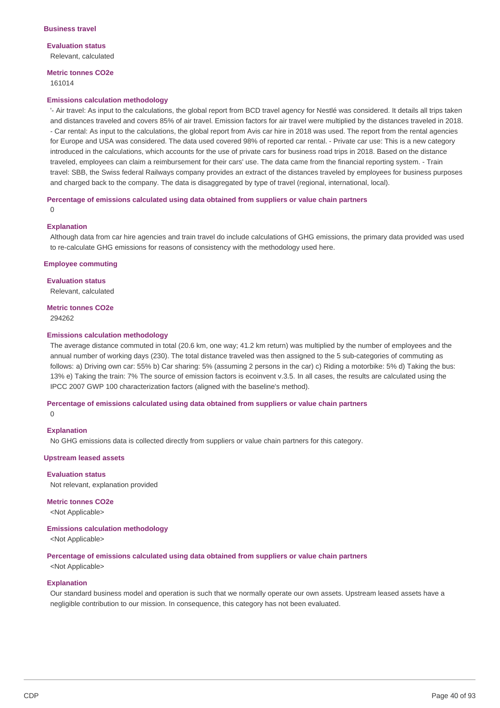**Evaluation status** Relevant, calculated

**Metric tonnes CO2e** 161014

### **Emissions calculation methodology**

'- Air travel: As input to the calculations, the global report from BCD travel agency for Nestlé was considered. It details all trips taken and distances traveled and covers 85% of air travel. Emission factors for air travel were multiplied by the distances traveled in 2018. - Car rental: As input to the calculations, the global report from Avis car hire in 2018 was used. The report from the rental agencies for Europe and USA was considered. The data used covered 98% of reported car rental. - Private car use: This is a new category introduced in the calculations, which accounts for the use of private cars for business road trips in 2018. Based on the distance traveled, employees can claim a reimbursement for their cars' use. The data came from the financial reporting system. - Train travel: SBB, the Swiss federal Railways company provides an extract of the distances traveled by employees for business purposes and charged back to the company. The data is disaggregated by type of travel (regional, international, local).

### **Percentage of emissions calculated using data obtained from suppliers or value chain partners**  $\Omega$

### **Explanation**

Although data from car hire agencies and train travel do include calculations of GHG emissions, the primary data provided was used to re-calculate GHG emissions for reasons of consistency with the methodology used here.

### **Employee commuting**

**Evaluation status**

Relevant, calculated

# **Metric tonnes CO2e** 294262

### **Emissions calculation methodology**

The average distance commuted in total (20.6 km, one way; 41.2 km return) was multiplied by the number of employees and the annual number of working days (230). The total distance traveled was then assigned to the 5 sub-categories of commuting as follows: a) Driving own car: 55% b) Car sharing: 5% (assuming 2 persons in the car) c) Riding a motorbike: 5% d) Taking the bus: 13% e) Taking the train: 7% The source of emission factors is ecoinvent v.3.5. In all cases, the results are calculated using the IPCC 2007 GWP 100 characterization factors (aligned with the baseline's method).

### **Percentage of emissions calculated using data obtained from suppliers or value chain partners**

 $\Omega$ 

### **Explanation**

No GHG emissions data is collected directly from suppliers or value chain partners for this category.

# **Upstream leased assets**

**Evaluation status**

Not relevant, explanation provided

# **Metric tonnes CO2e**

<Not Applicable>

# **Emissions calculation methodology**

<Not Applicable>

# **Percentage of emissions calculated using data obtained from suppliers or value chain partners**

<Not Applicable>

# **Explanation**

Our standard business model and operation is such that we normally operate our own assets. Upstream leased assets have a negligible contribution to our mission. In consequence, this category has not been evaluated.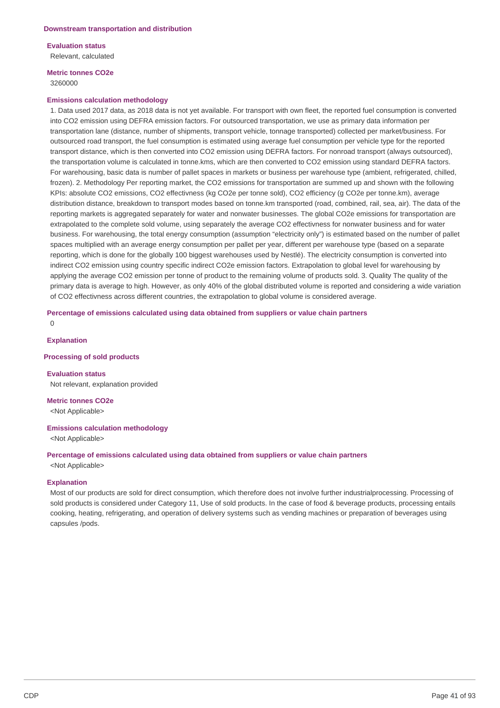# **Evaluation status**

Relevant, calculated

# **Metric tonnes CO2e**

3260000

#### **Emissions calculation methodology**

1. Data used 2017 data, as 2018 data is not yet available. For transport with own fleet, the reported fuel consumption is converted into CO2 emission using DEFRA emission factors. For outsourced transportation, we use as primary data information per transportation lane (distance, number of shipments, transport vehicle, tonnage transported) collected per market/business. For outsourced road transport, the fuel consumption is estimated using average fuel consumption per vehicle type for the reported transport distance, which is then converted into CO2 emission using DEFRA factors. For nonroad transport (always outsourced), the transportation volume is calculated in tonne.kms, which are then converted to CO2 emission using standard DEFRA factors. For warehousing, basic data is number of pallet spaces in markets or business per warehouse type (ambient, refrigerated, chilled, frozen). 2. Methodology Per reporting market, the CO2 emissions for transportation are summed up and shown with the following KPIs: absolute CO2 emissions, CO2 effectivness (kg CO2e per tonne sold), CO2 efficiency (g CO2e per tonne.km), average distribution distance, breakdown to transport modes based on tonne.km transported (road, combined, rail, sea, air). The data of the reporting markets is aggregated separately for water and nonwater businesses. The global CO2e emissions for transportation are extrapolated to the complete sold volume, using separately the average CO2 effectivness for nonwater business and for water business. For warehousing, the total energy consumption (assumption "electricity only") is estimated based on the number of pallet spaces multiplied with an average energy consumption per pallet per year, different per warehouse type (based on a separate reporting, which is done for the globally 100 biggest warehouses used by Nestlé). The electricity consumption is converted into indirect CO2 emission using country specific indirect CO2e emission factors. Extrapolation to global level for warehousing by applying the average CO2 emission per tonne of product to the remaining volume of products sold. 3. Quality The quality of the primary data is average to high. However, as only 40% of the global distributed volume is reported and considering a wide variation of CO2 effectivness across different countries, the extrapolation to global volume is considered average.

**Percentage of emissions calculated using data obtained from suppliers or value chain partners**  $\Omega$ 

### **Explanation**

### **Processing of sold products**

**Evaluation status** Not relevant, explanation provided

**Metric tonnes CO2e** <Not Applicable>

### **Emissions calculation methodology**

<Not Applicable>

### **Percentage of emissions calculated using data obtained from suppliers or value chain partners**

<Not Applicable>

### **Explanation**

Most of our products are sold for direct consumption, which therefore does not involve further industrialprocessing. Processing of sold products is considered under Category 11, Use of sold products. In the case of food & beverage products, processing entails cooking, heating, refrigerating, and operation of delivery systems such as vending machines or preparation of beverages using capsules /pods.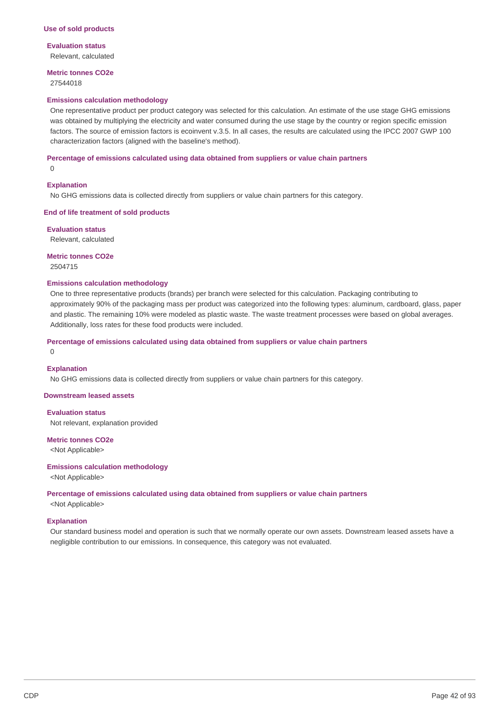# **Evaluation status**

Relevant, calculated

### **Metric tonnes CO2e** 27544018

### **Emissions calculation methodology**

One representative product per product category was selected for this calculation. An estimate of the use stage GHG emissions was obtained by multiplying the electricity and water consumed during the use stage by the country or region specific emission factors. The source of emission factors is ecoinvent v.3.5. In all cases, the results are calculated using the IPCC 2007 GWP 100 characterization factors (aligned with the baseline's method).

### **Percentage of emissions calculated using data obtained from suppliers or value chain partners**

 $\Omega$ 

### **Explanation**

No GHG emissions data is collected directly from suppliers or value chain partners for this category.

### **End of life treatment of sold products**

# **Evaluation status**

Relevant, calculated

**Metric tonnes CO2e** 2504715

### **Emissions calculation methodology**

One to three representative products (brands) per branch were selected for this calculation. Packaging contributing to approximately 90% of the packaging mass per product was categorized into the following types: aluminum, cardboard, glass, paper and plastic. The remaining 10% were modeled as plastic waste. The waste treatment processes were based on global averages. Additionally, loss rates for these food products were included.

### **Percentage of emissions calculated using data obtained from suppliers or value chain partners**

# **Explanation**

 $\Omega$ 

No GHG emissions data is collected directly from suppliers or value chain partners for this category.

### **Downstream leased assets**

### **Evaluation status**

Not relevant, explanation provided

# **Metric tonnes CO2e**

<Not Applicable>

### **Emissions calculation methodology**

<Not Applicable>

### **Percentage of emissions calculated using data obtained from suppliers or value chain partners**

<Not Applicable>

### **Explanation**

Our standard business model and operation is such that we normally operate our own assets. Downstream leased assets have a negligible contribution to our emissions. In consequence, this category was not evaluated.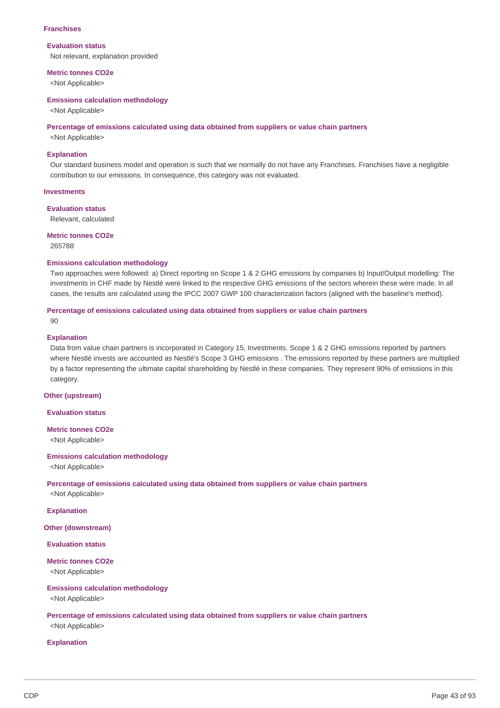### **Franchises**

#### **Evaluation status**

Not relevant, explanation provided

#### **Metric tonnes CO2e**

<Not Applicable>

### **Emissions calculation methodology**

<Not Applicable>

### **Percentage of emissions calculated using data obtained from suppliers or value chain partners**

<Not Applicable>

### **Explanation**

Our standard business model and operation is such that we normally do not have any Franchises. Franchises have a negligible contribution to our emissions. In consequence, this category was not evaluated.

### **Investments**

### **Evaluation status**

Relevant, calculated

### **Metric tonnes CO2e** 265788

#### **Emissions calculation methodology**

Two approaches were followed: a) Direct reporting on Scope 1 & 2 GHG emissions by companies b) Input/Output modelling: The investments in CHF made by Nestlé were linked to the respective GHG emissions of the sectors wherein these were made. In all cases, the results are calculated using the IPCC 2007 GWP 100 characterization factors (aligned with the baseline's method).

# **Percentage of emissions calculated using data obtained from suppliers or value chain partners**

 $90$ 

### **Explanation**

Data from value chain partners is incorporated in Category 15, Investments. Scope 1 & 2 GHG emissions reported by partners where Nestlé invests are accounted as Nestlé's Scope 3 GHG emissions . The emissions reported by these partners are multiplied by a factor representing the ultimate capital shareholding by Nestlé in these companies. They represent 90% of emissions in this category.

#### **Other (upstream)**

### **Evaluation status**

### **Metric tonnes CO2e**

<Not Applicable>

### **Emissions calculation methodology**

<Not Applicable>

### **Percentage of emissions calculated using data obtained from suppliers or value chain partners**

<Not Applicable>

# **Explanation**

**Other (downstream)**

### **Evaluation status**

**Metric tonnes CO2e** <Not Applicable>

# **Emissions calculation methodology**

<Not Applicable>

### **Percentage of emissions calculated using data obtained from suppliers or value chain partners** <Not Applicable>

# **Explanation**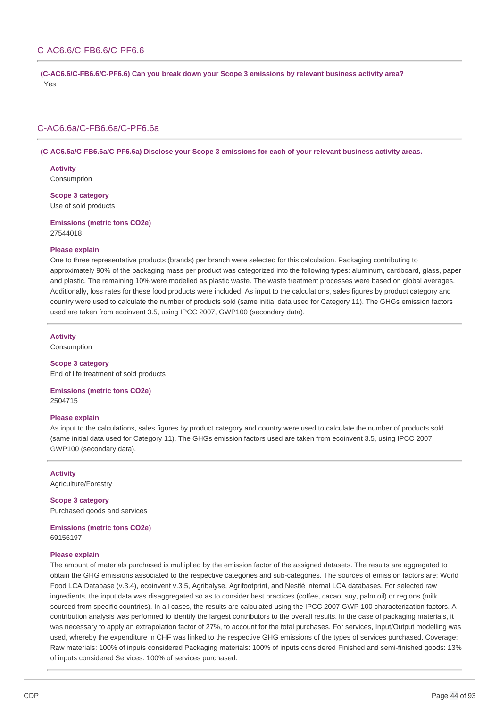**(C-AC6.6/C-FB6.6/C-PF6.6) Can you break down your Scope 3 emissions by relevant business activity area?** Yes

# C-AC6.6a/C-FB6.6a/C-PF6.6a

**(C-AC6.6a/C-FB6.6a/C-PF6.6a) Disclose your Scope 3 emissions for each of your relevant business activity areas.**

### **Activity**

Consumption

**Scope 3 category** Use of sold products

**Emissions (metric tons CO2e)** 27544018

### **Please explain**

One to three representative products (brands) per branch were selected for this calculation. Packaging contributing to approximately 90% of the packaging mass per product was categorized into the following types: aluminum, cardboard, glass, paper and plastic. The remaining 10% were modelled as plastic waste. The waste treatment processes were based on global averages. Additionally, loss rates for these food products were included. As input to the calculations, sales figures by product category and country were used to calculate the number of products sold (same initial data used for Category 11). The GHGs emission factors used are taken from ecoinvent 3.5, using IPCC 2007, GWP100 (secondary data).

### **Activity**

Consumption

**Scope 3 category** End of life treatment of sold products

**Emissions (metric tons CO2e)** 2504715

### **Please explain**

As input to the calculations, sales figures by product category and country were used to calculate the number of products sold (same initial data used for Category 11). The GHGs emission factors used are taken from ecoinvent 3.5, using IPCC 2007, GWP100 (secondary data).

**Activity**

Agriculture/Forestry

**Scope 3 category** Purchased goods and services

**Emissions (metric tons CO2e)** 69156197

### **Please explain**

The amount of materials purchased is multiplied by the emission factor of the assigned datasets. The results are aggregated to obtain the GHG emissions associated to the respective categories and sub-categories. The sources of emission factors are: World Food LCA Database (v.3.4), ecoinvent v.3.5, Agribalyse, Agrifootprint, and Nestlé internal LCA databases. For selected raw ingredients, the input data was disaggregated so as to consider best practices (coffee, cacao, soy, palm oil) or regions (milk sourced from specific countries). In all cases, the results are calculated using the IPCC 2007 GWP 100 characterization factors. A contribution analysis was performed to identify the largest contributors to the overall results. In the case of packaging materials, it was necessary to apply an extrapolation factor of 27%, to account for the total purchases. For services, Input/Output modelling was used, whereby the expenditure in CHF was linked to the respective GHG emissions of the types of services purchased. Coverage: Raw materials: 100% of inputs considered Packaging materials: 100% of inputs considered Finished and semi-finished goods: 13% of inputs considered Services: 100% of services purchased.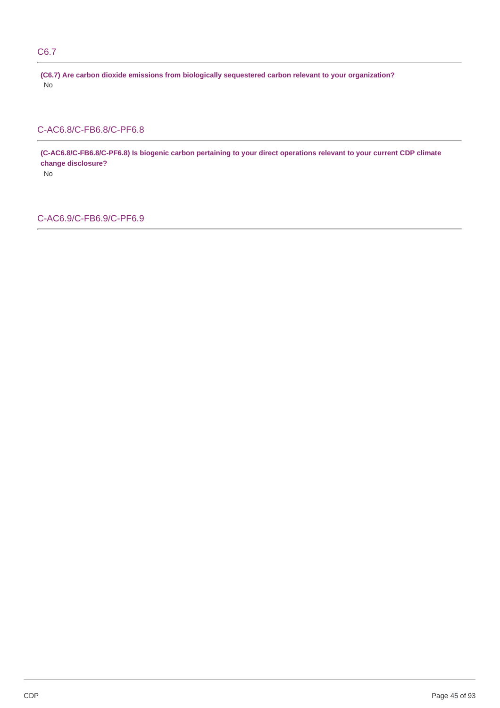**(C6.7) Are carbon dioxide emissions from biologically sequestered carbon relevant to your organization?** No

# C-AC6.8/C-FB6.8/C-PF6.8

**(C-AC6.8/C-FB6.8/C-PF6.8) Is biogenic carbon pertaining to your direct operations relevant to your current CDP climate change disclosure?**

No

C-AC6.9/C-FB6.9/C-PF6.9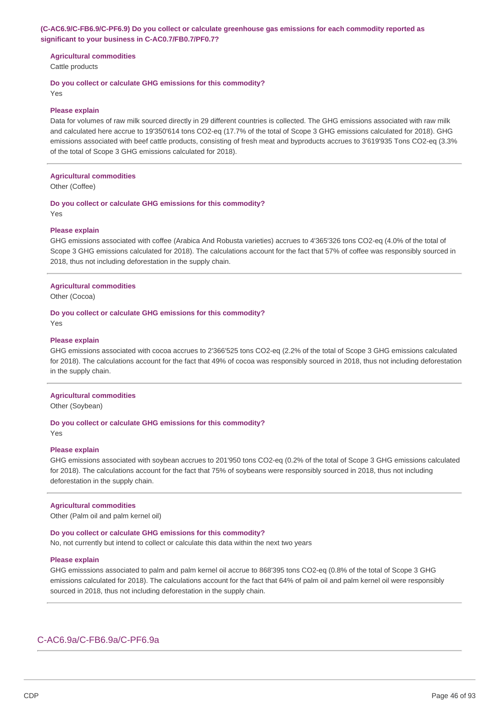### **(C-AC6.9/C-FB6.9/C-PF6.9) Do you collect or calculate greenhouse gas emissions for each commodity reported as significant to your business in C-AC0.7/FB0.7/PF0.7?**

### **Agricultural commodities**

Cattle products

**Do you collect or calculate GHG emissions for this commodity?** Yes

# **Please explain**

Data for volumes of raw milk sourced directly in 29 different countries is collected. The GHG emissions associated with raw milk and calculated here accrue to 19'350'614 tons CO2-eq (17.7% of the total of Scope 3 GHG emissions calculated for 2018). GHG emissions associated with beef cattle products, consisting of fresh meat and byproducts accrues to 3'619'935 Tons CO2-eq (3.3% of the total of Scope 3 GHG emissions calculated for 2018).

### **Agricultural commodities**

Other (Coffee)

**Do you collect or calculate GHG emissions for this commodity?** Yes

### **Please explain**

GHG emissions associated with coffee (Arabica And Robusta varieties) accrues to 4'365'326 tons CO2-eq (4.0% of the total of Scope 3 GHG emissions calculated for 2018). The calculations account for the fact that 57% of coffee was responsibly sourced in 2018, thus not including deforestation in the supply chain.

### **Agricultural commodities**

Other (Cocoa)

**Do you collect or calculate GHG emissions for this commodity?** Yes

### **Please explain**

GHG emissions associated with cocoa accrues to 2'366'525 tons CO2-eq (2.2% of the total of Scope 3 GHG emissions calculated for 2018). The calculations account for the fact that 49% of cocoa was responsibly sourced in 2018, thus not including deforestation in the supply chain.

### **Agricultural commodities**

Other (Soybean)

**Do you collect or calculate GHG emissions for this commodity?**

Yes

### **Please explain**

GHG emissions associated with soybean accrues to 201'950 tons CO2-eq (0.2% of the total of Scope 3 GHG emissions calculated for 2018). The calculations account for the fact that 75% of soybeans were responsibly sourced in 2018, thus not including deforestation in the supply chain.

### **Agricultural commodities**

Other (Palm oil and palm kernel oil)

### **Do you collect or calculate GHG emissions for this commodity?**

No, not currently but intend to collect or calculate this data within the next two years

### **Please explain**

GHG emisssions associated to palm and palm kernel oil accrue to 868'395 tons CO2-eq (0.8% of the total of Scope 3 GHG emissions calculated for 2018). The calculations account for the fact that 64% of palm oil and palm kernel oil were responsibly sourced in 2018, thus not including deforestation in the supply chain.

# C-AC6.9a/C-FB6.9a/C-PF6.9a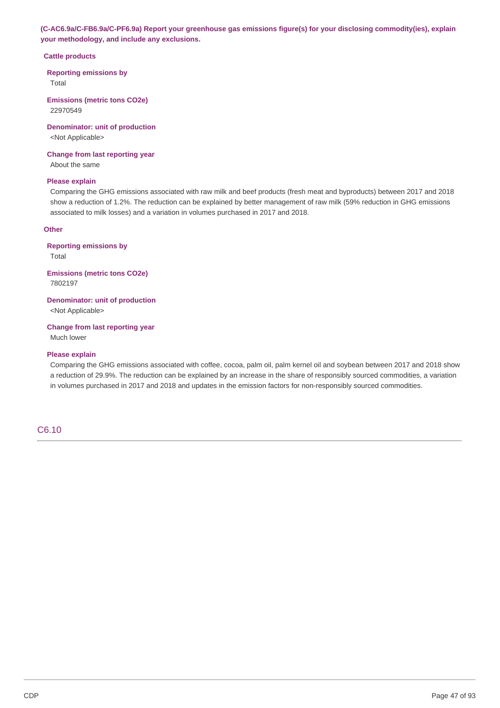**(C-AC6.9a/C-FB6.9a/C-PF6.9a) Report your greenhouse gas emissions figure(s) for your disclosing commodity(ies), explain your methodology, and include any exclusions.**

### **Cattle products**

**Reporting emissions by**

Total

**Emissions (metric tons CO2e)** 22970549

**Denominator: unit of production** <Not Applicable>

**Change from last reporting year**

About the same

### **Please explain**

Comparing the GHG emissions associated with raw milk and beef products (fresh meat and byproducts) between 2017 and 2018 show a reduction of 1.2%. The reduction can be explained by better management of raw milk (59% reduction in GHG emissions associated to milk losses) and a variation in volumes purchased in 2017 and 2018.

### **Other**

**Reporting emissions by** Total

**Emissions (metric tons CO2e)** 7802197

**Denominator: unit of production** <Not Applicable>

**Change from last reporting year** Much lower

### **Please explain**

Comparing the GHG emissions associated with coffee, cocoa, palm oil, palm kernel oil and soybean between 2017 and 2018 show a reduction of 29.9%. The reduction can be explained by an increase in the share of responsibly sourced commodities, a variation in volumes purchased in 2017 and 2018 and updates in the emission factors for non-responsibly sourced commodities.

# C6.10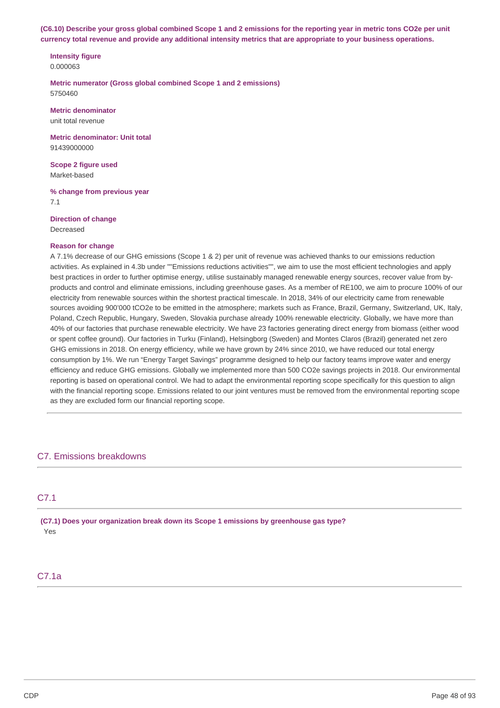(C6.10) Describe your gross global combined Scope 1 and 2 emissions for the reporting year in metric tons CO2e per unit currency total revenue and provide any additional intensity metrics that are appropriate to your business operations.

**Intensity figure** 0.000063

**Metric numerator (Gross global combined Scope 1 and 2 emissions)** 5750460

**Metric denominator** unit total revenue

**Metric denominator: Unit total** 91439000000

**Scope 2 figure used** Market-based

**% change from previous year** 7.1

**Direction of change**

Decreased

### **Reason for change**

A 7.1% decrease of our GHG emissions (Scope 1 & 2) per unit of revenue was achieved thanks to our emissions reduction activities. As explained in 4.3b under ""Emissions reductions activities"", we aim to use the most efficient technologies and apply best practices in order to further optimise energy, utilise sustainably managed renewable energy sources, recover value from byproducts and control and eliminate emissions, including greenhouse gases. As a member of RE100, we aim to procure 100% of our electricity from renewable sources within the shortest practical timescale. In 2018, 34% of our electricity came from renewable sources avoiding 900'000 tCO2e to be emitted in the atmosphere; markets such as France, Brazil, Germany, Switzerland, UK, Italy, Poland, Czech Republic, Hungary, Sweden, Slovakia purchase already 100% renewable electricity. Globally, we have more than 40% of our factories that purchase renewable electricity. We have 23 factories generating direct energy from biomass (either wood or spent coffee ground). Our factories in Turku (Finland), Helsingborg (Sweden) and Montes Claros (Brazil) generated net zero GHG emissions in 2018. On energy efficiency, while we have grown by 24% since 2010, we have reduced our total energy consumption by 1%. We run "Energy Target Savings" programme designed to help our factory teams improve water and energy efficiency and reduce GHG emissions. Globally we implemented more than 500 CO2e savings projects in 2018. Our environmental reporting is based on operational control. We had to adapt the environmental reporting scope specifically for this question to align with the financial reporting scope. Emissions related to our joint ventures must be removed from the environmental reporting scope as they are excluded form our financial reporting scope.

# C7. Emissions breakdowns

# C7.1

**(C7.1) Does your organization break down its Scope 1 emissions by greenhouse gas type?** Yes

# C7.1a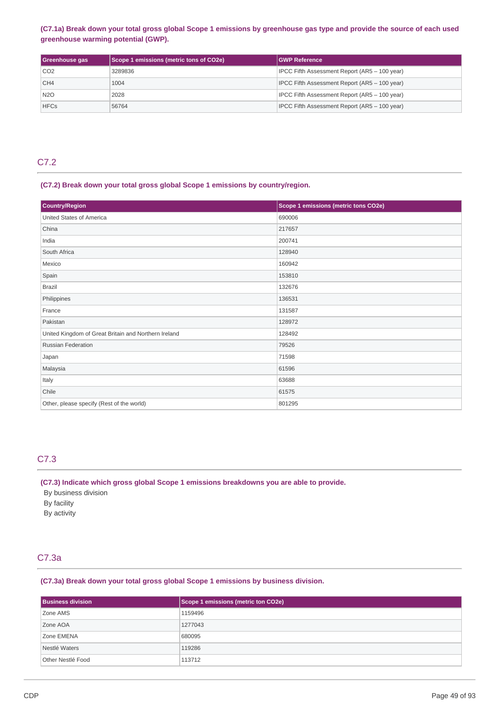(C7.1a) Break down your total gross global Scope 1 emissions by greenhouse gas type and provide the source of each used **greenhouse warming potential (GWP).**

| Greenhouse gas  | Scope 1 emissions (metric tons of CO2e) | <b>IGWP Reference</b>                         |
|-----------------|-----------------------------------------|-----------------------------------------------|
| CO <sub>2</sub> | 3289836                                 | IPCC Fifth Assessment Report (AR5 - 100 year) |
| CH <sub>4</sub> | 1004                                    | IPCC Fifth Assessment Report (AR5 - 100 year) |
| N <sub>2O</sub> | 2028                                    | IPCC Fifth Assessment Report (AR5 - 100 year) |
| <b>HFCs</b>     | 56764                                   | IPCC Fifth Assessment Report (AR5 - 100 year) |

# C7.2

# **(C7.2) Break down your total gross global Scope 1 emissions by country/region.**

| Country/Region                                       | Scope 1 emissions (metric tons CO2e) |
|------------------------------------------------------|--------------------------------------|
| United States of America                             | 690006                               |
| China                                                | 217657                               |
| India                                                | 200741                               |
| South Africa                                         | 128940                               |
| Mexico                                               | 160942                               |
| Spain                                                | 153810                               |
| Brazil                                               | 132676                               |
| Philippines                                          | 136531                               |
| France                                               | 131587                               |
| Pakistan                                             | 128972                               |
| United Kingdom of Great Britain and Northern Ireland | 128492                               |
| <b>Russian Federation</b>                            | 79526                                |
| Japan                                                | 71598                                |
| Malaysia                                             | 61596                                |
| Italy                                                | 63688                                |
| Chile                                                | 61575                                |
| Other, please specify (Rest of the world)            | 801295                               |

# C7.3

**(C7.3) Indicate which gross global Scope 1 emissions breakdowns you are able to provide.**

- By business division
- By facility
- By activity

# C7.3a

# **(C7.3a) Break down your total gross global Scope 1 emissions by business division.**

| <b>Business division</b> | Scope 1 emissions (metric ton CO2e) |
|--------------------------|-------------------------------------|
| Zone AMS                 | 1159496                             |
| Zone AOA                 | 1277043                             |
| Zone EMENA               | 680095                              |
| Nestlé Waters            | 119286                              |
| Other Nestlé Food        | 113712                              |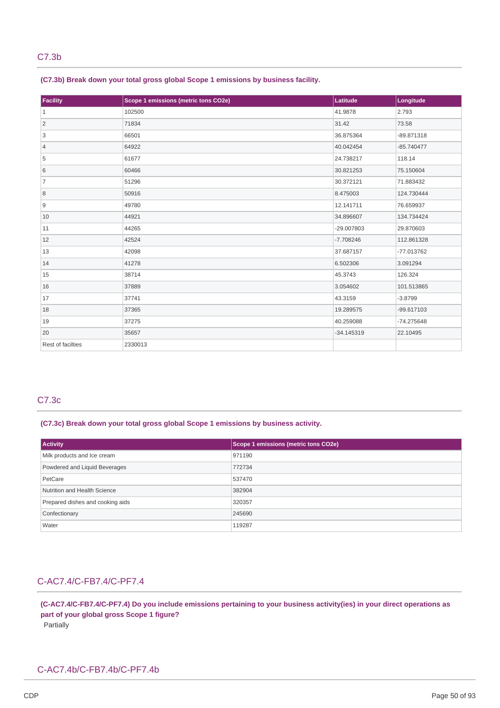# C7.3b

# **(C7.3b) Break down your total gross global Scope 1 emissions by business facility.**

| <b>Facility</b>   | Scope 1 emissions (metric tons CO2e) | Latitude     | Longitude    |
|-------------------|--------------------------------------|--------------|--------------|
| $\mathbf{1}$      | 102500                               | 41.9878      | 2.793        |
| $\overline{2}$    | 71834                                | 31.42        | 73.58        |
| 3                 | 66501                                | 36.875364    | $-89.871318$ |
| 4                 | 64922                                | 40.042454    | $-85.740477$ |
| 5                 | 61677                                | 24.738217    | 118.14       |
| 6                 | 60466                                | 30.821253    | 75.150604    |
| $\overline{7}$    | 51296                                | 30.372121    | 71.883432    |
| 8                 | 50916                                | 8.475003     | 124.730444   |
| 9                 | 49780                                | 12.141711    | 76.659937    |
| 10                | 44921                                | 34.896607    | 134.734424   |
| 11                | 44265                                | -29.007803   | 29.870603    |
| 12                | 42524                                | $-7.708246$  | 112.861328   |
| 13                | 42098                                | 37.687157    | $-77.013762$ |
| 14                | 41278                                | 6.502306     | 3.091294     |
| 15                | 38714                                | 45.3743      | 126.324      |
| 16                | 37889                                | 3.054602     | 101.513865   |
| 17                | 37741                                | 43.3159      | $-3.8799$    |
| 18                | 37365                                | 19.289575    | $-99.617103$ |
| 19                | 37275                                | 40.259088    | $-74.275648$ |
| 20                | 35657                                | $-34.145319$ | 22.10495     |
| Rest of facilties | 2330013                              |              |              |

# C7.3c

# **(C7.3c) Break down your total gross global Scope 1 emissions by business activity.**

| <b>Activity</b>                  | Scope 1 emissions (metric tons CO2e) |
|----------------------------------|--------------------------------------|
| Milk products and Ice cream      | 971190                               |
| Powdered and Liquid Beverages    | 772734                               |
| PetCare                          | 537470                               |
| Nutrition and Health Science     | 382904                               |
| Prepared dishes and cooking aids | 320357                               |
| Confectionary                    | 245690                               |
| Water                            | 119287                               |

# C-AC7.4/C-FB7.4/C-PF7.4

(C-AC7.4/C-FB7.4/C-PF7.4) Do you include emissions pertaining to your business activity(ies) in your direct operations as **part of your global gross Scope 1 figure?** Partially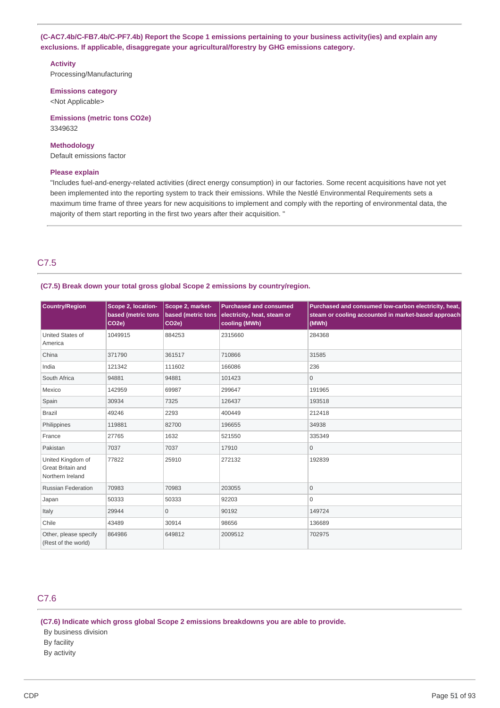**(C-AC7.4b/C-FB7.4b/C-PF7.4b) Report the Scope 1 emissions pertaining to your business activity(ies) and explain any exclusions. If applicable, disaggregate your agricultural/forestry by GHG emissions category.**

**Activity**

Processing/Manufacturing

**Emissions category** <Not Applicable>

**Emissions (metric tons CO2e)** 3349632

**Methodology** Default emissions factor

### **Please explain**

"Includes fuel-and-energy-related activities (direct energy consumption) in our factories. Some recent acquisitions have not yet been implemented into the reporting system to track their emissions. While the Nestlé Environmental Requirements sets a maximum time frame of three years for new acquisitions to implement and comply with the reporting of environmental data, the majority of them start reporting in the first two years after their acquisition. "

# C7.5

### **(C7.5) Break down your total gross global Scope 2 emissions by country/region.**

| <b>Country/Region</b>                                      | Scope 2, location-<br>based (metric tons<br>CO <sub>2e</sub> ) | Scope 2, market-<br>CO <sub>2e</sub> ) | <b>Purchased and consumed</b><br>based (metric tons electricity, heat, steam or<br>cooling (MWh) | Purchased and consumed low-carbon electricity, heat,<br>steam or cooling accounted in market-based approach<br>(MWh) |
|------------------------------------------------------------|----------------------------------------------------------------|----------------------------------------|--------------------------------------------------------------------------------------------------|----------------------------------------------------------------------------------------------------------------------|
| United States of<br>America                                | 1049915                                                        | 884253                                 | 2315660                                                                                          | 284368                                                                                                               |
| China                                                      | 371790                                                         | 361517                                 | 710866                                                                                           | 31585                                                                                                                |
| India                                                      | 121342                                                         | 111602                                 | 166086                                                                                           | 236                                                                                                                  |
| South Africa                                               | 94881                                                          | 94881                                  | 101423                                                                                           | $\mathbf 0$                                                                                                          |
| Mexico                                                     | 142959                                                         | 69987                                  | 299647                                                                                           | 191965                                                                                                               |
| Spain                                                      | 30934                                                          | 7325                                   | 126437                                                                                           | 193518                                                                                                               |
| <b>Brazil</b>                                              | 49246                                                          | 2293                                   | 400449                                                                                           | 212418                                                                                                               |
| Philippines                                                | 119881                                                         | 82700                                  | 196655                                                                                           | 34938                                                                                                                |
| France                                                     | 27765                                                          | 1632                                   | 521550                                                                                           | 335349                                                                                                               |
| Pakistan                                                   | 7037                                                           | 7037                                   | 17910                                                                                            | $\mathbf 0$                                                                                                          |
| United Kingdom of<br>Great Britain and<br>Northern Ireland | 77822                                                          | 25910                                  | 272132                                                                                           | 192839                                                                                                               |
| <b>Russian Federation</b>                                  | 70983                                                          | 70983                                  | 203055                                                                                           | $\mathbf 0$                                                                                                          |
| Japan                                                      | 50333                                                          | 50333                                  | 92203                                                                                            | 0                                                                                                                    |
| Italy                                                      | 29944                                                          | $\mathbf{0}$                           | 90192                                                                                            | 149724                                                                                                               |
| Chile                                                      | 43489                                                          | 30914                                  | 98656                                                                                            | 136689                                                                                                               |
| Other, please specify<br>(Rest of the world)               | 864986                                                         | 649812                                 | 2009512                                                                                          | 702975                                                                                                               |

# C7.6

**(C7.6) Indicate which gross global Scope 2 emissions breakdowns you are able to provide.**

By business division

By facility

By activity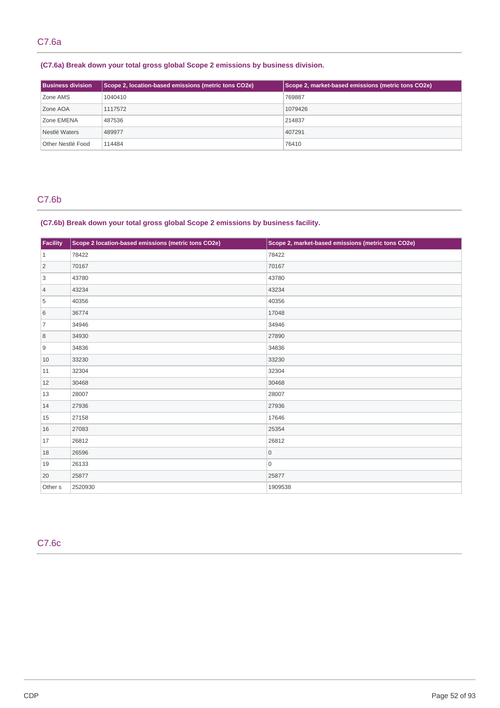# C7.6a

# **(C7.6a) Break down your total gross global Scope 2 emissions by business division.**

| <b>Business division</b> | Scope 2, location-based emissions (metric tons CO2e) | Scope 2, market-based emissions (metric tons CO2e) |
|--------------------------|------------------------------------------------------|----------------------------------------------------|
| Zone AMS                 | 1040410                                              | 769887                                             |
| Zone AOA                 | 1117572                                              | 1079426                                            |
| Zone EMENA               | 487536                                               | 214837                                             |
| Nestlé Waters            | 489977                                               | 407291                                             |
| Other Nestlé Food        | 114484                                               | 76410                                              |

# C7.6b

**(C7.6b) Break down your total gross global Scope 2 emissions by business facility.**

| <b>Facility</b>    | Scope 2 location-based emissions (metric tons CO2e) | Scope 2, market-based emissions (metric tons CO2e) |
|--------------------|-----------------------------------------------------|----------------------------------------------------|
| $\mathbf{1}$       | 78422                                               | 78422                                              |
| $\overline{2}$     | 70167                                               | 70167                                              |
| 3                  | 43780                                               | 43780                                              |
| $\overline{4}$     | 43234                                               | 43234                                              |
| 5                  | 40356                                               | 40356                                              |
| 6                  | 36774                                               | 17048                                              |
| $\overline{7}$     | 34946                                               | 34946                                              |
| 8                  | 34930                                               | 27890                                              |
| 9                  | 34836                                               | 34836                                              |
| 10                 | 33230                                               | 33230                                              |
| 11                 | 32304                                               | 32304                                              |
| 12                 | 30468                                               | 30468                                              |
| 13                 | 28007                                               | 28007                                              |
| 14                 | 27936                                               | 27936                                              |
| 15                 | 27158                                               | 17646                                              |
| 16                 | 27083                                               | 25354                                              |
| 17                 | 26812                                               | 26812                                              |
| 18                 | 26596                                               | $\overline{0}$                                     |
| 19                 | 26133                                               | 0                                                  |
| 20                 | 25877                                               | 25877                                              |
| Other <sub>s</sub> | 2520930                                             | 1909538                                            |

# C7.6c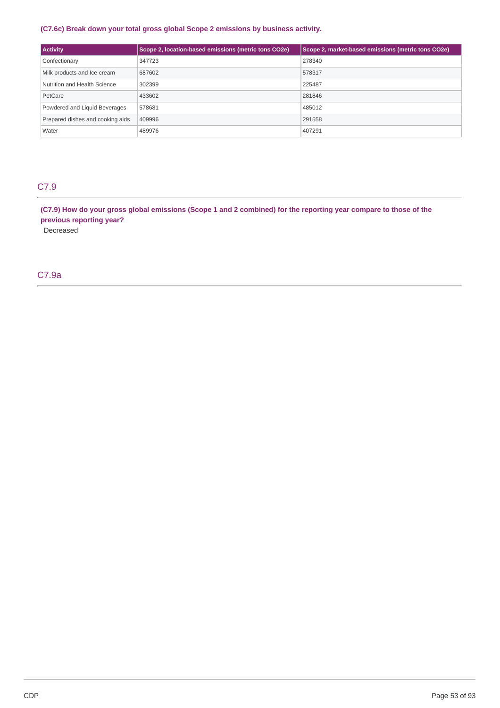# **(C7.6c) Break down your total gross global Scope 2 emissions by business activity.**

| <b>Activity</b>                  | Scope 2, location-based emissions (metric tons CO2e) | Scope 2, market-based emissions (metric tons CO2e) |
|----------------------------------|------------------------------------------------------|----------------------------------------------------|
| Confectionary                    | 347723                                               | 278340                                             |
| Milk products and Ice cream      | 687602                                               | 578317                                             |
| Nutrition and Health Science     | 302399                                               | 225487                                             |
| PetCare                          | 433602                                               | 281846                                             |
| Powdered and Liquid Beverages    | 578681                                               | 485012                                             |
| Prepared dishes and cooking aids | 409996                                               | 291558                                             |
| Water                            | 489976                                               | 407291                                             |

# C7.9

(C7.9) How do your gross global emissions (Scope 1 and 2 combined) for the reporting year compare to those of the **previous reporting year?**

Decreased

# C7.9a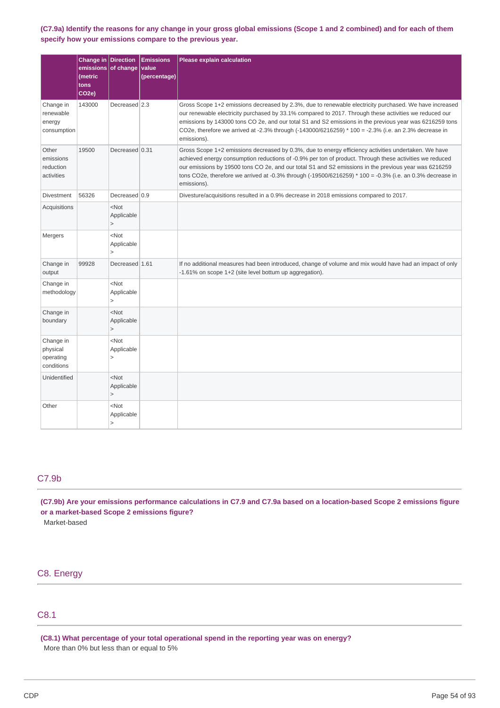(C7.9a) Identify the reasons for any change in your gross global emissions (Scope 1 and 2 combined) and for each of them **specify how your emissions compare to the previous year.**

|                                                  | Change in Direction<br>(metric<br>tons<br>CO <sub>2</sub> e) | emissions of change             | <b>Emissions</b><br>value<br>(percentage) | Please explain calculation                                                                                                                                                                                                                                                                                                                                                                                                                           |
|--------------------------------------------------|--------------------------------------------------------------|---------------------------------|-------------------------------------------|------------------------------------------------------------------------------------------------------------------------------------------------------------------------------------------------------------------------------------------------------------------------------------------------------------------------------------------------------------------------------------------------------------------------------------------------------|
| Change in<br>renewable<br>energy<br>consumption  | 143000                                                       | Decreased 2.3                   |                                           | Gross Scope 1+2 emissions decreased by 2.3%, due to renewable electricity purchased. We have increased<br>our renewable electricity purchased by 33.1% compared to 2017. Through these activities we reduced our<br>emissions by 143000 tons CO 2e, and our total S1 and S2 emissions in the previous year was 6216259 tons<br>CO2e, therefore we arrived at -2.3% through (-143000/6216259) * 100 = -2.3% (i.e. an 2.3% decrease in<br>emissions).  |
| Other<br>emissions<br>reduction<br>activities    | 19500                                                        | Decreased 0.31                  |                                           | Gross Scope 1+2 emissions decreased by 0.3%, due to energy efficiency activities undertaken. We have<br>achieved energy consumption reductions of -0.9% per ton of product. Through these activities we reduced<br>our emissions by 19500 tons CO 2e, and our total S1 and S2 emissions in the previous year was 6216259<br>tons CO2e, therefore we arrived at -0.3% through (-19500/6216259) * 100 = -0.3% (i.e. an 0.3% decrease in<br>emissions). |
| <b>Divestment</b>                                | 56326                                                        | Decreased 0.9                   |                                           | Divesture/acquisitions resulted in a 0.9% decrease in 2018 emissions compared to 2017.                                                                                                                                                                                                                                                                                                                                                               |
| Acquisitions                                     |                                                              | $<$ Not<br>Applicable<br>$\geq$ |                                           |                                                                                                                                                                                                                                                                                                                                                                                                                                                      |
| Mergers                                          |                                                              | $<$ Not<br>Applicable<br>$\geq$ |                                           |                                                                                                                                                                                                                                                                                                                                                                                                                                                      |
| Change in<br>output                              | 99928                                                        | Decreased 1.61                  |                                           | If no additional measures had been introduced, change of volume and mix would have had an impact of only<br>-1.61% on scope 1+2 (site level bottum up aggregation).                                                                                                                                                                                                                                                                                  |
| Change in<br>methodology                         |                                                              | $<$ Not<br>Applicable<br>$\geq$ |                                           |                                                                                                                                                                                                                                                                                                                                                                                                                                                      |
| Change in<br>boundary                            |                                                              | $<$ Not<br>Applicable<br>$\geq$ |                                           |                                                                                                                                                                                                                                                                                                                                                                                                                                                      |
| Change in<br>physical<br>operating<br>conditions |                                                              | $<$ Not<br>Applicable<br>$\geq$ |                                           |                                                                                                                                                                                                                                                                                                                                                                                                                                                      |
| Unidentified                                     |                                                              | $<$ Not<br>Applicable<br>$\, >$ |                                           |                                                                                                                                                                                                                                                                                                                                                                                                                                                      |
| Other                                            |                                                              | $<$ Not<br>Applicable<br>$\geq$ |                                           |                                                                                                                                                                                                                                                                                                                                                                                                                                                      |

# C7.9b

(C7.9b) Are your emissions performance calculations in C7.9 and C7.9a based on a location-based Scope 2 emissions figure **or a market-based Scope 2 emissions figure?**

Market-based

# C8. Energy

# C8.1

**(C8.1) What percentage of your total operational spend in the reporting year was on energy?** More than 0% but less than or equal to 5%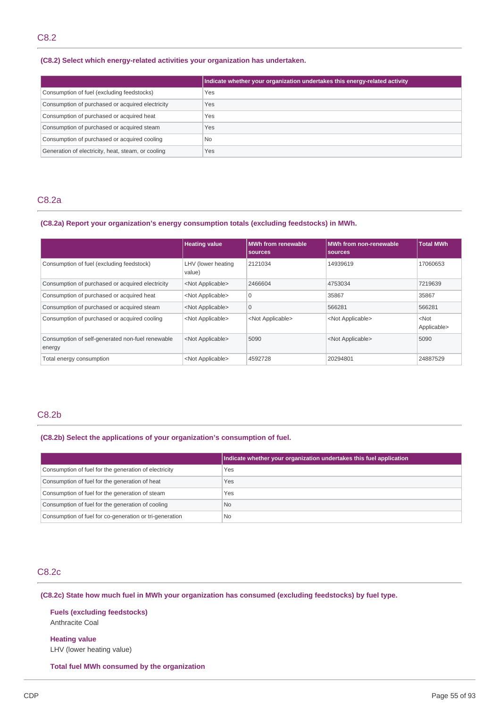### **(C8.2) Select which energy-related activities your organization has undertaken.**

|                                                    | Indicate whether your organization undertakes this energy-related activity |
|----------------------------------------------------|----------------------------------------------------------------------------|
| Consumption of fuel (excluding feedstocks)         | Yes                                                                        |
| Consumption of purchased or acquired electricity   | Yes                                                                        |
| Consumption of purchased or acquired heat          | Yes                                                                        |
| Consumption of purchased or acquired steam         | Yes                                                                        |
| Consumption of purchased or acquired cooling       | <b>No</b>                                                                  |
| Generation of electricity, heat, steam, or cooling | Yes                                                                        |

# C8.2a

### **(C8.2a) Report your organization's energy consumption totals (excluding feedstocks) in MWh.**

|                                                            | <b>Heating value</b>         | <b>IMWh from renewable</b><br><b>sources</b> | <b>IMWh from non-renewable</b><br>sources | <b>Total MWh</b>       |
|------------------------------------------------------------|------------------------------|----------------------------------------------|-------------------------------------------|------------------------|
| Consumption of fuel (excluding feedstock)                  | LHV (lower heating<br>value) | 2121034                                      | 14939619                                  | 17060653               |
| Consumption of purchased or acquired electricity           | <not applicable=""></not>    | 2466604                                      | 4753034                                   | 7219639                |
| Consumption of purchased or acquired heat                  | <not applicable=""></not>    | $\Omega$                                     | 35867                                     | 35867                  |
| Consumption of purchased or acquired steam                 | <not applicable=""></not>    | $\overline{0}$                               | 566281                                    | 566281                 |
| Consumption of purchased or acquired cooling               | <not applicable=""></not>    | <not applicable=""></not>                    | <not applicable=""></not>                 | $<$ Not<br>Applicable> |
| Consumption of self-generated non-fuel renewable<br>energy | <not applicable=""></not>    | 5090                                         | <not applicable=""></not>                 | 5090                   |
| Total energy consumption                                   | <not applicable=""></not>    | 4592728                                      | 20294801                                  | 24887529               |

# C8.2b

# **(C8.2b) Select the applications of your organization's consumption of fuel.**

|                                                         | Indicate whether your organization undertakes this fuel application |
|---------------------------------------------------------|---------------------------------------------------------------------|
| Consumption of fuel for the generation of electricity   | Yes                                                                 |
| Consumption of fuel for the generation of heat          | Yes                                                                 |
| Consumption of fuel for the generation of steam         | Yes                                                                 |
| Consumption of fuel for the generation of cooling       | N <sub>0</sub>                                                      |
| Consumption of fuel for co-generation or tri-generation | No.                                                                 |

# C8.2c

**(C8.2c) State how much fuel in MWh your organization has consumed (excluding feedstocks) by fuel type.**

**Fuels (excluding feedstocks)** Anthracite Coal

**Heating value** LHV (lower heating value)

**Total fuel MWh consumed by the organization**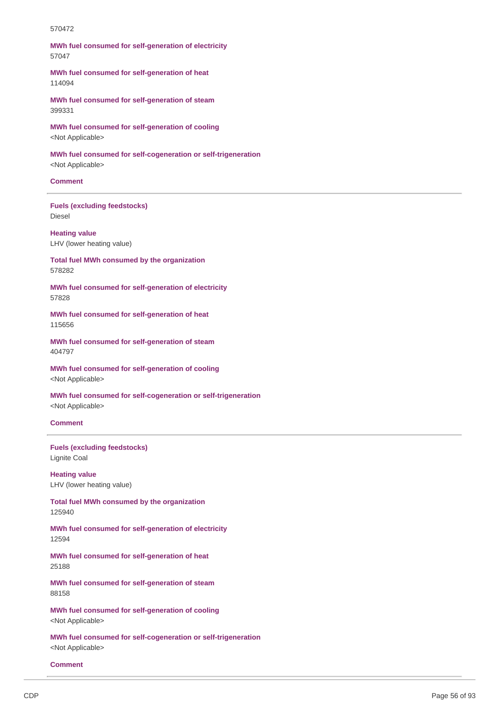### 570472

**MWh fuel consumed for self-generation of electricity** 57047

**MWh fuel consumed for self-generation of heat** 114094

**MWh fuel consumed for self-generation of steam** 399331

**MWh fuel consumed for self-generation of cooling** <Not Applicable>

**MWh fuel consumed for self-cogeneration or self-trigeneration** <Not Applicable>

### **Comment**

**Fuels (excluding feedstocks)** Diesel

**Heating value** LHV (lower heating value)

**Total fuel MWh consumed by the organization** 578282

**MWh fuel consumed for self-generation of electricity** 57828

**MWh fuel consumed for self-generation of heat** 115656

**MWh fuel consumed for self-generation of steam** 404797

**MWh fuel consumed for self-generation of cooling** <Not Applicable>

**MWh fuel consumed for self-cogeneration or self-trigeneration** <Not Applicable>

### **Comment**

**Fuels (excluding feedstocks)** Lignite Coal

**Heating value** LHV (lower heating value)

**Total fuel MWh consumed by the organization** 125940

**MWh fuel consumed for self-generation of electricity** 12594

**MWh fuel consumed for self-generation of heat** 25188

**MWh fuel consumed for self-generation of steam** 88158

**MWh fuel consumed for self-generation of cooling** <Not Applicable>

**MWh fuel consumed for self-cogeneration or self-trigeneration** <Not Applicable>

### **Comment**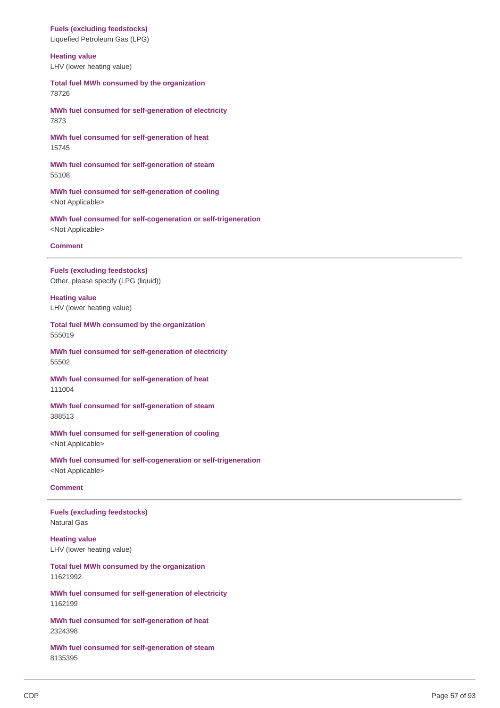**Fuels (excluding feedstocks)** Liquefied Petroleum Gas (LPG)

**Heating value** LHV (lower heating value)

**Total fuel MWh consumed by the organization** 78726

**MWh fuel consumed for self-generation of electricity** 7873

**MWh fuel consumed for self-generation of heat** 15745

**MWh fuel consumed for self-generation of steam** 55108

**MWh fuel consumed for self-generation of cooling** <Not Applicable>

**MWh fuel consumed for self-cogeneration or self-trigeneration** <Not Applicable>

### **Comment**

**Fuels (excluding feedstocks)** Other, please specify (LPG (liquid))

**Heating value** LHV (lower heating value)

**Total fuel MWh consumed by the organization** 555019

**MWh fuel consumed for self-generation of electricity** 55502

**MWh fuel consumed for self-generation of heat** 111004

**MWh fuel consumed for self-generation of steam** 388513

**MWh fuel consumed for self-generation of cooling** <Not Applicable>

**MWh fuel consumed for self-cogeneration or self-trigeneration** <Not Applicable>

### **Comment**

**Fuels (excluding feedstocks)** Natural Gas

**Heating value** LHV (lower heating value)

**Total fuel MWh consumed by the organization** 11621992

**MWh fuel consumed for self-generation of electricity** 1162199

**MWh fuel consumed for self-generation of heat** 2324398

**MWh fuel consumed for self-generation of steam** 8135395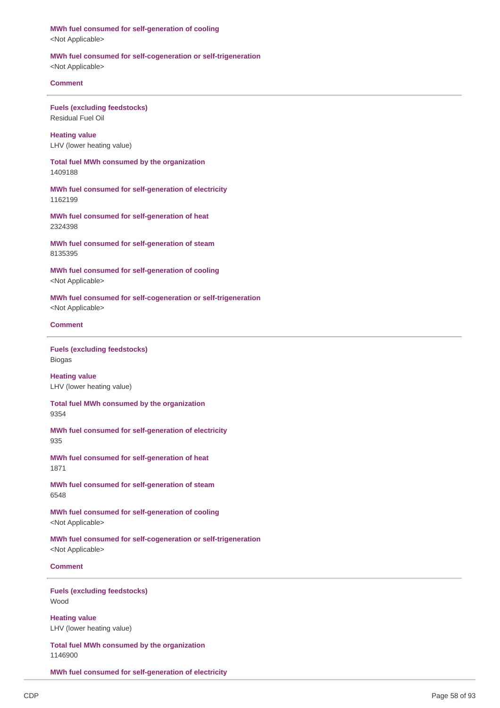**MWh fuel consumed for self-generation of cooling** <Not Applicable>

**MWh fuel consumed for self-cogeneration or self-trigeneration** <Not Applicable>

### **Comment**

**Fuels (excluding feedstocks)** Residual Fuel Oil

**Heating value** LHV (lower heating value)

**Total fuel MWh consumed by the organization** 1409188

**MWh fuel consumed for self-generation of electricity** 1162199

**MWh fuel consumed for self-generation of heat** 2324398

**MWh fuel consumed for self-generation of steam** 8135395

**MWh fuel consumed for self-generation of cooling** <Not Applicable>

**MWh fuel consumed for self-cogeneration or self-trigeneration** <Not Applicable>

### **Comment**

**Fuels (excluding feedstocks)** Biogas

**Heating value** LHV (lower heating value)

**Total fuel MWh consumed by the organization** 9354

**MWh fuel consumed for self-generation of electricity** 935

**MWh fuel consumed for self-generation of heat** 1871

**MWh fuel consumed for self-generation of steam** 6548

**MWh fuel consumed for self-generation of cooling** <Not Applicable>

**MWh fuel consumed for self-cogeneration or self-trigeneration** <Not Applicable>

### **Comment**

**Fuels (excluding feedstocks)** Wood

**Heating value** LHV (lower heating value)

**Total fuel MWh consumed by the organization** 1146900

**MWh fuel consumed for self-generation of electricity**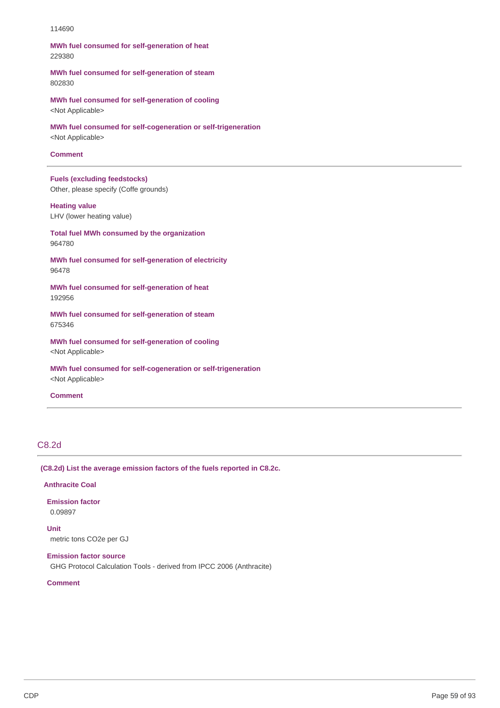| 114690                                                                                     |  |
|--------------------------------------------------------------------------------------------|--|
| MWh fuel consumed for self-generation of heat<br>229380                                    |  |
| MWh fuel consumed for self-generation of steam<br>802830                                   |  |
| MWh fuel consumed for self-generation of cooling<br><not applicable=""></not>              |  |
| MWh fuel consumed for self-cogeneration or self-trigeneration<br><not applicable=""></not> |  |
| <b>Comment</b>                                                                             |  |
| <b>Fuels (excluding feedstocks)</b><br>Other, please specify (Coffe grounds)               |  |
| <b>Heating value</b><br>LHV (lower heating value)                                          |  |
| <b>Total fuel MWh consumed by the organization</b><br>964780                               |  |
| MWh fuel consumed for self-generation of electricity<br>96478                              |  |
| MWh fuel consumed for self-generation of heat<br>192956                                    |  |
| MWh fuel consumed for self-generation of steam<br>675346                                   |  |
| MWh fuel consumed for self-generation of cooling<br><not applicable=""></not>              |  |
| MWh fuel consumed for self-cogeneration or self-trigeneration<br><not applicable=""></not> |  |
| <b>Comment</b>                                                                             |  |
|                                                                                            |  |

# C8.2d

# **(C8.2d) List the average emission factors of the fuels reported in C8.2c.**

# **Anthracite Coal**

**Emission factor** 0.09897

**Unit** metric tons CO2e per GJ

# **Emission factor source**

GHG Protocol Calculation Tools - derived from IPCC 2006 (Anthracite)

# **Comment**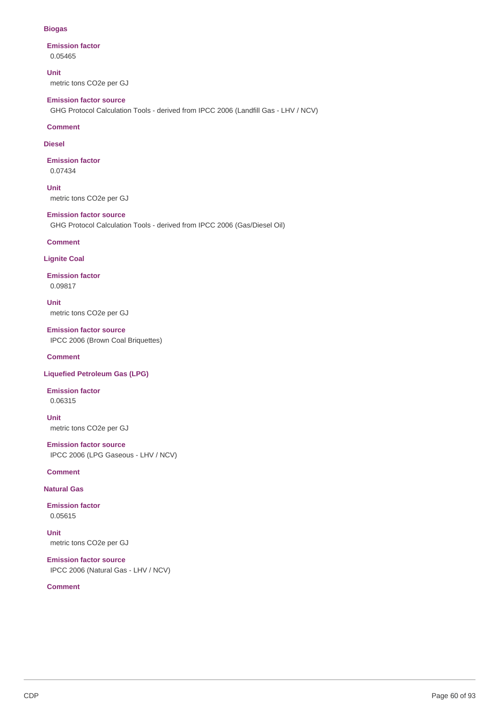### **Biogas**

**Emission factor** 0.05465

**Unit**

metric tons CO2e per GJ

### **Emission factor source**

GHG Protocol Calculation Tools - derived from IPCC 2006 (Landfill Gas - LHV / NCV)

### **Comment**

**Diesel**

**Emission factor** 0.07434

**Unit** metric tons CO2e per GJ

### **Emission factor source**

GHG Protocol Calculation Tools - derived from IPCC 2006 (Gas/Diesel Oil)

### **Comment**

### **Lignite Coal**

**Emission factor** 0.09817

**Unit** metric tons CO2e per GJ

**Emission factor source** IPCC 2006 (Brown Coal Briquettes)

# **Comment**

**Liquefied Petroleum Gas (LPG)**

**Emission factor** 0.06315

**Unit** metric tons CO2e per GJ

**Emission factor source** IPCC 2006 (LPG Gaseous - LHV / NCV)

**Comment**

### **Natural Gas**

**Emission factor** 0.05615

**Unit** metric tons CO2e per GJ

**Emission factor source** IPCC 2006 (Natural Gas - LHV / NCV)

### **Comment**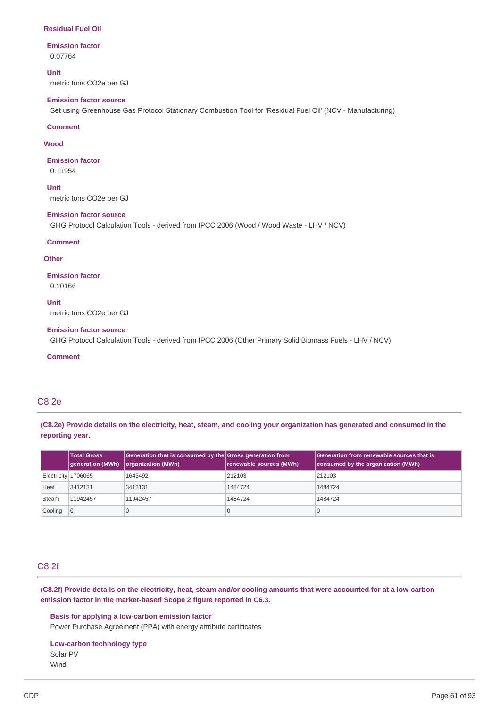### **Residual Fuel Oil**

### **Emission factor** 0.07764

**Unit**

metric tons CO2e per GJ

### **Emission factor source**

Set using Greenhouse Gas Protocol Stationary Combustion Tool for 'Residual Fuel Oil' (NCV - Manufacturing)

### **Comment**

### **Wood**

**Emission factor** 0.11954

**Unit** metric tons CO2e per GJ

### **Emission factor source**

GHG Protocol Calculation Tools - derived from IPCC 2006 (Wood / Wood Waste - LHV / NCV)

### **Comment**

### **Other**

**Emission factor**

0.10166

**Unit** metric tons CO2e per GJ

### **Emission factor source**

GHG Protocol Calculation Tools - derived from IPCC 2006 (Other Primary Solid Biomass Fuels - LHV / NCV)

# **Comment**

# C8.2e

(C8.2e) Provide details on the electricity, heat, steam, and cooling your organization has generated and consumed in the **reporting year.**

|                     | <b>Total Gross</b><br>generation (MWh) | Generation that is consumed by the Gross generation from<br>organization (MWh) | renewable sources (MWh) | Generation from renewable sources that is<br>consumed by the organization (MWh) |
|---------------------|----------------------------------------|--------------------------------------------------------------------------------|-------------------------|---------------------------------------------------------------------------------|
| Electricity 1706065 |                                        | 1643492                                                                        | 212103                  | 212103                                                                          |
| Heat                | 3412131                                | 3412131                                                                        | 1484724                 | 1484724                                                                         |
| Steam               | 11942457                               | 11942457                                                                       | 1484724                 | 1484724                                                                         |
| Cooling             | $\overline{0}$                         |                                                                                | υ                       |                                                                                 |

# C8.2f

(C8.2f) Provide details on the electricity, heat, steam and/or cooling amounts that were accounted for at a low-carbon **emission factor in the market-based Scope 2 figure reported in C6.3.**

**Basis for applying a low-carbon emission factor** Power Purchase Agreement (PPA) with energy attribute certificates

# **Low-carbon technology type**

Solar PV Wind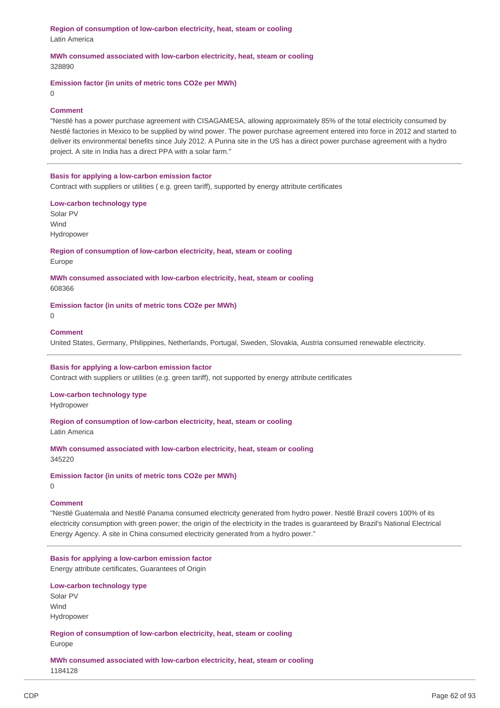**Region of consumption of low-carbon electricity, heat, steam or cooling** Latin America

**MWh consumed associated with low-carbon electricity, heat, steam or cooling** 328890

**Emission factor (in units of metric tons CO2e per MWh)**

 $\Omega$ 

### **Comment**

"Nestlé has a power purchase agreement with CISAGAMESA, allowing approximately 85% of the total electricity consumed by Nestlé factories in Mexico to be supplied by wind power. The power purchase agreement entered into force in 2012 and started to deliver its environmental benefits since July 2012. A Purina site in the US has a direct power purchase agreement with a hydro project. A site in India has a direct PPA with a solar farm."

**Basis for applying a low-carbon emission factor**

Contract with suppliers or utilities ( e.g. green tariff), supported by energy attribute certificates

### **Low-carbon technology type**

Solar PV Wind Hydropower

**Region of consumption of low-carbon electricity, heat, steam or cooling** Europe

**MWh consumed associated with low-carbon electricity, heat, steam or cooling** 608366

### **Emission factor (in units of metric tons CO2e per MWh)**

 $\Omega$ 

### **Comment**

United States, Germany, Philippines, Netherlands, Portugal, Sweden, Slovakia, Austria consumed renewable electricity.

### **Basis for applying a low-carbon emission factor**

Contract with suppliers or utilities (e.g. green tariff), not supported by energy attribute certificates

# **Low-carbon technology type**

Hydropower

### **Region of consumption of low-carbon electricity, heat, steam or cooling**

Latin America

### **MWh consumed associated with low-carbon electricity, heat, steam or cooling** 345220

**Emission factor (in units of metric tons CO2e per MWh)**

# $\Omega$

### **Comment**

"Nestlé Guatemala and Nestlé Panama consumed electricity generated from hydro power. Nestlé Brazil covers 100% of its electricity consumption with green power; the origin of the electricity in the trades is guaranteed by Brazil's National Electrical Energy Agency. A site in China consumed electricity generated from a hydro power."

**Basis for applying a low-carbon emission factor** Energy attribute certificates, Guarantees of Origin

**Low-carbon technology type**

Solar PV Wind Hydropower

**Region of consumption of low-carbon electricity, heat, steam or cooling** Europe

**MWh consumed associated with low-carbon electricity, heat, steam or cooling** 1184128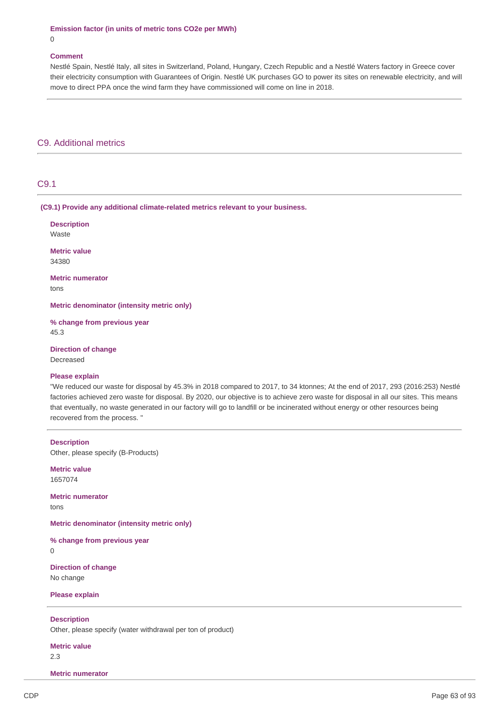**Emission factor (in units of metric tons CO2e per MWh)**  $\Omega$ 

### **Comment**

Nestlé Spain, Nestlé Italy, all sites in Switzerland, Poland, Hungary, Czech Republic and a Nestlé Waters factory in Greece cover their electricity consumption with Guarantees of Origin. Nestlé UK purchases GO to power its sites on renewable electricity, and will move to direct PPA once the wind farm they have commissioned will come on line in 2018.

# C9. Additional metrics

# C9.1

### **(C9.1) Provide any additional climate-related metrics relevant to your business.**

**Description** Waste

**Metric value** 34380

**Metric numerator** tons

**Metric denominator (intensity metric only)**

**% change from previous year** 45.3

**Direction of change** Decreased

### **Please explain**

"We reduced our waste for disposal by 45.3% in 2018 compared to 2017, to 34 ktonnes; At the end of 2017, 293 (2016:253) Nestlé factories achieved zero waste for disposal. By 2020, our objective is to achieve zero waste for disposal in all our sites. This means that eventually, no waste generated in our factory will go to landfill or be incinerated without energy or other resources being recovered from the process. "

# **Description** Other, please specify (B-Products) **Metric value** 1657074 **Metric numerator** tons **Metric denominator (intensity metric only) % change from previous year** 0 **Direction of change** No change **Please explain Description** Other, please specify (water withdrawal per ton of product)

**Metric value** 2.3

**Metric numerator**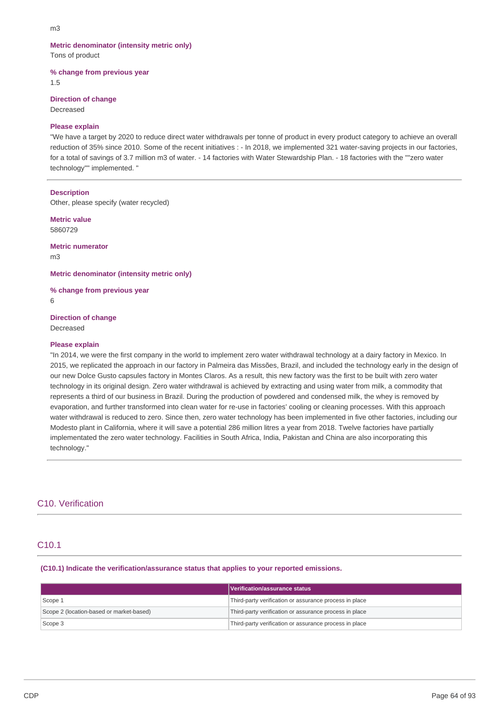### m3

# **Metric denominator (intensity metric only)** Tons of product

**% change from previous year**

1.5

**Direction of change**

Decreased

# **Please explain**

"We have a target by 2020 to reduce direct water withdrawals per tonne of product in every product category to achieve an overall reduction of 35% since 2010. Some of the recent initiatives : - In 2018, we implemented 321 water-saving projects in our factories, for a total of savings of 3.7 million m3 of water. - 14 factories with Water Stewardship Plan. - 18 factories with the ""zero water technology"" implemented. "

# **Description**

Other, please specify (water recycled)

**Metric value**

5860729

**Metric numerator**

m3

**Metric denominator (intensity metric only)**

**% change from previous year** 6

**Direction of change** Decreased

### **Please explain**

"In 2014, we were the first company in the world to implement zero water withdrawal technology at a dairy factory in Mexico. In 2015, we replicated the approach in our factory in Palmeira das Missões, Brazil, and included the technology early in the design of our new Dolce Gusto capsules factory in Montes Claros. As a result, this new factory was the first to be built with zero water technology in its original design. Zero water withdrawal is achieved by extracting and using water from milk, a commodity that represents a third of our business in Brazil. During the production of powdered and condensed milk, the whey is removed by evaporation, and further transformed into clean water for re-use in factories' cooling or cleaning processes. With this approach water withdrawal is reduced to zero. Since then, zero water technology has been implemented in five other factories, including our Modesto plant in California, where it will save a potential 286 million litres a year from 2018. Twelve factories have partially implementated the zero water technology. Facilities in South Africa, India, Pakistan and China are also incorporating this technology."

# C10. Verification

# C10.1

# **(C10.1) Indicate the verification/assurance status that applies to your reported emissions.**

|                                          | Verification/assurance status                          |
|------------------------------------------|--------------------------------------------------------|
| Scope 1                                  | Third-party verification or assurance process in place |
| Scope 2 (location-based or market-based) | Third-party verification or assurance process in place |
| Scope 3                                  | Third-party verification or assurance process in place |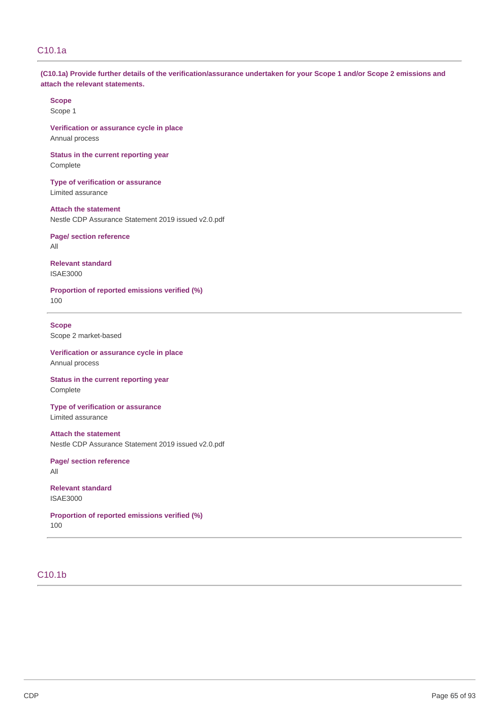# C10.1a

(C10.1a) Provide further details of the verification/assurance undertaken for your Scope 1 and/or Scope 2 emissions and **attach the relevant statements.**

**Scope** Scope 1

**Verification or assurance cycle in place** Annual process

**Status in the current reporting year** Complete

**Type of verification or assurance** Limited assurance

**Attach the statement** Nestle CDP Assurance Statement 2019 issued v2.0.pdf

**Page/ section reference** All

**Relevant standard** ISAE3000

**Proportion of reported emissions verified (%)** 100

**Scope** Scope 2 market-based

**Verification or assurance cycle in place** Annual process

**Status in the current reporting year** Complete

**Type of verification or assurance** Limited assurance

**Attach the statement** Nestle CDP Assurance Statement 2019 issued v2.0.pdf

**Page/ section reference** All

**Relevant standard** ISAE3000

**Proportion of reported emissions verified (%)** 100

# C10.1b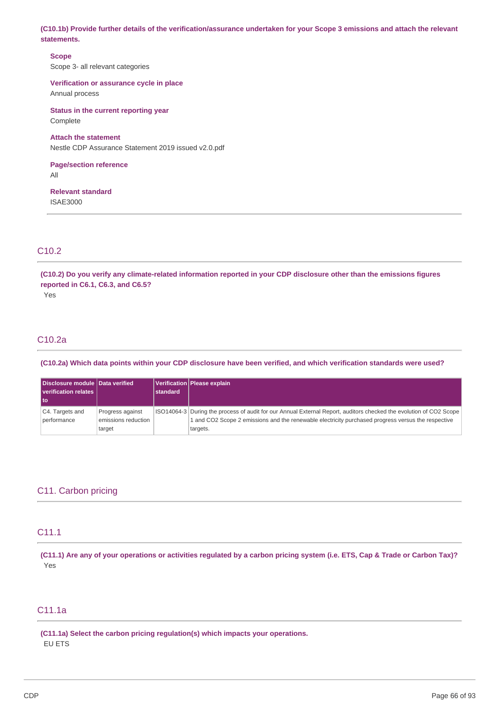(C10.1b) Provide further details of the verification/assurance undertaken for your Scope 3 emissions and attach the relevant **statements.**

**Scope** Scope 3- all relevant categories

**Verification or assurance cycle in place** Annual process

**Status in the current reporting year** Complete

### **Attach the statement**

Nestle CDP Assurance Statement 2019 issued v2.0.pdf

### **Page/section reference** All

**Relevant standard**

ISAE3000

# C10.2

(C10.2) Do you verify any climate-related information reported in your CDP disclosure other than the emissions figures **reported in C6.1, C6.3, and C6.5?**

Yes

# C10.2a

(C10.2a) Which data points within your CDP disclosure have been verified, and which verification standards were used?

| Disclosure module Data verified<br>verification relates<br>l to |                                                   | standard | Verification Please explain                                                                                                                                                                                                            |
|-----------------------------------------------------------------|---------------------------------------------------|----------|----------------------------------------------------------------------------------------------------------------------------------------------------------------------------------------------------------------------------------------|
| C4. Targets and<br>  performance                                | Progress against<br>emissions reduction<br>target |          | ISO14064-3   During the process of audit for our Annual External Report, auditors checked the evolution of CO2 Scope<br>1 and CO2 Scope 2 emissions and the renewable electricity purchased progress versus the respective<br>targets. |

# C11. Carbon pricing

# C11.1

(C11.1) Are any of your operations or activities regulated by a carbon pricing system (i.e. ETS, Cap & Trade or Carbon Tax)? Yes

# C11.1a

**(C11.1a) Select the carbon pricing regulation(s) which impacts your operations.** EU ETS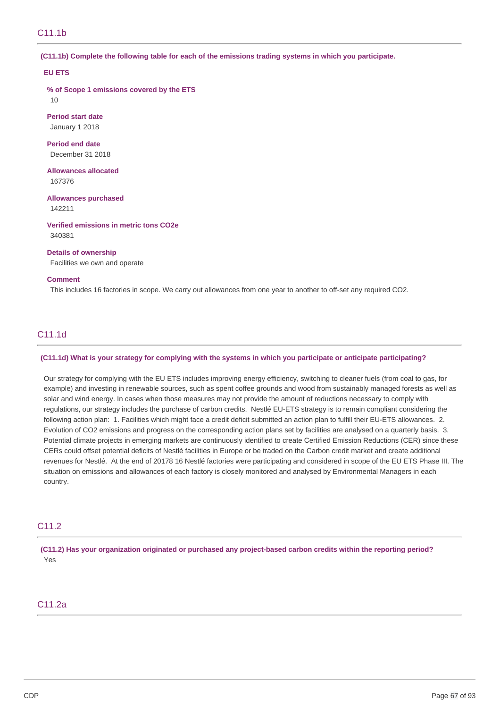# C11.1b

### **(C11.1b) Complete the following table for each of the emissions trading systems in which you participate.**

### **EU ETS**

**% of Scope 1 emissions covered by the ETS**  $1<sub>0</sub>$ 

**Period start date** January 1 2018

**Period end date** December 31 2018

**Allowances allocated** 167376

**Allowances purchased** 142211

**Verified emissions in metric tons CO2e** 340381

# **Details of ownership**

Facilities we own and operate

### **Comment**

This includes 16 factories in scope. We carry out allowances from one year to another to off-set any required CO2.

# C11.1d

### (C11.1d) What is your strategy for complying with the systems in which you participate or anticipate participating?

Our strategy for complying with the EU ETS includes improving energy efficiency, switching to cleaner fuels (from coal to gas, for example) and investing in renewable sources, such as spent coffee grounds and wood from sustainably managed forests as well as solar and wind energy. In cases when those measures may not provide the amount of reductions necessary to comply with regulations, our strategy includes the purchase of carbon credits. Nestlé EU-ETS strategy is to remain compliant considering the following action plan: 1. Facilities which might face a credit deficit submitted an action plan to fulfill their EU-ETS allowances. 2. Evolution of CO2 emissions and progress on the corresponding action plans set by facilities are analysed on a quarterly basis. 3. Potential climate projects in emerging markets are continuously identified to create Certified Emission Reductions (CER) since these CERs could offset potential deficits of Nestlé facilities in Europe or be traded on the Carbon credit market and create additional revenues for Nestlé. At the end of 20178 16 Nestlé factories were participating and considered in scope of the EU ETS Phase III. The situation on emissions and allowances of each factory is closely monitored and analysed by Environmental Managers in each country.

# C11.2

**(C11.2) Has your organization originated or purchased any project-based carbon credits within the reporting period?** Yes

# C11.2a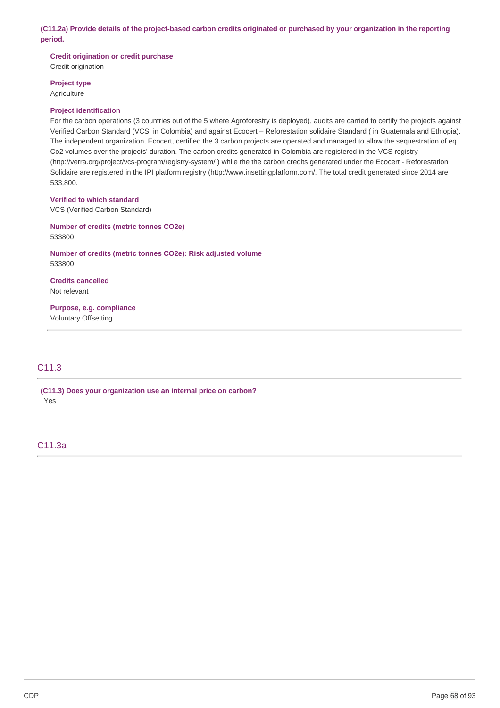(C11.2a) Provide details of the project-based carbon credits originated or purchased by your organization in the reporting **period.**

# **Credit origination or credit purchase**

Credit origination

**Project type Agriculture** 

# **Project identification**

For the carbon operations (3 countries out of the 5 where Agroforestry is deployed), audits are carried to certify the projects against Verified Carbon Standard (VCS; in Colombia) and against Ecocert – Reforestation solidaire Standard ( in Guatemala and Ethiopia). The independent organization, Ecocert, certified the 3 carbon projects are operated and managed to allow the sequestration of eq Co2 volumes over the projects' duration. The carbon credits generated in Colombia are registered in the VCS registry (http://verra.org/project/vcs-program/registry-system/ ) while the the carbon credits generated under the Ecocert - Reforestation Solidaire are registered in the IPI platform registry (http://www.insettingplatform.com/. The total credit generated since 2014 are 533,800.

**Verified to which standard** VCS (Verified Carbon Standard) **Number of credits (metric tonnes CO2e)** 533800

**Number of credits (metric tonnes CO2e): Risk adjusted volume** 533800

**Credits cancelled** Not relevant

**Purpose, e.g. compliance** Voluntary Offsetting

# C11.3

**(C11.3) Does your organization use an internal price on carbon?** Yes

# C11.3a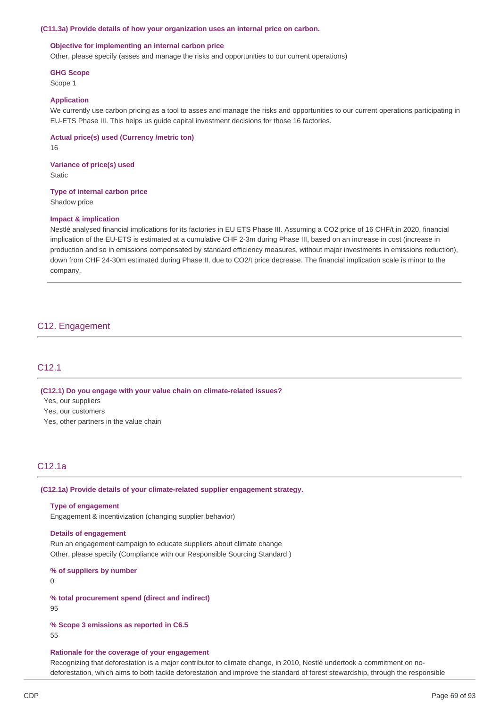#### **(C11.3a) Provide details of how your organization uses an internal price on carbon.**

### **Objective for implementing an internal carbon price**

Other, please specify (asses and manage the risks and opportunities to our current operations)

**GHG Scope**

Scope 1

#### **Application**

We currently use carbon pricing as a tool to asses and manage the risks and opportunities to our current operations participating in EU-ETS Phase III. This helps us guide capital investment decisions for those 16 factories.

**Actual price(s) used (Currency /metric ton)** 16

**Variance of price(s) used Static** 

**Type of internal carbon price** Shadow price

#### **Impact & implication**

Nestlé analysed financial implications for its factories in EU ETS Phase III. Assuming a CO2 price of 16 CHF/t in 2020, financial implication of the EU-ETS is estimated at a cumulative CHF 2-3m during Phase III, based on an increase in cost (increase in production and so in emissions compensated by standard efficiency measures, without major investments in emissions reduction), down from CHF 24-30m estimated during Phase II, due to CO2/t price decrease. The financial implication scale is minor to the company.

# C12. Engagement

# C12.1

**(C12.1) Do you engage with your value chain on climate-related issues?**

Yes, our suppliers

Yes, our customers

Yes, other partners in the value chain

# C12.1a

**(C12.1a) Provide details of your climate-related supplier engagement strategy.**

#### **Type of engagement**

Engagement & incentivization (changing supplier behavior)

#### **Details of engagement**

Run an engagement campaign to educate suppliers about climate change Other, please specify (Compliance with our Responsible Sourcing Standard )

**% of suppliers by number**

 $\Omega$ 

**% total procurement spend (direct and indirect)** 95

**% Scope 3 emissions as reported in C6.5** 55

#### **Rationale for the coverage of your engagement**

Recognizing that deforestation is a major contributor to climate change, in 2010, Nestlé undertook a commitment on nodeforestation, which aims to both tackle deforestation and improve the standard of forest stewardship, through the responsible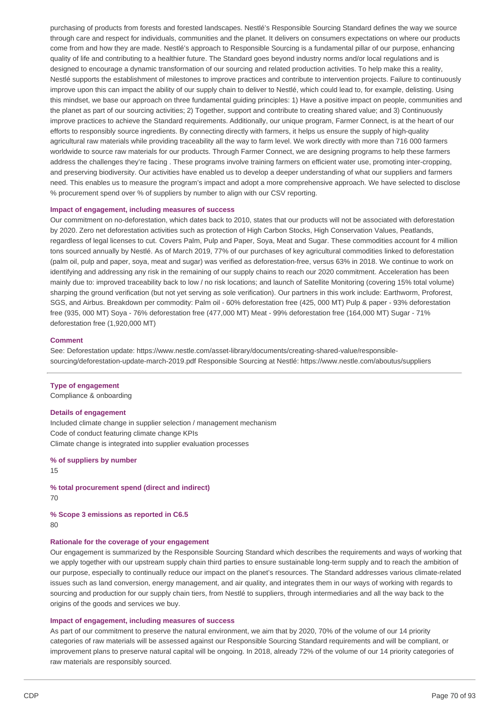purchasing of products from forests and forested landscapes. Nestlé's Responsible Sourcing Standard defines the way we source through care and respect for individuals, communities and the planet. It delivers on consumers expectations on where our products come from and how they are made. Nestlé's approach to Responsible Sourcing is a fundamental pillar of our purpose, enhancing quality of life and contributing to a healthier future. The Standard goes beyond industry norms and/or local regulations and is designed to encourage a dynamic transformation of our sourcing and related production activities. To help make this a reality, Nestlé supports the establishment of milestones to improve practices and contribute to intervention projects. Failure to continuously improve upon this can impact the ability of our supply chain to deliver to Nestlé, which could lead to, for example, delisting. Using this mindset, we base our approach on three fundamental guiding principles: 1) Have a positive impact on people, communities and the planet as part of our sourcing activities; 2) Together, support and contribute to creating shared value; and 3) Continuously improve practices to achieve the Standard requirements. Additionally, our unique program, Farmer Connect, is at the heart of our efforts to responsibly source ingredients. By connecting directly with farmers, it helps us ensure the supply of high-quality agricultural raw materials while providing traceability all the way to farm level. We work directly with more than 716 000 farmers worldwide to source raw materials for our products. Through Farmer Connect, we are designing programs to help these farmers address the challenges they're facing . These programs involve training farmers on efficient water use, promoting inter-cropping, and preserving biodiversity. Our activities have enabled us to develop a deeper understanding of what our suppliers and farmers need. This enables us to measure the program's impact and adopt a more comprehensive approach. We have selected to disclose % procurement spend over % of suppliers by number to align with our CSV reporting.

### **Impact of engagement, including measures of success**

Our commitment on no-deforestation, which dates back to 2010, states that our products will not be associated with deforestation by 2020. Zero net deforestation activities such as protection of High Carbon Stocks, High Conservation Values, Peatlands, regardless of legal licenses to cut. Covers Palm, Pulp and Paper, Soya, Meat and Sugar. These commodities account for 4 million tons sourced annually by Nestlé. As of March 2019, 77% of our purchases of key agricultural commodities linked to deforestation (palm oil, pulp and paper, soya, meat and sugar) was verified as deforestation-free, versus 63% in 2018. We continue to work on identifying and addressing any risk in the remaining of our supply chains to reach our 2020 commitment. Acceleration has been mainly due to: improved traceability back to low / no risk locations; and launch of Satellite Monitoring (covering 15% total volume) sharping the ground verification (but not yet serving as sole verification). Our partners in this work include: Earthworm, Proforest, SGS, and Airbus. Breakdown per commodity: Palm oil - 60% deforestation free (425, 000 MT) Pulp & paper - 93% deforestation free (935, 000 MT) Soya - 76% deforestation free (477,000 MT) Meat - 99% deforestation free (164,000 MT) Sugar - 71% deforestation free (1,920,000 MT)

#### **Comment**

See: Deforestation update: https://www.nestle.com/asset-library/documents/creating-shared-value/responsiblesourcing/deforestation-update-march-2019.pdf Responsible Sourcing at Nestlé: https://www.nestle.com/aboutus/suppliers

#### **Type of engagement**

Compliance & onboarding

#### **Details of engagement**

Included climate change in supplier selection / management mechanism Code of conduct featuring climate change KPIs Climate change is integrated into supplier evaluation processes

**% of suppliers by number** 15

### **% total procurement spend (direct and indirect)**

70

**% Scope 3 emissions as reported in C6.5**

80

### **Rationale for the coverage of your engagement**

Our engagement is summarized by the Responsible Sourcing Standard which describes the requirements and ways of working that we apply together with our upstream supply chain third parties to ensure sustainable long-term supply and to reach the ambition of our purpose, especially to continually reduce our impact on the planet's resources. The Standard addresses various climate-related issues such as land conversion, energy management, and air quality, and integrates them in our ways of working with regards to sourcing and production for our supply chain tiers, from Nestlé to suppliers, through intermediaries and all the way back to the origins of the goods and services we buy.

### **Impact of engagement, including measures of success**

As part of our commitment to preserve the natural environment, we aim that by 2020, 70% of the volume of our 14 priority categories of raw materials will be assessed against our Responsible Sourcing Standard requirements and will be compliant, or improvement plans to preserve natural capital will be ongoing. In 2018, already 72% of the volume of our 14 priority categories of raw materials are responsibly sourced.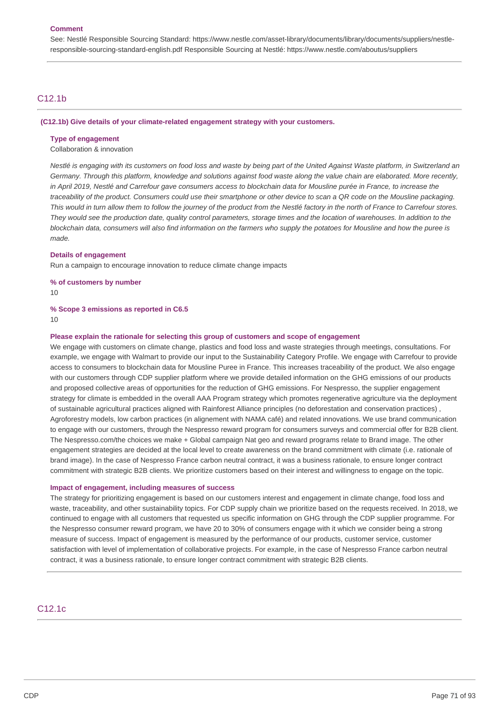See: Nestlé Responsible Sourcing Standard: https://www.nestle.com/asset-library/documents/library/documents/suppliers/nestleresponsible-sourcing-standard-english.pdf Responsible Sourcing at Nestlé: https://www.nestle.com/aboutus/suppliers

# C12.1b

#### **(C12.1b) Give details of your climate-related engagement strategy with your customers.**

#### **Type of engagement**

Collaboration & innovation

Nestlé is engaging with its customers on food loss and waste by being part of the United Against Waste platform, in Switzerland an Germany. Through this platform, knowledge and solutions against food waste along the value chain are elaborated. More recently, in April 2019, Nestlé and Carrefour gave consumers access to blockchain data for Mousline purée in France, to increase the traceability of the product. Consumers could use their smartphone or other device to scan a QR code on the Mousline packaging. This would in turn allow them to follow the journey of the product from the Nestlé factory in the north of France to Carrefour stores. They would see the production date, quality control parameters, storage times and the location of warehouses. In addition to the blockchain data, consumers will also find information on the farmers who supply the potatoes for Mousline and how the puree is *made.*

### **Details of engagement**

Run a campaign to encourage innovation to reduce climate change impacts

### **% of customers by number**

10

### **% Scope 3 emissions as reported in C6.5**

10

#### **Please explain the rationale for selecting this group of customers and scope of engagement**

We engage with customers on climate change, plastics and food loss and waste strategies through meetings, consultations. For example, we engage with Walmart to provide our input to the Sustainability Category Profile. We engage with Carrefour to provide access to consumers to blockchain data for Mousline Puree in France. This increases traceability of the product. We also engage with our customers through CDP supplier platform where we provide detailed information on the GHG emissions of our products and proposed collective areas of opportunities for the reduction of GHG emissions. For Nespresso, the supplier engagement strategy for climate is embedded in the overall AAA Program strategy which promotes regenerative agriculture via the deployment of sustainable agricultural practices aligned with Rainforest Alliance principles (no deforestation and conservation practices) , Agroforestry models, low carbon practices (in alignement with NAMA café) and related innovations. We use brand communication to engage with our customers, through the Nespresso reward program for consumers surveys and commercial offer for B2B client. The Nespresso.com/the choices we make + Global campaign Nat geo and reward programs relate to Brand image. The other engagement strategies are decided at the local level to create awareness on the brand commitment with climate (i.e. rationale of brand image). In the case of Nespresso France carbon neutral contract, it was a business rationale, to ensure longer contract commitment with strategic B2B clients. We prioritize customers based on their interest and willingness to engage on the topic.

#### **Impact of engagement, including measures of success**

The strategy for prioritizing engagement is based on our customers interest and engagement in climate change, food loss and waste, traceability, and other sustainability topics. For CDP supply chain we prioritize based on the requests received. In 2018, we continued to engage with all customers that requested us specific information on GHG through the CDP supplier programme. For the Nespresso consumer reward program, we have 20 to 30% of consumers engage with it which we consider being a strong measure of success. Impact of engagement is measured by the performance of our products, customer service, customer satisfaction with level of implementation of collaborative projects. For example, in the case of Nespresso France carbon neutral contract, it was a business rationale, to ensure longer contract commitment with strategic B2B clients.

# C12.1c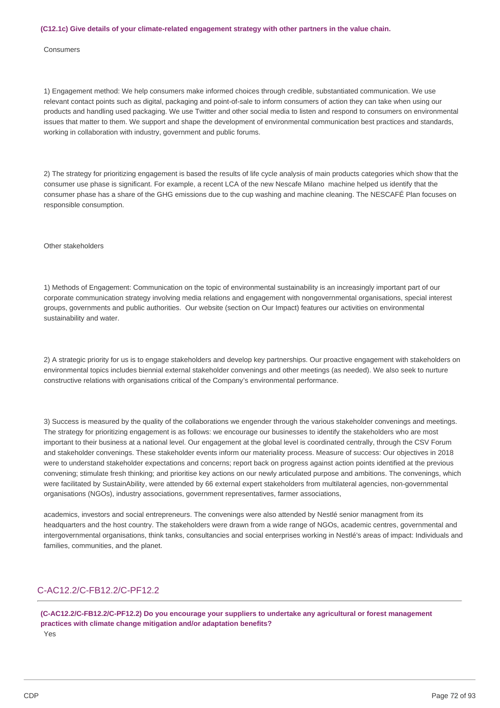#### **(C12.1c) Give details of your climate-related engagement strategy with other partners in the value chain.**

Consumers

1) Engagement method: We help consumers make informed choices through credible, substantiated communication. We use relevant contact points such as digital, packaging and point-of-sale to inform consumers of action they can take when using our products and handling used packaging. We use Twitter and other social media to listen and respond to consumers on environmental issues that matter to them. We support and shape the development of environmental communication best practices and standards, working in collaboration with industry, government and public forums.

2) The strategy for prioritizing engagement is based the results of life cycle analysis of main products categories which show that the consumer use phase is significant. For example, a recent LCA of the new Nescafe Milano machine helped us identify that the consumer phase has a share of the GHG emissions due to the cup washing and machine cleaning. The NESCAFÉ Plan focuses on responsible consumption.

Other stakeholders

1) Methods of Engagement: Communication on the topic of environmental sustainability is an increasingly important part of our corporate communication strategy involving media relations and engagement with nongovernmental organisations, special interest groups, governments and public authorities. Our website (section on Our Impact) features our activities on environmental sustainability and water.

2) A strategic priority for us is to engage stakeholders and develop key partnerships. Our proactive engagement with stakeholders on environmental topics includes biennial external stakeholder convenings and other meetings (as needed). We also seek to nurture constructive relations with organisations critical of the Company's environmental performance.

3) Success is measured by the quality of the collaborations we engender through the various stakeholder convenings and meetings. The strategy for prioritizing engagement is as follows: we encourage our businesses to identify the stakeholders who are most important to their business at a national level. Our engagement at the global level is coordinated centrally, through the CSV Forum and stakeholder convenings. These stakeholder events inform our materiality process. Measure of success: Our objectives in 2018 were to understand stakeholder expectations and concerns; report back on progress against action points identified at the previous convening; stimulate fresh thinking; and prioritise key actions on our newly articulated purpose and ambitions. The convenings, which were facilitated by SustainAbility, were attended by 66 external expert stakeholders from multilateral agencies, non-governmental organisations (NGOs), industry associations, government representatives, farmer associations,

academics, investors and social entrepreneurs. The convenings were also attended by Nestlé senior managment from its headquarters and the host country. The stakeholders were drawn from a wide range of NGOs, academic centres, governmental and intergovernmental organisations, think tanks, consultancies and social enterprises working in Nestlé's areas of impact: Individuals and families, communities, and the planet.

# C-AC12.2/C-FB12.2/C-PF12.2

**(C-AC12.2/C-FB12.2/C-PF12.2) Do you encourage your suppliers to undertake any agricultural or forest management practices with climate change mitigation and/or adaptation benefits?** Yes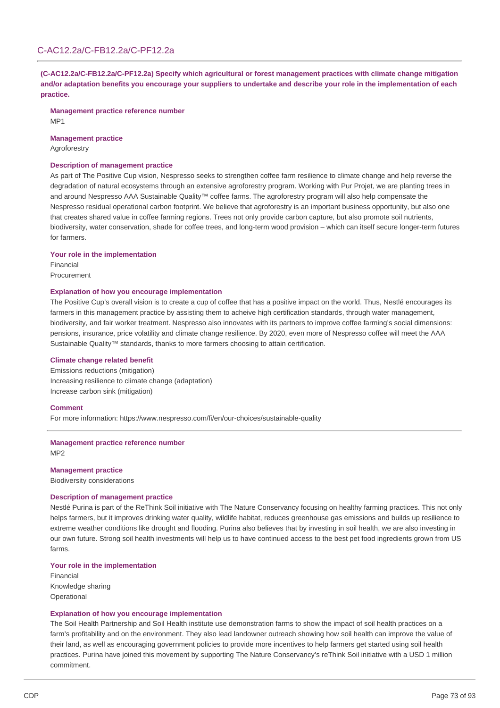**(C-AC12.2a/C-FB12.2a/C-PF12.2a) Specify which agricultural or forest management practices with climate change mitigation** and/or adaptation benefits you encourage your suppliers to undertake and describe your role in the implementation of each **practice.**

**Management practice reference number** MP1

**Management practice** Agroforestry

# **Description of management practice**

As part of The Positive Cup vision, Nespresso seeks to strengthen coffee farm resilience to climate change and help reverse the degradation of natural ecosystems through an extensive agroforestry program. Working with Pur Projet, we are planting trees in and around Nespresso AAA Sustainable Quality™ coffee farms. The agroforestry program will also help compensate the Nespresso residual operational carbon footprint. We believe that agroforestry is an important business opportunity, but also one that creates shared value in coffee farming regions. Trees not only provide carbon capture, but also promote soil nutrients, biodiversity, water conservation, shade for coffee trees, and long-term wood provision – which can itself secure longer-term futures for farmers.

### **Your role in the implementation**

Financial Procurement

### **Explanation of how you encourage implementation**

The Positive Cup's overall vision is to create a cup of coffee that has a positive impact on the world. Thus, Nestlé encourages its farmers in this management practice by assisting them to acheive high certification standards, through water management, biodiversity, and fair worker treatment. Nespresso also innovates with its partners to improve coffee farming's social dimensions: pensions, insurance, price volatility and climate change resilience. By 2020, even more of Nespresso coffee will meet the AAA Sustainable Quality™ standards, thanks to more farmers choosing to attain certification.

### **Climate change related benefit**

Emissions reductions (mitigation) Increasing resilience to climate change (adaptation) Increase carbon sink (mitigation)

### **Comment**

For more information: https://www.nespresso.com/fi/en/our-choices/sustainable-quality

### **Management practice reference number** MP2

**Management practice** Biodiversity considerations

### **Description of management practice**

Nestlé Purina is part of the ReThink Soil initiative with The Nature Conservancy focusing on healthy farming practices. This not only helps farmers, but it improves drinking water quality, wildlife habitat, reduces greenhouse gas emissions and builds up resilience to extreme weather conditions like drought and flooding. Purina also believes that by investing in soil health, we are also investing in our own future. Strong soil health investments will help us to have continued access to the best pet food ingredients grown from US farms.

### **Your role in the implementation**

Financial Knowledge sharing Operational

### **Explanation of how you encourage implementation**

The Soil Health Partnership and Soil Health institute use demonstration farms to show the impact of soil health practices on a farm's profitability and on the environment. They also lead landowner outreach showing how soil health can improve the value of their land, as well as encouraging government policies to provide more incentives to help farmers get started using soil health practices. Purina have joined this movement by supporting The Nature Conservancy's reThink Soil initiative with a USD 1 million commitment.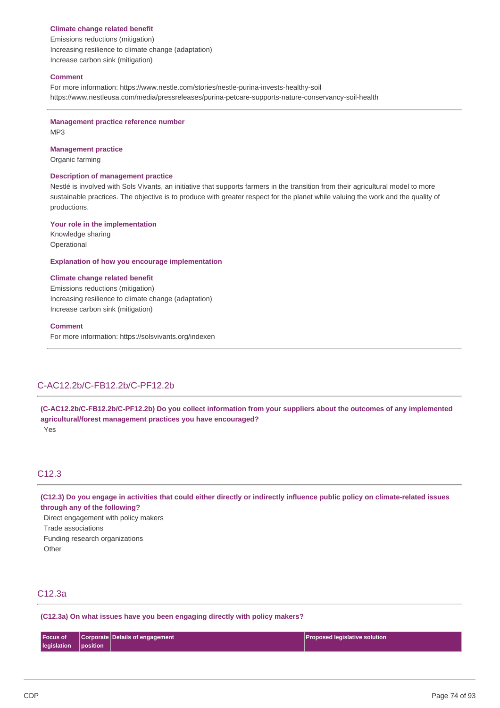### **Climate change related benefit**

Emissions reductions (mitigation) Increasing resilience to climate change (adaptation) Increase carbon sink (mitigation)

### **Comment**

For more information: https://www.nestle.com/stories/nestle-purina-invests-healthy-soil https://www.nestleusa.com/media/pressreleases/purina-petcare-supports-nature-conservancy-soil-health

#### **Management practice reference number**

MP3

### **Management practice**

Organic farming

#### **Description of management practice**

Nestlé is involved with Sols Vivants, an initiative that supports farmers in the transition from their agricultural model to more sustainable practices. The objective is to produce with greater respect for the planet while valuing the work and the quality of productions.

#### **Your role in the implementation**

Knowledge sharing Operational

### **Explanation of how you encourage implementation**

#### **Climate change related benefit**

Emissions reductions (mitigation) Increasing resilience to climate change (adaptation) Increase carbon sink (mitigation)

### **Comment**

For more information: https://solsvivants.org/indexen

### C-AC12.2b/C-FB12.2b/C-PF12.2b

**(C-AC12.2b/C-FB12.2b/C-PF12.2b) Do you collect information from your suppliers about the outcomes of any implemented agricultural/forest management practices you have encouraged?** Yes

### C12.3

(C12.3) Do you engage in activities that could either directly or indirectly influence public policy on climate-related issues **through any of the following?**

Direct engagement with policy makers Trade associations Funding research organizations **Other** 

### C12.3a

**(C12.3a) On what issues have you been engaging directly with policy makers?**

| <b>Focus of</b> | Corporate Details of engagement | <b>Proposed legislative solution</b> |
|-----------------|---------------------------------|--------------------------------------|
| legislation     |                                 |                                      |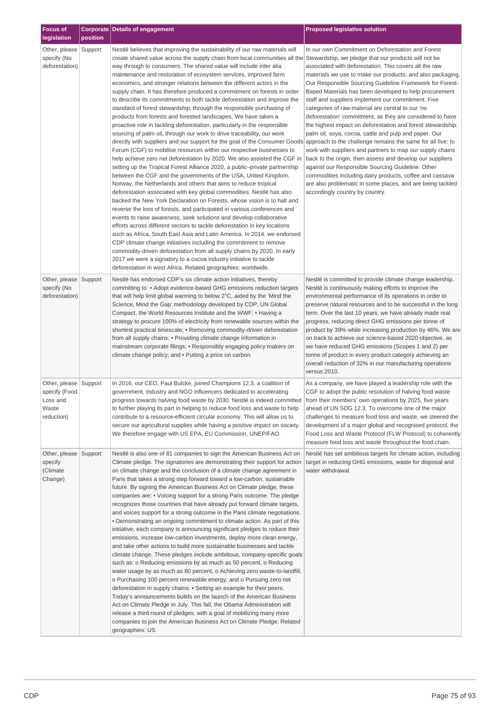| <b>Focus of</b>           |          | <b>Corporate   Details of engagement</b>                                                                                                                                                                        | <b>Proposed legislative solution</b>                                                                                |  |
|---------------------------|----------|-----------------------------------------------------------------------------------------------------------------------------------------------------------------------------------------------------------------|---------------------------------------------------------------------------------------------------------------------|--|
| legislation               | position |                                                                                                                                                                                                                 |                                                                                                                     |  |
| Other, please             | Support  | Nestlé believes that improving the sustainability of our raw materials will                                                                                                                                     | In our own Commitment on Deforestation and Forest                                                                   |  |
| specify (No               |          | create shared value across the supply chain from local communities all the Stewardship, we pledge that our products will not be                                                                                 |                                                                                                                     |  |
| deforestation)            |          | way through to consumers. The shared value will include inter alia                                                                                                                                              | associated with deforestation. This covers all the raw                                                              |  |
|                           |          | maintenance and restoration of ecosystem services, improved farm                                                                                                                                                | materials we use to make our products, and also packaging.                                                          |  |
|                           |          | economics, and stronger relations between the different actors in the<br>supply chain. It has therefore produced a commitment on forests in order                                                               | Our Responsible Sourcing Guideline Framework for Forest-<br>Based Materials has been developed to help procurement  |  |
|                           |          | to describe its commitments to both tackle deforestation and improve the                                                                                                                                        | staff and suppliers implement our commitment. Five                                                                  |  |
|                           |          | standard of forest stewardship, through the responsible purchasing of                                                                                                                                           | categories of raw material are central to our 'no                                                                   |  |
|                           |          | products from forests and forested landscapes. We have taken a                                                                                                                                                  | deforestation' commitment, as they are considered to have                                                           |  |
|                           |          | proactive role in tackling deforestation, particularly in the responsible                                                                                                                                       | the highest impact on deforestation and forest stewardship:                                                         |  |
|                           |          | sourcing of palm oil, through our work to drive traceability, our work                                                                                                                                          | palm oil, soya, cocoa, cattle and pulp and paper. Our                                                               |  |
|                           |          | directly with suppliers and our support for the goal of the Consumer Goods approach to the challenge remains the same for all five: to<br>Forum (CGF) to mobilise resources within our respective businesses to | work with suppliers and partners to map our supply chains                                                           |  |
|                           |          | help achieve zero net deforestation by 2020. We also assisted the CGF in                                                                                                                                        | back to the origin, then assess and develop our suppliers                                                           |  |
|                           |          | setting up the Tropical Forest Alliance 2020, a public–private partnership                                                                                                                                      | against our Responsible Sourcing Guideline. Other                                                                   |  |
|                           |          | between the CGF and the governments of the USA, United Kingdom,                                                                                                                                                 | commodities including dairy products, coffee and cassava                                                            |  |
|                           |          | Norway, the Netherlands and others that aims to reduce tropical                                                                                                                                                 | are also problematic in some places, and are being tackled                                                          |  |
|                           |          | deforestation associated with key global commodities. Nestlé has also                                                                                                                                           | accordingly country by country.                                                                                     |  |
|                           |          | backed the New York Declaration on Forests, whose vision is to halt and<br>reverse the loss of forests, and participated in various conferences and                                                             |                                                                                                                     |  |
|                           |          | events to raise awareness, seek solutions and develop collaborative                                                                                                                                             |                                                                                                                     |  |
|                           |          | efforts across different sectors to tackle deforestation in key locations                                                                                                                                       |                                                                                                                     |  |
|                           |          | such as Africa, South East Asia and Latin America. In 2014, we endorsed                                                                                                                                         |                                                                                                                     |  |
|                           |          | CDP climate change initiatives including the commitment to remove                                                                                                                                               |                                                                                                                     |  |
|                           |          | commodity-driven deforestation from all supply chains by 2020. In early<br>2017 we were a signatory to a cocoa industry initiative to tackle                                                                    |                                                                                                                     |  |
|                           |          | deforestation in west Africa. Related geographies: worldwide.                                                                                                                                                   |                                                                                                                     |  |
| Other, please Support     |          | Nestlé has endorsed CDP's six climate action initiatives, thereby                                                                                                                                               | Nestlé is committed to provide climate change leadership.                                                           |  |
| specify (No               |          | committing to: • Adopt evidence-based GHG emissions reduction targets                                                                                                                                           | Nestlé is continuously making efforts to improve the                                                                |  |
| deforestation)            |          | that will help limit global warming to below 2°C, aided by the 'Mind the                                                                                                                                        | environmental performance of its operations in order to                                                             |  |
|                           |          | Science, Mind the Gap' methodology developed by CDP, UN Global                                                                                                                                                  | preserve natural resources and to be successful in the long                                                         |  |
|                           |          | Compact, the World Resources Institute and the WWF; • Having a                                                                                                                                                  | term. Over the last 10 years, we have already made real                                                             |  |
|                           |          | strategy to procure 100% of electricity from renewable sources within the<br>shortest practical timescale; • Removing commodity-driven deforestation                                                            | progress, reducing direct GHG emissions per tonne of<br>product by 39% while increasing production by 46%. We are   |  |
|                           |          | from all supply chains; • Providing climate change information in                                                                                                                                               | on track to achieve our science-based 2020 objective, as                                                            |  |
|                           |          | mainstream corporate filings; • Responsibly engaging policy makers on                                                                                                                                           | we have reduced GHG emissions (Scopes 1 and 2) per                                                                  |  |
|                           |          | climate change policy; and • Putting a price on carbon.                                                                                                                                                         | tonne of product in every product category achieving an                                                             |  |
|                           |          |                                                                                                                                                                                                                 | overall reduction of 32% in our manufacturing operations                                                            |  |
|                           |          |                                                                                                                                                                                                                 | versus 2010.                                                                                                        |  |
| Other, please Support     |          | In 2016, our CEO, Paul Bulcke, joined Champions 12.3, a coalition of<br>government, industry and NGO influencers dedicated to accelerating                                                                      | As a company, we have played a leadership role with the<br>CGF to adopt the public resolution of halving food waste |  |
| specify (Food<br>Loss and |          | progress towards halving food waste by 2030. Nestlé is indeed committed   from their members' own operations by 2025, five years                                                                                |                                                                                                                     |  |
| Waste                     |          | to further playing its part in helping to reduce food loss and waste to help                                                                                                                                    | ahead of UN SDG 12.3. To overcome one of the major                                                                  |  |
| reduction)                |          | contribute to a resource-efficient circular economy. This will allow us to                                                                                                                                      | challenges to measure food loss and waste, we steered the                                                           |  |
|                           |          | secure our agricultural supplies while having a positive impact on society.                                                                                                                                     | development of a major global and recognised protocol, the                                                          |  |
|                           |          | We therefore engage with US EPA, EU Commission, UNEP/FAO.                                                                                                                                                       | Food Loss and Waste Protocol (FLW Protocol) to coherently                                                           |  |
|                           |          |                                                                                                                                                                                                                 | measure food loss and waste throughout the food chain.                                                              |  |
| Other, please             | Support  | Nestlé is also one of 81 companies to sign the American Business Act on                                                                                                                                         | Nestlé has set ambitious targets for climate action, including                                                      |  |
| specify<br>(Climate       |          | Climate pledge. The signatories are demonstrating their support for action<br>on climate change and the conclusion of a climate change agreement in                                                             | target in reducing GHG emissions, waste for disposal and<br>water withdrawal.                                       |  |
| Change)                   |          | Paris that takes a strong step forward toward a low-carbon, sustainable                                                                                                                                         |                                                                                                                     |  |
|                           |          | future. By signing the American Business Act on Climate pledge, these                                                                                                                                           |                                                                                                                     |  |
|                           |          | companies are: • Voicing support for a strong Paris outcome. The pledge                                                                                                                                         |                                                                                                                     |  |
|                           |          | recognizes those countries that have already put forward climate targets,                                                                                                                                       |                                                                                                                     |  |
|                           |          | and voices support for a strong outcome in the Paris climate negotiations.<br>• Demonstrating an ongoing commitment to climate action. As part of this                                                          |                                                                                                                     |  |
|                           |          | initiative, each company is announcing significant pledges to reduce their                                                                                                                                      |                                                                                                                     |  |
|                           |          | emissions, increase low-carbon investments, deploy more clean energy,                                                                                                                                           |                                                                                                                     |  |
|                           |          | and take other actions to build more sustainable businesses and tackle                                                                                                                                          |                                                                                                                     |  |
|                           |          | climate change. These pledges include ambitious, company-specific goals                                                                                                                                         |                                                                                                                     |  |
|                           |          | such as: o Reducing emissions by as much as 50 percent, o Reducing<br>water usage by as much as 80 percent, o Achieving zero waste-to-landfill,                                                                 |                                                                                                                     |  |
|                           |          | o Purchasing 100 percent renewable energy, and o Pursuing zero net                                                                                                                                              |                                                                                                                     |  |
|                           |          | deforestation in supply chains. • Setting an example for their peers.                                                                                                                                           |                                                                                                                     |  |
|                           |          | Today's announcements builds on the launch of the American Business                                                                                                                                             |                                                                                                                     |  |
|                           |          | Act on Climate Pledge in July. This fall, the Obama Administration will                                                                                                                                         |                                                                                                                     |  |
|                           |          | release a third round of pledges, with a goal of mobilizing many more<br>companies to join the American Business Act on Climate Pledge. Related                                                                 |                                                                                                                     |  |
|                           |          | geographies: US                                                                                                                                                                                                 |                                                                                                                     |  |
|                           |          |                                                                                                                                                                                                                 |                                                                                                                     |  |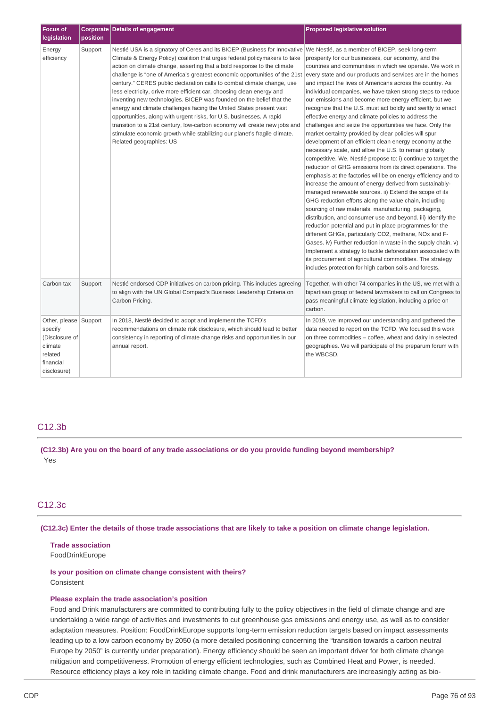| <b>Focus of</b><br>legislation                                                                       | position | <b>Corporate Details of engagement</b>                                                                                                                                                                                                                                                                                                                                                                                                                                                                                                                                                                                                                                                                                                                                                                                                                                                                                                                                                     | <b>Proposed legislative solution</b>                                                                                                                                                                                                                                                                                                                                                                                                                                                                                                                                                                                                                                                                                                                                                                                                                                                                                                                                                                                                                                                                                                                                                                                                                                                                                                                                                                                                                                                                                                                      |
|------------------------------------------------------------------------------------------------------|----------|--------------------------------------------------------------------------------------------------------------------------------------------------------------------------------------------------------------------------------------------------------------------------------------------------------------------------------------------------------------------------------------------------------------------------------------------------------------------------------------------------------------------------------------------------------------------------------------------------------------------------------------------------------------------------------------------------------------------------------------------------------------------------------------------------------------------------------------------------------------------------------------------------------------------------------------------------------------------------------------------|-----------------------------------------------------------------------------------------------------------------------------------------------------------------------------------------------------------------------------------------------------------------------------------------------------------------------------------------------------------------------------------------------------------------------------------------------------------------------------------------------------------------------------------------------------------------------------------------------------------------------------------------------------------------------------------------------------------------------------------------------------------------------------------------------------------------------------------------------------------------------------------------------------------------------------------------------------------------------------------------------------------------------------------------------------------------------------------------------------------------------------------------------------------------------------------------------------------------------------------------------------------------------------------------------------------------------------------------------------------------------------------------------------------------------------------------------------------------------------------------------------------------------------------------------------------|
| Energy<br>efficiency                                                                                 | Support  | Nestlé USA is a signatory of Ceres and its BICEP (Business for Innovative We Nestlé, as a member of BICEP, seek long-term<br>Climate & Energy Policy) coalition that urges federal policymakers to take<br>action on climate change, asserting that a bold response to the climate<br>challenge is "one of America's greatest economic opportunities of the 21st every state and our products and services are in the homes<br>century." CERES public declaration calls to combat climate change, use<br>less electricity, drive more efficient car, choosing clean energy and<br>inventing new technologies. BICEP was founded on the belief that the<br>energy and climate challenges facing the United States present vast<br>opportunities, along with urgent risks, for U.S. businesses. A rapid<br>transition to a 21st century, low-carbon economy will create new jobs and<br>stimulate economic growth while stabilizing our planet's fragile climate.<br>Related geographies: US | prosperity for our businesses, our economy, and the<br>countries and communities in which we operate. We work in<br>and impact the lives of Americans across the country. As<br>individual companies, we have taken strong steps to reduce<br>our emissions and become more energy efficient, but we<br>recognize that the U.S. must act boldly and swiftly to enact<br>effective energy and climate policies to address the<br>challenges and seize the opportunities we face. Only the<br>market certainty provided by clear policies will spur<br>development of an efficient clean energy economy at the<br>necessary scale, and allow the U.S. to remain globally<br>competitive. We, Nestlé propose to: i) continue to target the<br>reduction of GHG emissions from its direct operations. The<br>emphasis at the factories will be on energy efficiency and to<br>increase the amount of energy derived from sustainably-<br>managed renewable sources. ii) Extend the scope of its<br>GHG reduction efforts along the value chain, including<br>sourcing of raw materials, manufacturing, packaging,<br>distribution, and consumer use and beyond. iii) Identify the<br>reduction potential and put in place programmes for the<br>different GHGs, particularly CO2, methane, NOx and F-<br>Gases. iv) Further reduction in waste in the supply chain. v)<br>Implement a strategy to tackle deforestation associated with<br>its procurement of agricultural commodities. The strategy<br>includes protection for high carbon soils and forests. |
| Carbon tax                                                                                           | Support  | Nestlé endorsed CDP initiatives on carbon pricing. This includes agreeing<br>to align with the UN Global Compact's Business Leadership Criteria on<br>Carbon Pricing.                                                                                                                                                                                                                                                                                                                                                                                                                                                                                                                                                                                                                                                                                                                                                                                                                      | Together, with other 74 companies in the US, we met with a<br>bipartisan group of federal lawmakers to call on Congress to<br>pass meaningful climate legislation, including a price on<br>carbon.                                                                                                                                                                                                                                                                                                                                                                                                                                                                                                                                                                                                                                                                                                                                                                                                                                                                                                                                                                                                                                                                                                                                                                                                                                                                                                                                                        |
| Other, please Support<br>specify<br>(Disclosure of<br>climate<br>related<br>financial<br>disclosure) |          | In 2018, Nestlé decided to adopt and implement the TCFD's<br>recommendations on climate risk disclosure, which should lead to better<br>consistency in reporting of climate change risks and opportunities in our<br>annual report.                                                                                                                                                                                                                                                                                                                                                                                                                                                                                                                                                                                                                                                                                                                                                        | In 2019, we improved our understanding and gathered the<br>data needed to report on the TCFD. We focused this work<br>on three commodities - coffee, wheat and dairy in selected<br>geographies. We will participate of the preparum forum with<br>the WBCSD.                                                                                                                                                                                                                                                                                                                                                                                                                                                                                                                                                                                                                                                                                                                                                                                                                                                                                                                                                                                                                                                                                                                                                                                                                                                                                             |

### C12.3b

**(C12.3b) Are you on the board of any trade associations or do you provide funding beyond membership?** Yes

### C12.3c

(C12.3c) Enter the details of those trade associations that are likely to take a position on climate change legislation.

**Trade association** FoodDrinkEurope

**Is your position on climate change consistent with theirs?** Consistent

### **Please explain the trade association's position**

Food and Drink manufacturers are committed to contributing fully to the policy objectives in the field of climate change and are undertaking a wide range of activities and investments to cut greenhouse gas emissions and energy use, as well as to consider adaptation measures. Position: FoodDrinkEurope supports long-term emission reduction targets based on impact assessments leading up to a low carbon economy by 2050 (a more detailed positioning concerning the "transition towards a carbon neutral Europe by 2050" is currently under preparation). Energy efficiency should be seen an important driver for both climate change mitigation and competitiveness. Promotion of energy efficient technologies, such as Combined Heat and Power, is needed. Resource efficiency plays a key role in tackling climate change. Food and drink manufacturers are increasingly acting as bio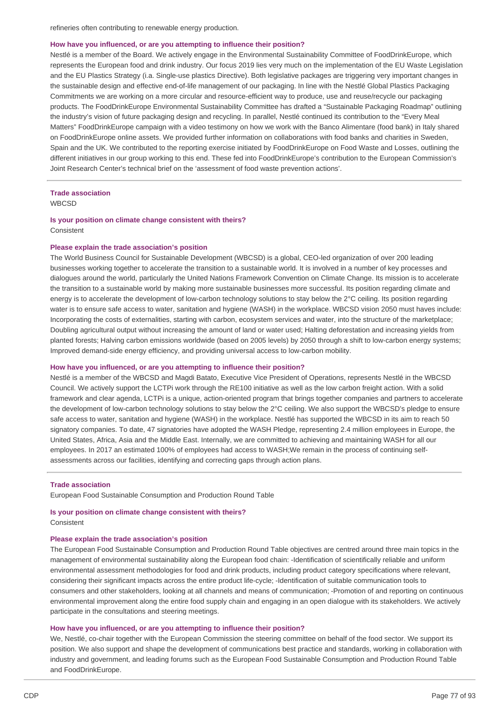refineries often contributing to renewable energy production.

#### **How have you influenced, or are you attempting to influence their position?**

Nestlé is a member of the Board. We actively engage in the Environmental Sustainability Committee of FoodDrinkEurope, which represents the European food and drink industry. Our focus 2019 lies very much on the implementation of the EU Waste Legislation and the EU Plastics Strategy (i.a. Single-use plastics Directive). Both legislative packages are triggering very important changes in the sustainable design and effective end-of-life management of our packaging. In line with the Nestlé Global Plastics Packaging Commitments we are working on a more circular and resource-efficient way to produce, use and reuse/recycle our packaging products. The FoodDrinkEurope Environmental Sustainability Committee has drafted a "Sustainable Packaging Roadmap" outlining the industry's vision of future packaging design and recycling. In parallel, Nestlé continued its contribution to the "Every Meal Matters" FoodDrinkEurope campaign with a video testimony on how we work with the Banco Alimentare (food bank) in Italy shared on FoodDrinkEurope online assets. We provided further information on collaborations with food banks and charities in Sweden, Spain and the UK. We contributed to the reporting exercise initiated by FoodDrinkEurope on Food Waste and Losses, outlining the different initiatives in our group working to this end. These fed into FoodDrinkEurope's contribution to the European Commission's Joint Research Center's technical brief on the 'assessment of food waste prevention actions'.

### **Trade association WBCSD**

### **Is your position on climate change consistent with theirs?** Consistent

**Please explain the trade association's position**

The World Business Council for Sustainable Development (WBCSD) is a global, CEO-led organization of over 200 leading businesses working together to accelerate the transition to a sustainable world. It is involved in a number of key processes and dialogues around the world, particularly the United Nations Framework Convention on Climate Change. Its mission is to accelerate the transition to a sustainable world by making more sustainable businesses more successful. Its position regarding climate and energy is to accelerate the development of low-carbon technology solutions to stay below the 2°C ceiling. Its position regarding water is to ensure safe access to water, sanitation and hygiene (WASH) in the workplace. WBCSD vision 2050 must haves include: Incorporating the costs of externalities, starting with carbon, ecosystem services and water, into the structure of the marketplace; Doubling agricultural output without increasing the amount of land or water used; Halting deforestation and increasing yields from planted forests; Halving carbon emissions worldwide (based on 2005 levels) by 2050 through a shift to low-carbon energy systems; Improved demand-side energy efficiency, and providing universal access to low-carbon mobility.

#### **How have you influenced, or are you attempting to influence their position?**

Nestlé is a member of the WBCSD and Magdi Batato, Executive Vice President of Operations, represents Nestlé in the WBCSD Council. We actively support the LCTPi work through the RE100 initiative as well as the low carbon freight action. With a solid framework and clear agenda, LCTPi is a unique, action-oriented program that brings together companies and partners to accelerate the development of low-carbon technology solutions to stay below the 2°C ceiling. We also support the WBCSD's pledge to ensure safe access to water, sanitation and hygiene (WASH) in the workplace. Nestlé has supported the WBCSD in its aim to reach 50 signatory companies. To date, 47 signatories have adopted the WASH Pledge, representing 2.4 million employees in Europe, the United States, Africa, Asia and the Middle East. Internally, we are committed to achieving and maintaining WASH for all our employees. In 2017 an estimated 100% of employees had access to WASH;We remain in the process of continuing selfassessments across our facilities, identifying and correcting gaps through action plans.

### **Trade association**

European Food Sustainable Consumption and Production Round Table

### **Is your position on climate change consistent with theirs?** Consistent

#### **Please explain the trade association's position**

The European Food Sustainable Consumption and Production Round Table objectives are centred around three main topics in the management of environmental sustainability along the European food chain: -Identification of scientifically reliable and uniform environmental assessment methodologies for food and drink products, including product category specifications where relevant, considering their significant impacts across the entire product life-cycle; -Identification of suitable communication tools to consumers and other stakeholders, looking at all channels and means of communication; -Promotion of and reporting on continuous environmental improvement along the entire food supply chain and engaging in an open dialogue with its stakeholders. We actively participate in the consultations and steering meetings.

### **How have you influenced, or are you attempting to influence their position?**

We, Nestlé, co-chair together with the European Commission the steering committee on behalf of the food sector. We support its position. We also support and shape the development of communications best practice and standards, working in collaboration with industry and government, and leading forums such as the European Food Sustainable Consumption and Production Round Table and FoodDrinkEurope.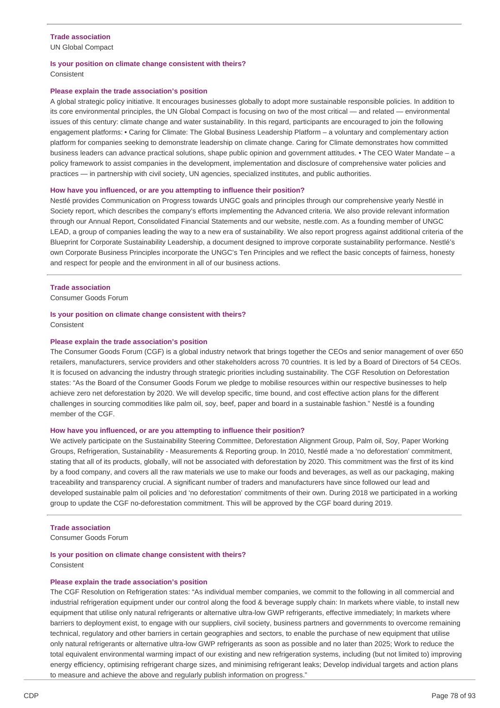### **Trade association**

UN Global Compact

#### **Is your position on climate change consistent with theirs?**

Consistent

#### **Please explain the trade association's position**

A global strategic policy initiative. It encourages businesses globally to adopt more sustainable responsible policies. In addition to its core environmental principles, the UN Global Compact is focusing on two of the most critical — and related — environmental issues of this century: climate change and water sustainability. In this regard, participants are encouraged to join the following engagement platforms: • Caring for Climate: The Global Business Leadership Platform – a voluntary and complementary action platform for companies seeking to demonstrate leadership on climate change. Caring for Climate demonstrates how committed business leaders can advance practical solutions, shape public opinion and government attitudes. • The CEO Water Mandate – a policy framework to assist companies in the development, implementation and disclosure of comprehensive water policies and practices — in partnership with civil society, UN agencies, specialized institutes, and public authorities.

#### **How have you influenced, or are you attempting to influence their position?**

Nestlé provides Communication on Progress towards UNGC goals and principles through our comprehensive yearly Nestlé in Society report, which describes the company's efforts implementing the Advanced criteria. We also provide relevant information through our Annual Report, Consolidated Financial Statements and our website, nestle.com. As a founding member of UNGC LEAD, a group of companies leading the way to a new era of sustainability. We also report progress against additional criteria of the Blueprint for Corporate Sustainability Leadership, a document designed to improve corporate sustainability performance. Nestlé's own Corporate Business Principles incorporate the UNGC's Ten Principles and we reflect the basic concepts of fairness, honesty and respect for people and the environment in all of our business actions.

**Trade association**

Consumer Goods Forum

### **Is your position on climate change consistent with theirs?** Consistent

#### **Please explain the trade association's position**

The Consumer Goods Forum (CGF) is a global industry network that brings together the CEOs and senior management of over 650 retailers, manufacturers, service providers and other stakeholders across 70 countries. It is led by a Board of Directors of 54 CEOs. It is focused on advancing the industry through strategic priorities including sustainability. The CGF Resolution on Deforestation states: "As the Board of the Consumer Goods Forum we pledge to mobilise resources within our respective businesses to help achieve zero net deforestation by 2020. We will develop specific, time bound, and cost effective action plans for the different challenges in sourcing commodities like palm oil, soy, beef, paper and board in a sustainable fashion." Nestlé is a founding member of the CGF.

#### **How have you influenced, or are you attempting to influence their position?**

We actively participate on the Sustainability Steering Committee, Deforestation Alignment Group, Palm oil, Soy, Paper Working Groups, Refrigeration, Sustainability - Measurements & Reporting group. In 2010, Nestlé made a 'no deforestation' commitment, stating that all of its products, globally, will not be associated with deforestation by 2020. This commitment was the first of its kind by a food company, and covers all the raw materials we use to make our foods and beverages, as well as our packaging, making traceability and transparency crucial. A significant number of traders and manufacturers have since followed our lead and developed sustainable palm oil policies and 'no deforestation' commitments of their own. During 2018 we participated in a working group to update the CGF no-deforestation commitment. This will be approved by the CGF board during 2019.

#### **Trade association**

Consumer Goods Forum

### **Is your position on climate change consistent with theirs?** Consistent

#### **Please explain the trade association's position**

The CGF Resolution on Refrigeration states: "As individual member companies, we commit to the following in all commercial and industrial refrigeration equipment under our control along the food & beverage supply chain: In markets where viable, to install new equipment that utilise only natural refrigerants or alternative ultra-low GWP refrigerants, effective immediately; In markets where barriers to deployment exist, to engage with our suppliers, civil society, business partners and governments to overcome remaining technical, regulatory and other barriers in certain geographies and sectors, to enable the purchase of new equipment that utilise only natural refrigerants or alternative ultra-low GWP refrigerants as soon as possible and no later than 2025; Work to reduce the total equivalent environmental warming impact of our existing and new refrigeration systems, including (but not limited to) improving energy efficiency, optimising refrigerant charge sizes, and minimising refrigerant leaks; Develop individual targets and action plans to measure and achieve the above and regularly publish information on progress."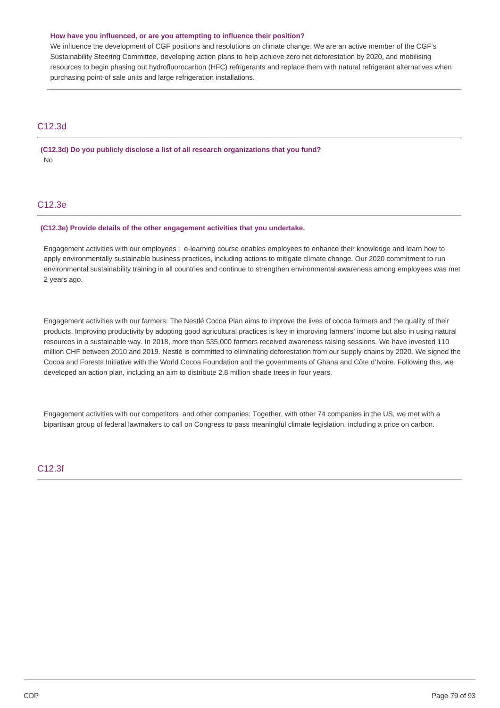### **How have you influenced, or are you attempting to influence their position?**

We influence the development of CGF positions and resolutions on climate change. We are an active member of the CGF's Sustainability Steering Committee, developing action plans to help achieve zero net deforestation by 2020, and mobilising resources to begin phasing out hydrofluorocarbon (HFC) refrigerants and replace them with natural refrigerant alternatives when purchasing point-of sale units and large refrigeration installations.

### C12.3d

**(C12.3d) Do you publicly disclose a list of all research organizations that you fund?** No

### C12.3e

### **(C12.3e) Provide details of the other engagement activities that you undertake.**

Engagement activities with our employees : e-learning course enables employees to enhance their knowledge and learn how to apply environmentally sustainable business practices, including actions to mitigate climate change. Our 2020 commitment to run environmental sustainability training in all countries and continue to strengthen environmental awareness among employees was met 2 years ago.

Engagement activities with our farmers: The Nestlé Cocoa Plan aims to improve the lives of cocoa farmers and the quality of their products. Improving productivity by adopting good agricultural practices is key in improving farmers' income but also in using natural resources in a sustainable way. In 2018, more than 535,000 farmers received awareness raising sessions. We have invested 110 million CHF between 2010 and 2019. Nestlé is committed to eliminating deforestation from our supply chains by 2020. We signed the Cocoa and Forests Initiative with the World Cocoa Foundation and the governments of Ghana and Côte d'Ivoire. Following this, we developed an action plan, including an aim to distribute 2.8 million shade trees in four years.

Engagement activities with our competitors and other companies: Together, with other 74 companies in the US, we met with a bipartisan group of federal lawmakers to call on Congress to pass meaningful climate legislation, including a price on carbon.

C12.3f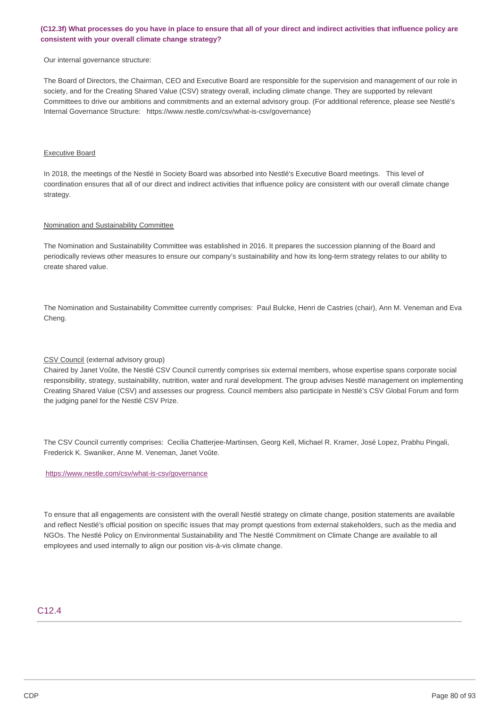### (C12.3f) What processes do you have in place to ensure that all of your direct and indirect activities that influence policy are **consistent with your overall climate change strategy?**

Our internal governance structure:

The Board of Directors, the Chairman, CEO and Executive Board are responsible for the supervision and management of our role in society, and for the Creating Shared Value (CSV) strategy overall, including climate change. They are supported by relevant Committees to drive our ambitions and commitments and an external advisory group. (For additional reference, please see Nestlé's Internal Governance Structure: https://www.nestle.com/csv/what-is-csv/governance)

### Executive Board

In 2018, the meetings of the Nestlé in Society Board was absorbed into Nestlé's Executive Board meetings. This level of coordination ensures that all of our direct and indirect activities that influence policy are consistent with our overall climate change strategy.

### Nomination and Sustainability Committee

The Nomination and Sustainability Committee was established in 2016. It prepares the succession planning of the Board and periodically reviews other measures to ensure our company's sustainability and how its long-term strategy relates to our ability to create shared value.

The Nomination and Sustainability Committee currently comprises: Paul Bulcke, Henri de Castries (chair), Ann M. Veneman and Eva Cheng.

### CSV Council (external advisory group)

Chaired by Janet Voûte, the Nestlé CSV Council currently comprises six external members, whose expertise spans corporate social responsibility, strategy, sustainability, nutrition, water and rural development. The group advises Nestlé management on implementing Creating Shared Value (CSV) and assesses our progress. Council members also participate in Nestlé's CSV Global Forum and form the judging panel for the Nestlé CSV Prize.

The CSV Council currently comprises: Cecilia Chatterjee-Martinsen, Georg Kell, Michael R. Kramer, José Lopez, Prabhu Pingali, Frederick K. Swaniker, Anne M. Veneman, Janet Voûte.

<https://www.nestle.com/csv/what-is-csv/governance>

To ensure that all engagements are consistent with the overall Nestlé strategy on climate change, position statements are available and reflect Nestlé's official position on specific issues that may prompt questions from external stakeholders, such as the media and NGOs. The Nestlé Policy on Environmental Sustainability and The Nestlé Commitment on Climate Change are available to all employees and used internally to align our position vis-à-vis climate change.

### C12.4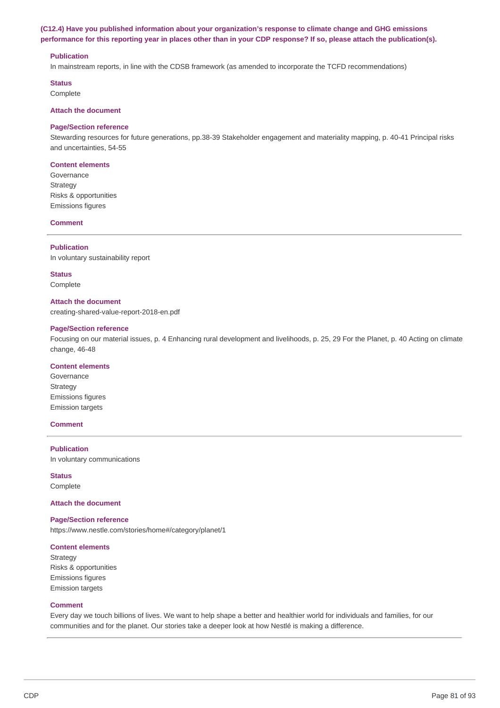### **(C12.4) Have you published information about your organization's response to climate change and GHG emissions** performance for this reporting year in places other than in your CDP response? If so, please attach the publication(s).

### **Publication**

In mainstream reports, in line with the CDSB framework (as amended to incorporate the TCFD recommendations)

#### **Status**

Complete

### **Attach the document**

#### **Page/Section reference**

Stewarding resources for future generations, pp.38-39 Stakeholder engagement and materiality mapping, p. 40-41 Principal risks and uncertainties, 54-55

#### **Content elements**

Governance Strategy Risks & opportunities Emissions figures

### **Comment**

#### **Publication**

In voluntary sustainability report

### **Status**

Complete

### **Attach the document**

creating-shared-value-report-2018-en.pdf

### **Page/Section reference**

Focusing on our material issues, p. 4 Enhancing rural development and livelihoods, p. 25, 29 For the Planet, p. 40 Acting on climate change, 46-48

#### **Content elements**

Governance Strategy Emissions figures Emission targets

#### **Comment**

**Publication** In voluntary communications

**Status** Complete

## **Attach the document**

### **Page/Section reference**

https://www.nestle.com/stories/home#/category/planet/1

### **Content elements**

Strategy Risks & opportunities Emissions figures Emission targets

### **Comment**

Every day we touch billions of lives. We want to help shape a better and healthier world for individuals and families, for our communities and for the planet. Our stories take a deeper look at how Nestlé is making a difference.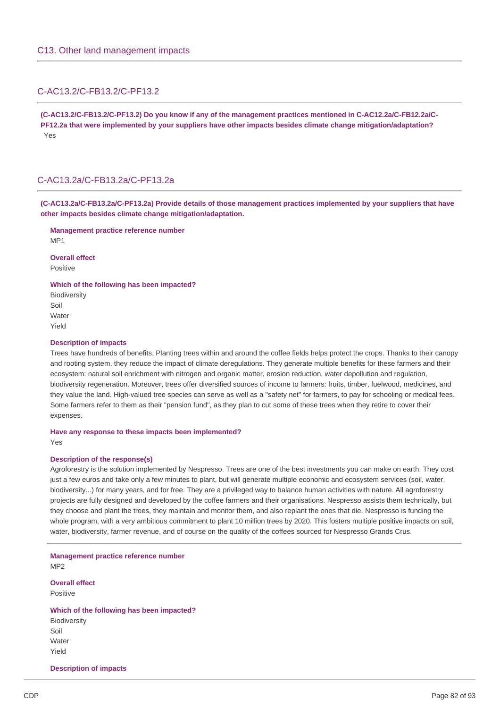### C-AC13.2/C-FB13.2/C-PF13.2

**(C-AC13.2/C-FB13.2/C-PF13.2) Do you know if any of the management practices mentioned in C-AC12.2a/C-FB12.2a/C-PF12.2a that were implemented by your suppliers have other impacts besides climate change mitigation/adaptation?** Yes

### C-AC13.2a/C-FB13.2a/C-PF13.2a

**(C-AC13.2a/C-FB13.2a/C-PF13.2a) Provide details of those management practices implemented by your suppliers that have other impacts besides climate change mitigation/adaptation.**

**Management practice reference number** MP1

**Overall effect**

Positive

#### **Which of the following has been impacted?**

Biodiversity Soil **Water** Yield

#### **Description of impacts**

Trees have hundreds of benefits. Planting trees within and around the coffee fields helps protect the crops. Thanks to their canopy and rooting system, they reduce the impact of climate deregulations. They generate multiple benefits for these farmers and their ecosystem: natural soil enrichment with nitrogen and organic matter, erosion reduction, water depollution and regulation, biodiversity regeneration. Moreover, trees offer diversified sources of income to farmers: fruits, timber, fuelwood, medicines, and they value the land. High-valued tree species can serve as well as a "safety net" for farmers, to pay for schooling or medical fees. Some farmers refer to them as their "pension fund", as they plan to cut some of these trees when they retire to cover their expenses.

#### **Have any response to these impacts been implemented?**

Yes

### **Description of the response(s)**

Agroforestry is the solution implemented by Nespresso. Trees are one of the best investments you can make on earth. They cost just a few euros and take only a few minutes to plant, but will generate multiple economic and ecosystem services (soil, water, biodiversity...) for many years, and for free. They are a privileged way to balance human activities with nature. All agroforestry projects are fully designed and developed by the coffee farmers and their organisations. Nespresso assists them technically, but they choose and plant the trees, they maintain and monitor them, and also replant the ones that die. Nespresso is funding the whole program, with a very ambitious commitment to plant 10 million trees by 2020. This fosters multiple positive impacts on soil, water, biodiversity, farmer revenue, and of course on the quality of the coffees sourced for Nespresso Grands Crus.

**Management practice reference number** MP2

**Overall effect** Positive

### **Which of the following has been impacted?**

| <b>Biodiversity</b> |
|---------------------|
| Soil                |
| Water               |
| Yield               |
|                     |

**Description of impacts**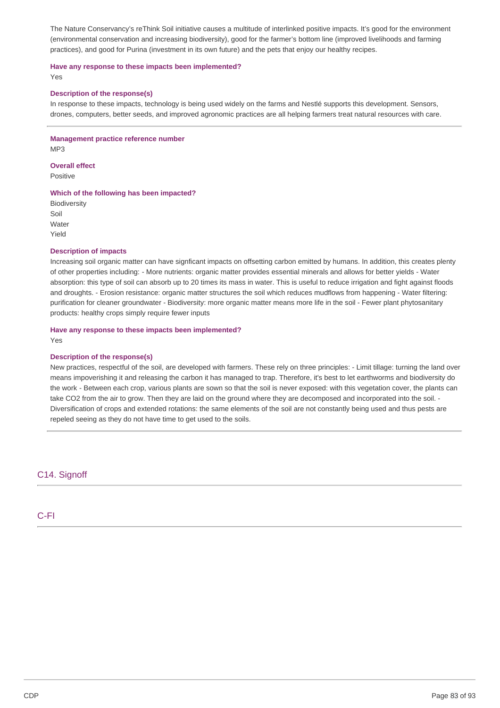The Nature Conservancy's reThink Soil initiative causes a multitude of interlinked positive impacts. It's good for the environment (environmental conservation and increasing biodiversity), good for the farmer's bottom line (improved livelihoods and farming practices), and good for Purina (investment in its own future) and the pets that enjoy our healthy recipes.

**Have any response to these impacts been implemented?**

Yes

### **Description of the response(s)**

In response to these impacts, technology is being used widely on the farms and Nestlé supports this development. Sensors, drones, computers, better seeds, and improved agronomic practices are all helping farmers treat natural resources with care.

**Management practice reference number**

MP3

**Overall effect**

Positive

### **Which of the following has been impacted?**

Biodiversity Soil **Water** Yield

### **Description of impacts**

Increasing soil organic matter can have signficant impacts on offsetting carbon emitted by humans. In addition, this creates plenty of other properties including: - More nutrients: organic matter provides essential minerals and allows for better yields - Water absorption: this type of soil can absorb up to 20 times its mass in water. This is useful to reduce irrigation and fight against floods and droughts. - Erosion resistance: organic matter structures the soil which reduces mudflows from happening - Water filtering: purification for cleaner groundwater - Biodiversity: more organic matter means more life in the soil - Fewer plant phytosanitary products: healthy crops simply require fewer inputs

**Have any response to these impacts been implemented?** Yes

### **Description of the response(s)**

New practices, respectful of the soil, are developed with farmers. These rely on three principles: - Limit tillage: turning the land over means impoverishing it and releasing the carbon it has managed to trap. Therefore, it's best to let earthworms and biodiversity do the work - Between each crop, various plants are sown so that the soil is never exposed: with this vegetation cover, the plants can take CO2 from the air to grow. Then they are laid on the ground where they are decomposed and incorporated into the soil. - Diversification of crops and extended rotations: the same elements of the soil are not constantly being used and thus pests are repeled seeing as they do not have time to get used to the soils.

C14. Signoff

### C-FI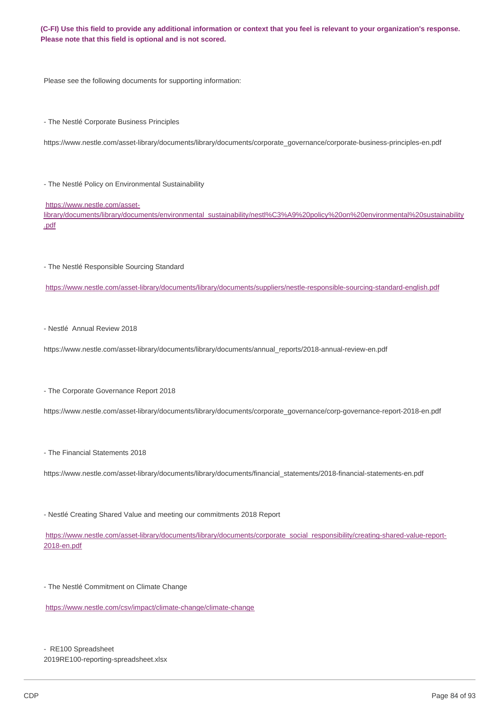(C-FI) Use this field to provide any additional information or context that you feel is relevant to your organization's response. **Please note that this field is optional and is not scored.**

Please see the following documents for supporting information:

- The Nestlé Corporate Business Principles

https://www.nestle.com/asset-library/documents/library/documents/corporate\_governance/corporate-business-principles-en.pdf

- The Nestlé Policy on Environmental Sustainability

https://www.nestle.com/asset-

[library/documents/library/documents/environmental\\_sustainability/nestl%C3%A9%20policy%20on%20environmental%20sustainability](https://www.nestle.com/asset-library/documents/library/documents/environmental_sustainability/nestl%C3%A9 policy on environmental sustainability.pdf) .pdf

- The Nestlé Responsible Sourcing Standard

<https://www.nestle.com/asset-library/documents/library/documents/suppliers/nestle-responsible-sourcing-standard-english.pdf>

- Nestlé Annual Review 2018

https://www.nestle.com/asset-library/documents/library/documents/annual\_reports/2018-annual-review-en.pdf

- The Corporate Governance Report 2018

https://www.nestle.com/asset-library/documents/library/documents/corporate\_governance/corp-governance-report-2018-en.pdf

- The Financial Statements 2018

https://www.nestle.com/asset-library/documents/library/documents/financial\_statements/2018-financial-statements-en.pdf

- Nestlé Creating Shared Value and meeting our commitments 2018 Report

[https://www.nestle.com/asset-library/documents/library/documents/corporate\\_social\\_responsibility/creating-shared-value-report-](https://www.nestle.com/asset-library/documents/library/documents/corporate_social_responsibility/creating-shared-value-report-2018-en.pdf)2018-en.pdf

- The Nestlé Commitment on Climate Change

<https://www.nestle.com/csv/impact/climate-change/climate-change>

- RE100 Spreadsheet

2019RE100-reporting-spreadsheet.xlsx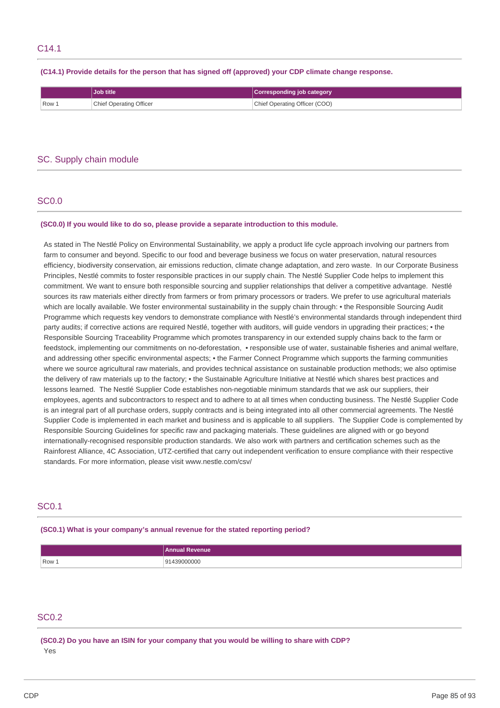**(C14.1) Provide details for the person that has signed off (approved) your CDP climate change response.**

|       | Job title               | <b>Corresponding job category</b> |
|-------|-------------------------|-----------------------------------|
| Row 1 | Chief Operating Officer | Chief Operating Officer (COO)     |

### SC. Supply chain module

### SC0.0

### **(SC0.0) If you would like to do so, please provide a separate introduction to this module.**

As stated in The Nestlé Policy on Environmental Sustainability, we apply a product life cycle approach involving our partners from farm to consumer and beyond. Specific to our food and beverage business we focus on water preservation, natural resources efficiency, biodiversity conservation, air emissions reduction, climate change adaptation, and zero waste. In our Corporate Business Principles, Nestlé commits to foster responsible practices in our supply chain. The Nestlé Supplier Code helps to implement this commitment. We want to ensure both responsible sourcing and supplier relationships that deliver a competitive advantage. Nestlé sources its raw materials either directly from farmers or from primary processors or traders. We prefer to use agricultural materials which are locally available. We foster environmental sustainability in the supply chain through: • the Responsible Sourcing Audit Programme which requests key vendors to demonstrate compliance with Nestlé's environmental standards through independent third party audits; if corrective actions are required Nestlé, together with auditors, will guide vendors in upgrading their practices; • the Responsible Sourcing Traceability Programme which promotes transparency in our extended supply chains back to the farm or feedstock, implementing our commitments on no-deforestation, • responsible use of water, sustainable fisheries and animal welfare, and addressing other specific environmental aspects; • the Farmer Connect Programme which supports the farming communities where we source agricultural raw materials, and provides technical assistance on sustainable production methods; we also optimise the delivery of raw materials up to the factory; • the Sustainable Agriculture Initiative at Nestlé which shares best practices and lessons learned. The Nestlé Supplier Code establishes non-negotiable minimum standards that we ask our suppliers, their employees, agents and subcontractors to respect and to adhere to at all times when conducting business. The Nestlé Supplier Code is an integral part of all purchase orders, supply contracts and is being integrated into all other commercial agreements. The Nestlé Supplier Code is implemented in each market and business and is applicable to all suppliers. The Supplier Code is complemented by Responsible Sourcing Guidelines for specific raw and packaging materials. These guidelines are aligned with or go beyond internationally-recognised responsible production standards. We also work with partners and certification schemes such as the Rainforest Alliance, 4C Association, UTZ-certified that carry out independent verification to ensure compliance with their respective standards. For more information, please visit www.nestle.com/csv/

### SC0.1

#### **(SC0.1) What is your company's annual revenue for the stated reporting period?**

|                                                      | renue |
|------------------------------------------------------|-------|
| $\sqrt{$ Row.<br>the contract of the contract of the | .     |

### SC0.2

**(SC0.2) Do you have an ISIN for your company that you would be willing to share with CDP?** Yes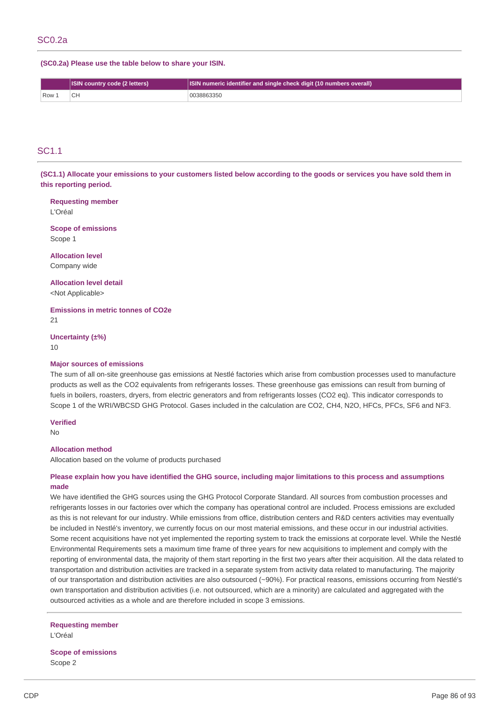**(SC0.2a) Please use the table below to share your ISIN.**

|      | <b>ISIN country code (2 letters)</b> | ISIN numeric identifier and single check digit (10 numbers overall) |
|------|--------------------------------------|---------------------------------------------------------------------|
| Row: |                                      | 0038863350                                                          |

### SC1.1

(SC1.1) Allocate your emissions to your customers listed below according to the goods or services you have sold them in **this reporting period.**

**Requesting member** L'Oréal

**Scope of emissions** Scope 1

**Allocation level** Company wide

**Allocation level detail** <Not Applicable>

**Emissions in metric tonnes of CO2e**  $21$ 

**Uncertainty (±%)** 10

#### **Major sources of emissions**

The sum of all on-site greenhouse gas emissions at Nestlé factories which arise from combustion processes used to manufacture products as well as the CO2 equivalents from refrigerants losses. These greenhouse gas emissions can result from burning of fuels in boilers, roasters, dryers, from electric generators and from refrigerants losses (CO2 eq). This indicator corresponds to Scope 1 of the WRI/WBCSD GHG Protocol. Gases included in the calculation are CO2, CH4, N2O, HFCs, PFCs, SF6 and NF3.

### **Verified**

No

#### **Allocation method**

Allocation based on the volume of products purchased

Please explain how you have identified the GHG source, including major limitations to this process and assumptions **made**

We have identified the GHG sources using the GHG Protocol Corporate Standard. All sources from combustion processes and refrigerants losses in our factories over which the company has operational control are included. Process emissions are excluded as this is not relevant for our industry. While emissions from office, distribution centers and R&D centers activities may eventually be included in Nestlé's inventory, we currently focus on our most material emissions, and these occur in our industrial activities. Some recent acquisitions have not yet implemented the reporting system to track the emissions at corporate level. While the Nestlé Environmental Requirements sets a maximum time frame of three years for new acquisitions to implement and comply with the reporting of environmental data, the majority of them start reporting in the first two years after their acquisition. All the data related to transportation and distribution activities are tracked in a separate system from activity data related to manufacturing. The majority of our transportation and distribution activities are also outsourced (~90%). For practical reasons, emissions occurring from Nestlé's own transportation and distribution activities (i.e. not outsourced, which are a minority) are calculated and aggregated with the outsourced activities as a whole and are therefore included in scope 3 emissions.

**Requesting member** L'Oréal

**Scope of emissions** Scope 2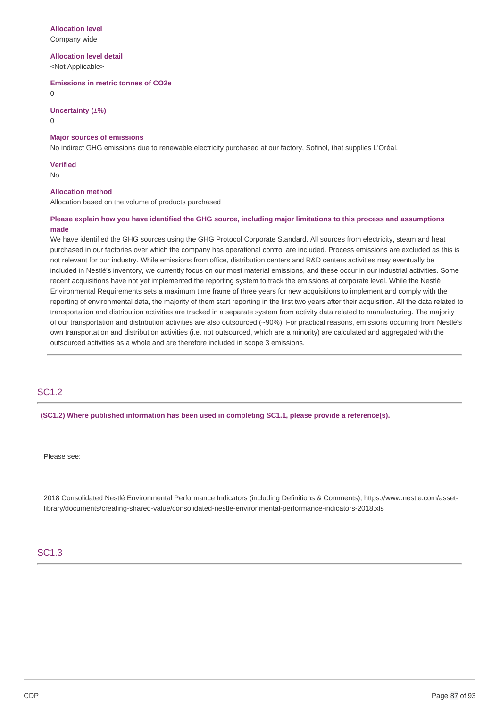## **Allocation level**

Company wide

# **Allocation level detail**

<Not Applicable>

**Emissions in metric tonnes of CO2e**

 $\Omega$ 

### **Uncertainty (±%)**

0

### **Major sources of emissions**

No indirect GHG emissions due to renewable electricity purchased at our factory, Sofinol, that supplies L'Oréal.

### **Verified**

No

### **Allocation method**

Allocation based on the volume of products purchased

### Please explain how you have identified the GHG source, including major limitations to this process and assumptions **made**

We have identified the GHG sources using the GHG Protocol Corporate Standard. All sources from electricity, steam and heat purchased in our factories over which the company has operational control are included. Process emissions are excluded as this is not relevant for our industry. While emissions from office, distribution centers and R&D centers activities may eventually be included in Nestlé's inventory, we currently focus on our most material emissions, and these occur in our industrial activities. Some recent acquisitions have not yet implemented the reporting system to track the emissions at corporate level. While the Nestlé Environmental Requirements sets a maximum time frame of three years for new acquisitions to implement and comply with the reporting of environmental data, the majority of them start reporting in the first two years after their acquisition. All the data related to transportation and distribution activities are tracked in a separate system from activity data related to manufacturing. The majority of our transportation and distribution activities are also outsourced (~90%). For practical reasons, emissions occurring from Nestlé's own transportation and distribution activities (i.e. not outsourced, which are a minority) are calculated and aggregated with the outsourced activities as a whole and are therefore included in scope 3 emissions.

### SC1.2

**(SC1.2) Where published information has been used in completing SC1.1, please provide a reference(s).**

Please see:

2018 Consolidated Nestlé Environmental Performance Indicators (including Definitions & Comments), https://www.nestle.com/assetlibrary/documents/creating-shared-value/consolidated-nestle-environmental-performance-indicators-2018.xls

### SC1.3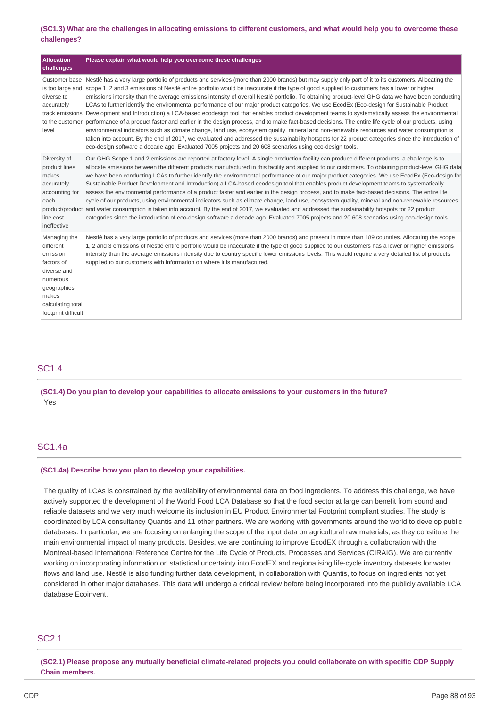### (SC1.3) What are the challenges in allocating emissions to different customers, and what would help you to overcome these **challenges?**

| <b>Allocation</b><br>challenges                                                                                                                    | Please explain what would help you overcome these challenges                                                                                                                                                                                                                                                                                                                                                                                                                                                                                                                                                                                                                                                                                                                                                                                                                                                                                                                                                                                                                                                                                                                                                                                                                                                                                                                      |
|----------------------------------------------------------------------------------------------------------------------------------------------------|-----------------------------------------------------------------------------------------------------------------------------------------------------------------------------------------------------------------------------------------------------------------------------------------------------------------------------------------------------------------------------------------------------------------------------------------------------------------------------------------------------------------------------------------------------------------------------------------------------------------------------------------------------------------------------------------------------------------------------------------------------------------------------------------------------------------------------------------------------------------------------------------------------------------------------------------------------------------------------------------------------------------------------------------------------------------------------------------------------------------------------------------------------------------------------------------------------------------------------------------------------------------------------------------------------------------------------------------------------------------------------------|
| diverse to<br>accurately<br>level                                                                                                                  | Customer base Nestlé has a very large portfolio of products and services (more than 2000 brands) but may supply only part of it to its customers. Allocating the<br>is too large and scope 1, 2 and 3 emissions of Nestlé entire portfolio would be inaccurate if the type of good supplied to customers has a lower or higher<br>emissions intensity than the average emissions intensity of overall Nestlé portfolio. To obtaining product-level GHG data we have been conducting<br>LCAs to further identify the environmental performance of our major product categories. We use EcodEx (Eco-design for Sustainable Product<br>track emissions Development and Introduction) a LCA-based ecodesign tool that enables product development teams to systematically assess the environmental<br>to the customer performance of a product faster and earlier in the design process, and to make fact-based decisions. The entire life cycle of our products, using<br>environmental indicators such as climate change, land use, ecosystem quality, mineral and non-renewable resources and water consumption is<br>taken into account. By the end of 2017, we evaluated and addressed the sustainability hotspots for 22 product categories since the introduction of<br>eco-design software a decade ago. Evaluated 7005 projects and 20 608 scenarios using eco-design tools. |
| Diversity of<br>product lines<br>makes<br>accurately<br>accounting for<br>each<br>line cost<br>ineffective                                         | Our GHG Scope 1 and 2 emissions are reported at factory level. A single production facility can produce different products: a challenge is to<br>allocate emissions between the different products manufactured in this facility and supplied to our customers. To obtaining product-level GHG data<br>we have been conducting LCAs to further identify the environmental performance of our major product categories. We use EcodEx (Eco-design for<br>Sustainable Product Development and Introduction) a LCA-based ecodesign tool that enables product development teams to systematically<br>assess the environmental performance of a product faster and earlier in the design process, and to make fact-based decisions. The entire life<br>cycle of our products, using environmental indicators such as climate change, land use, ecosystem quality, mineral and non-renewable resources<br>product/product and water consumption is taken into account. By the end of 2017, we evaluated and addressed the sustainability hotspots for 22 product<br>categories since the introduction of eco-design software a decade ago. Evaluated 7005 projects and 20 608 scenarios using eco-design tools.                                                                                                                                                                         |
| Managing the<br>different<br>emission<br>factors of<br>diverse and<br>numerous<br>geographies<br>makes<br>calculating total<br>footprint difficult | Nestlé has a very large portfolio of products and services (more than 2000 brands) and present in more than 189 countries. Allocating the scope<br>1, 2 and 3 emissions of Nestlé entire portfolio would be inaccurate if the type of good supplied to our customers has a lower or higher emissions<br>intensity than the average emissions intensity due to country specific lower emissions levels. This would require a very detailed list of products<br>supplied to our customers with information on where it is manufactured.                                                                                                                                                                                                                                                                                                                                                                                                                                                                                                                                                                                                                                                                                                                                                                                                                                             |

### SC1.4

**(SC1.4) Do you plan to develop your capabilities to allocate emissions to your customers in the future?** Yes

### SC1.4a

### **(SC1.4a) Describe how you plan to develop your capabilities.**

The quality of LCAs is constrained by the availability of environmental data on food ingredients. To address this challenge, we have actively supported the development of the World Food LCA Database so that the food sector at large can benefit from sound and reliable datasets and we very much welcome its inclusion in EU Product Environmental Footprint compliant studies. The study is coordinated by LCA consultancy Quantis and 11 other partners. We are working with governments around the world to develop public databases. In particular, we are focusing on enlarging the scope of the input data on agricultural raw materials, as they constitute the main environmental impact of many products. Besides, we are continuing to improve EcodEX through a collaboration with the Montreal-based International Reference Centre for the Life Cycle of Products, Processes and Services (CIRAIG). We are currently working on incorporating information on statistical uncertainty into EcodEX and regionalising life-cycle inventory datasets for water flows and land use. Nestlé is also funding further data development, in collaboration with Quantis, to focus on ingredients not yet considered in other major databases. This data will undergo a critical review before being incorporated into the publicly available LCA database Ecoinvent.

### SC2.1

(SC2.1) Please propose any mutually beneficial climate-related projects you could collaborate on with specific CDP Supply **Chain members.**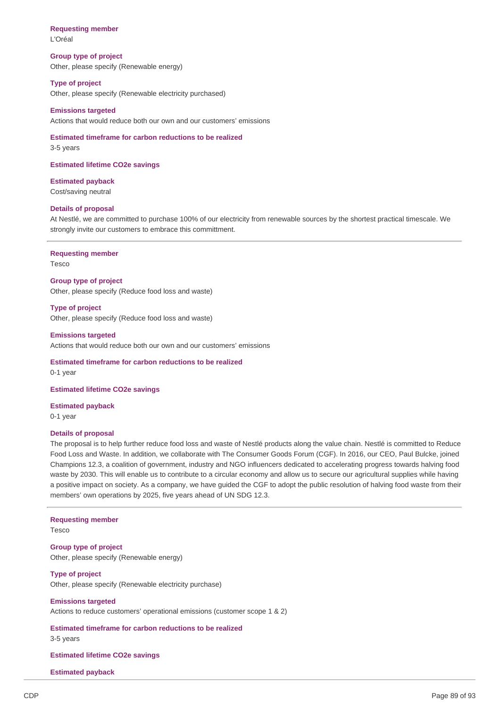**Requesting member** L'Oréal

#### **Group type of project**

Other, please specify (Renewable energy)

### **Type of project**

Other, please specify (Renewable electricity purchased)

#### **Emissions targeted**

Actions that would reduce both our own and our customers' emissions

## **Estimated timeframe for carbon reductions to be realized**

3-5 years

**Estimated lifetime CO2e savings**

**Estimated payback** Cost/saving neutral

### **Details of proposal**

At Nestlé, we are committed to purchase 100% of our electricity from renewable sources by the shortest practical timescale. We strongly invite our customers to embrace this committment.

#### **Requesting member**

Tesco

**Group type of project** Other, please specify (Reduce food loss and waste)

**Type of project** Other, please specify (Reduce food loss and waste)

### **Emissions targeted**

Actions that would reduce both our own and our customers' emissions

### **Estimated timeframe for carbon reductions to be realized**

0-1 year

**Estimated lifetime CO2e savings**

### **Estimated payback**

0-1 year

#### **Details of proposal**

The proposal is to help further reduce food loss and waste of Nestlé products along the value chain. Nestlé is committed to Reduce Food Loss and Waste. In addition, we collaborate with The Consumer Goods Forum (CGF). In 2016, our CEO, Paul Bulcke, joined Champions 12.3, a coalition of government, industry and NGO influencers dedicated to accelerating progress towards halving food waste by 2030. This will enable us to contribute to a circular economy and allow us to secure our agricultural supplies while having a positive impact on society. As a company, we have guided the CGF to adopt the public resolution of halving food waste from their members' own operations by 2025, five years ahead of UN SDG 12.3.

#### **Requesting member**

Tesco

**Group type of project** Other, please specify (Renewable energy)

**Type of project** Other, please specify (Renewable electricity purchase)

**Emissions targeted** Actions to reduce customers' operational emissions (customer scope 1 & 2)

**Estimated timeframe for carbon reductions to be realized** 3-5 years

#### **Estimated lifetime CO2e savings**

**Estimated payback**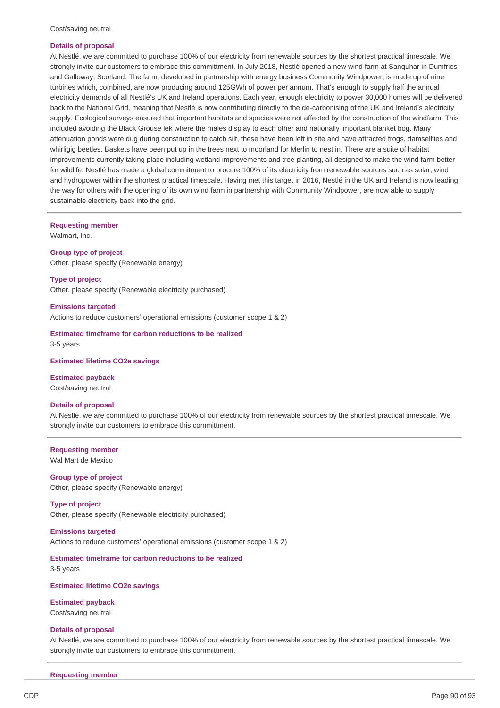#### **Details of proposal**

At Nestlé, we are committed to purchase 100% of our electricity from renewable sources by the shortest practical timescale. We strongly invite our customers to embrace this committment. In July 2018, Nestlé opened a new wind farm at Sanquhar in Dumfries and Galloway, Scotland. The farm, developed in partnership with energy business Community Windpower, is made up of nine turbines which, combined, are now producing around 125GWh of power per annum. That's enough to supply half the annual electricity demands of all Nestlé's UK and Ireland operations. Each year, enough electricity to power 30,000 homes will be delivered back to the National Grid, meaning that Nestlé is now contributing directly to the de-carbonising of the UK and Ireland's electricity supply. Ecological surveys ensured that important habitats and species were not affected by the construction of the windfarm. This included avoiding the Black Grouse lek where the males display to each other and nationally important blanket bog. Many attenuation ponds were dug during construction to catch silt, these have been left in site and have attracted frogs, damselflies and whirligig beetles. Baskets have been put up in the trees next to moorland for Merlin to nest in. There are a suite of habitat improvements currently taking place including wetland improvements and tree planting, all designed to make the wind farm better for wildlife. Nestlé has made a global commitment to procure 100% of its electricity from renewable sources such as solar, wind and hydropower within the shortest practical timescale. Having met this target in 2016, Nestlé in the UK and Ireland is now leading the way for others with the opening of its own wind farm in partnership with Community Windpower, are now able to supply sustainable electricity back into the grid.

### **Requesting member**

Walmart, Inc.

### **Group type of project**

Other, please specify (Renewable energy)

**Type of project**

Other, please specify (Renewable electricity purchased)

**Emissions targeted** Actions to reduce customers' operational emissions (customer scope 1 & 2)

**Estimated timeframe for carbon reductions to be realized** 3-5 years

**Estimated lifetime CO2e savings**

**Estimated payback** Cost/saving neutral

#### **Details of proposal**

At Nestlé, we are committed to purchase 100% of our electricity from renewable sources by the shortest practical timescale. We strongly invite our customers to embrace this committment.

### **Requesting member**

Wal Mart de Mexico

**Group type of project** Other, please specify (Renewable energy)

**Type of project** Other, please specify (Renewable electricity purchased)

**Emissions targeted** Actions to reduce customers' operational emissions (customer scope 1 & 2)

**Estimated timeframe for carbon reductions to be realized**

3-5 years

**Estimated lifetime CO2e savings**

**Estimated payback** Cost/saving neutral

### **Details of proposal**

At Nestlé, we are committed to purchase 100% of our electricity from renewable sources by the shortest practical timescale. We strongly invite our customers to embrace this committment.

**Requesting member**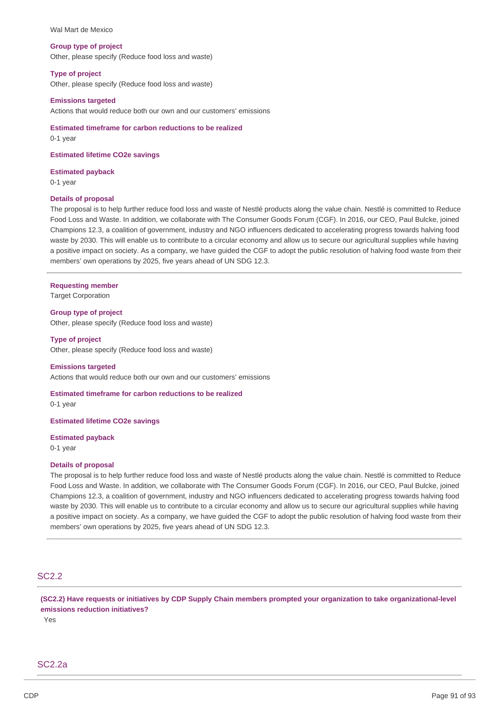#### Wal Mart de Mexico

#### **Group type of project**

Other, please specify (Reduce food loss and waste)

### **Type of project**

Other, please specify (Reduce food loss and waste)

#### **Emissions targeted**

Actions that would reduce both our own and our customers' emissions

**Estimated timeframe for carbon reductions to be realized** 0-1 year

**Estimated lifetime CO2e savings**

### **Estimated payback**

0-1 year

### **Details of proposal**

The proposal is to help further reduce food loss and waste of Nestlé products along the value chain. Nestlé is committed to Reduce Food Loss and Waste. In addition, we collaborate with The Consumer Goods Forum (CGF). In 2016, our CEO, Paul Bulcke, joined Champions 12.3, a coalition of government, industry and NGO influencers dedicated to accelerating progress towards halving food waste by 2030. This will enable us to contribute to a circular economy and allow us to secure our agricultural supplies while having a positive impact on society. As a company, we have guided the CGF to adopt the public resolution of halving food waste from their members' own operations by 2025, five years ahead of UN SDG 12.3.

### **Requesting member**

Target Corporation

**Group type of project**

Other, please specify (Reduce food loss and waste)

### **Type of project**

Other, please specify (Reduce food loss and waste)

#### **Emissions targeted**

Actions that would reduce both our own and our customers' emissions

#### **Estimated timeframe for carbon reductions to be realized**

0-1 year

**Estimated lifetime CO2e savings**

### **Estimated payback**

0-1 year

### **Details of proposal**

The proposal is to help further reduce food loss and waste of Nestlé products along the value chain. Nestlé is committed to Reduce Food Loss and Waste. In addition, we collaborate with The Consumer Goods Forum (CGF). In 2016, our CEO, Paul Bulcke, joined Champions 12.3, a coalition of government, industry and NGO influencers dedicated to accelerating progress towards halving food waste by 2030. This will enable us to contribute to a circular economy and allow us to secure our agricultural supplies while having a positive impact on society. As a company, we have guided the CGF to adopt the public resolution of halving food waste from their members' own operations by 2025, five years ahead of UN SDG 12.3.

### SC2.2

(SC2.2) Have requests or initiatives by CDP Supply Chain members prompted your organization to take organizational-level **emissions reduction initiatives?**

Yes

### SC2.2a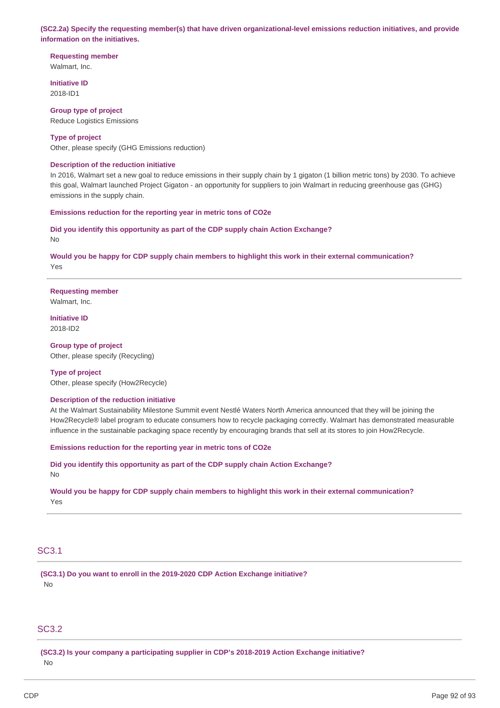**(SC2.2a) Specify the requesting member(s) that have driven organizational-level emissions reduction initiatives, and provide information on the initiatives.**

**Requesting member** Walmart, Inc.

**Initiative ID** 2018-ID1

**Group type of project** Reduce Logistics Emissions

**Type of project** Other, please specify (GHG Emissions reduction)

### **Description of the reduction initiative**

In 2016, Walmart set a new goal to reduce emissions in their supply chain by 1 gigaton (1 billion metric tons) by 2030. To achieve this goal, Walmart launched Project Gigaton - an opportunity for suppliers to join Walmart in reducing greenhouse gas (GHG) emissions in the supply chain.

**Emissions reduction for the reporting year in metric tons of CO2e**

### **Did you identify this opportunity as part of the CDP supply chain Action Exchange?**

No

**Would you be happy for CDP supply chain members to highlight this work in their external communication?** Yes

**Requesting member** Walmart, Inc.

**Initiative ID** 2018-ID2

**Group type of project** Other, please specify (Recycling)

**Type of project** Other, please specify (How2Recycle)

### **Description of the reduction initiative**

At the Walmart Sustainability Milestone Summit event Nestlé Waters North America announced that they will be joining the How2Recycle® label program to educate consumers how to recycle packaging correctly. Walmart has demonstrated measurable influence in the sustainable packaging space recently by encouraging brands that sell at its stores to join How2Recycle.

**Emissions reduction for the reporting year in metric tons of CO2e**

### **Did you identify this opportunity as part of the CDP supply chain Action Exchange?** No

**Would you be happy for CDP supply chain members to highlight this work in their external communication?** Yes

### SC3.1

**(SC3.1) Do you want to enroll in the 2019-2020 CDP Action Exchange initiative?** No

### SC3.2

**(SC3.2) Is your company a participating supplier in CDP's 2018-2019 Action Exchange initiative?** No